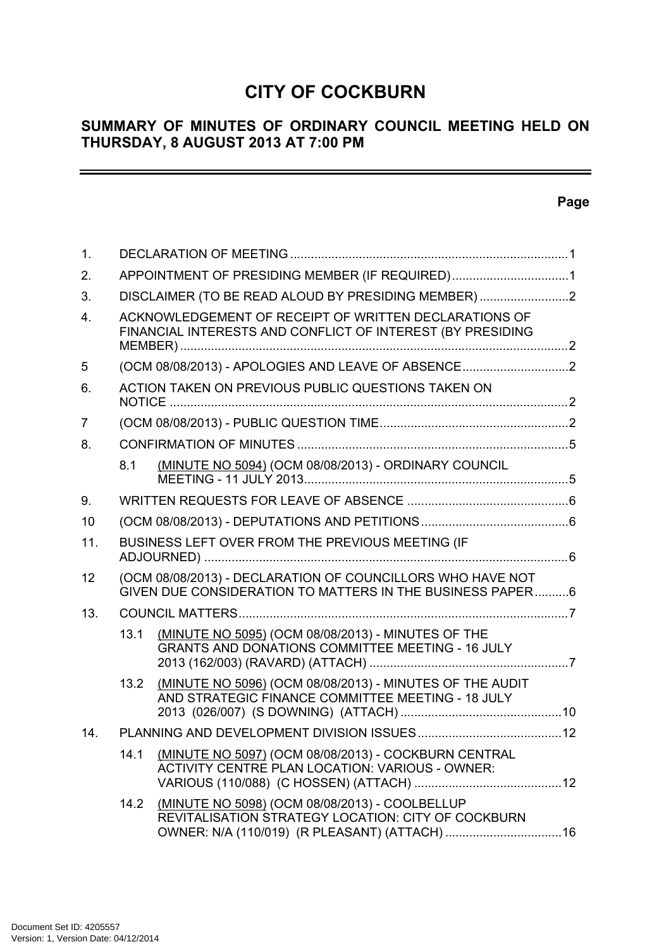# **CITY OF COCKBURN**

## **SUMMARY OF MINUTES OF ORDINARY COUNCIL MEETING HELD ON THURSDAY, 8 AUGUST 2013 AT 7:00 PM**

### **Page**

-

| $\mathbf{1}$ . |                                                     |                                                                                                                          |  |  |
|----------------|-----------------------------------------------------|--------------------------------------------------------------------------------------------------------------------------|--|--|
| 2.             | APPOINTMENT OF PRESIDING MEMBER (IF REQUIRED)1      |                                                                                                                          |  |  |
| 3.             | DISCLAIMER (TO BE READ ALOUD BY PRESIDING MEMBER) 2 |                                                                                                                          |  |  |
| $\mathbf{4}$   |                                                     | ACKNOWLEDGEMENT OF RECEIPT OF WRITTEN DECLARATIONS OF<br>FINANCIAL INTERESTS AND CONFLICT OF INTEREST (BY PRESIDING      |  |  |
| 5              |                                                     | (OCM 08/08/2013) - APOLOGIES AND LEAVE OF ABSENCE                                                                        |  |  |
| 6.             |                                                     | ACTION TAKEN ON PREVIOUS PUBLIC QUESTIONS TAKEN ON                                                                       |  |  |
| 7              |                                                     |                                                                                                                          |  |  |
| 8.             |                                                     |                                                                                                                          |  |  |
|                | 8.1                                                 | (MINUTE NO 5094) (OCM 08/08/2013) - ORDINARY COUNCIL                                                                     |  |  |
| 9.             |                                                     |                                                                                                                          |  |  |
| 10             |                                                     |                                                                                                                          |  |  |
| 11.            | BUSINESS LEFT OVER FROM THE PREVIOUS MEETING (IF    |                                                                                                                          |  |  |
| 12             |                                                     | (OCM 08/08/2013) - DECLARATION OF COUNCILLORS WHO HAVE NOT<br>GIVEN DUE CONSIDERATION TO MATTERS IN THE BUSINESS PAPER 6 |  |  |
| 13.            |                                                     |                                                                                                                          |  |  |
|                | 13.1                                                | (MINUTE NO 5095) (OCM 08/08/2013) - MINUTES OF THE<br><b>GRANTS AND DONATIONS COMMITTEE MEETING - 16 JULY</b>            |  |  |
|                | 13.2                                                | (MINUTE NO 5096) (OCM 08/08/2013) - MINUTES OF THE AUDIT<br>AND STRATEGIC FINANCE COMMITTEE MEETING - 18 JULY            |  |  |
| 14.            |                                                     |                                                                                                                          |  |  |
|                | 14.1                                                | (MINUTE NO 5097) (OCM 08/08/2013) - COCKBURN CENTRAL<br>ACTIVITY CENTRE PLAN LOCATION: VARIOUS - OWNER:                  |  |  |
|                | 14.2                                                | (MINUTE NO 5098) (OCM 08/08/2013) - COOLBELLUP<br>REVITALISATION STRATEGY LOCATION: CITY OF COCKBURN                     |  |  |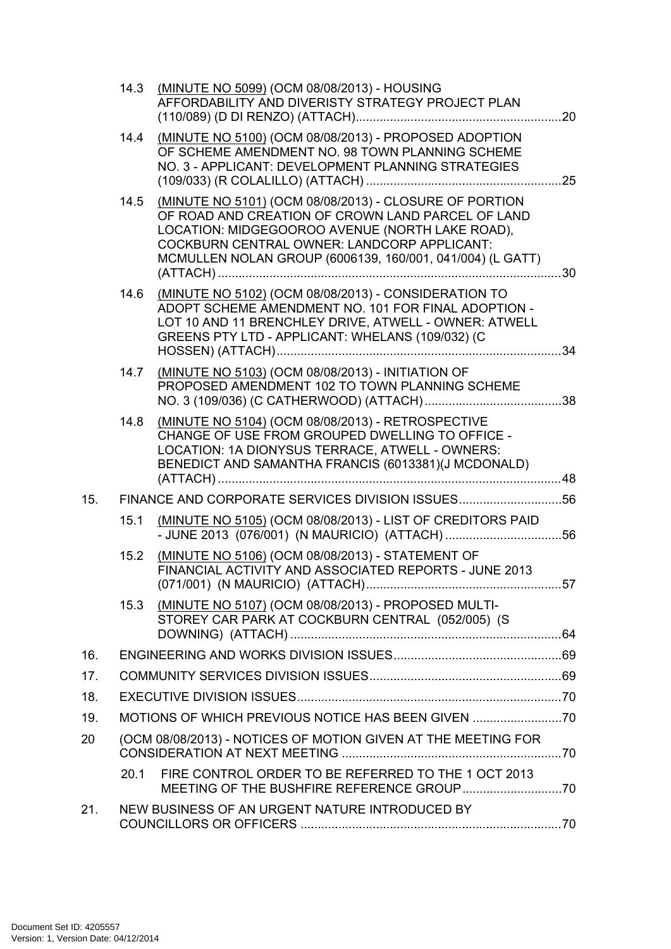|     | 14.3 | (MINUTE NO 5099) (OCM 08/08/2013) - HOUSING<br>AFFORDABILITY AND DIVERISTY STRATEGY PROJECT PLAN                                                                                                                                                                           |  |
|-----|------|----------------------------------------------------------------------------------------------------------------------------------------------------------------------------------------------------------------------------------------------------------------------------|--|
|     | 14.4 | (MINUTE NO 5100) (OCM 08/08/2013) - PROPOSED ADOPTION<br>OF SCHEME AMENDMENT NO. 98 TOWN PLANNING SCHEME<br>NO. 3 - APPLICANT: DEVELOPMENT PLANNING STRATEGIES                                                                                                             |  |
|     | 14.5 | (MINUTE NO 5101) (OCM 08/08/2013) - CLOSURE OF PORTION<br>OF ROAD AND CREATION OF CROWN LAND PARCEL OF LAND<br>LOCATION: MIDGEGOOROO AVENUE (NORTH LAKE ROAD),<br>COCKBURN CENTRAL OWNER: LANDCORP APPLICANT:<br>MCMULLEN NOLAN GROUP (6006139, 160/001, 041/004) (L GATT) |  |
|     | 14.6 | (MINUTE NO 5102) (OCM 08/08/2013) - CONSIDERATION TO<br>ADOPT SCHEME AMENDMENT NO. 101 FOR FINAL ADOPTION -<br>LOT 10 AND 11 BRENCHLEY DRIVE, ATWELL - OWNER: ATWELL<br>GREENS PTY LTD - APPLICANT: WHELANS (109/032) (C                                                   |  |
|     | 14.7 | (MINUTE NO 5103) (OCM 08/08/2013) - INITIATION OF<br>PROPOSED AMENDMENT 102 TO TOWN PLANNING SCHEME                                                                                                                                                                        |  |
|     | 14.8 | (MINUTE NO 5104) (OCM 08/08/2013) - RETROSPECTIVE<br>CHANGE OF USE FROM GROUPED DWELLING TO OFFICE -<br>LOCATION: 1A DIONYSUS TERRACE, ATWELL - OWNERS:<br>BENEDICT AND SAMANTHA FRANCIS (6013381)(J MCDONALD)                                                             |  |
| 15. |      | FINANCE AND CORPORATE SERVICES DIVISION ISSUES56                                                                                                                                                                                                                           |  |
|     | 15.1 | (MINUTE NO 5105) (OCM 08/08/2013) - LIST OF CREDITORS PAID                                                                                                                                                                                                                 |  |
|     | 15.2 | (MINUTE NO 5106) (OCM 08/08/2013) - STATEMENT OF<br>FINANCIAL ACTIVITY AND ASSOCIATED REPORTS - JUNE 2013                                                                                                                                                                  |  |
|     | 15.3 | (MINUTE NO 5107) (OCM 08/08/2013) - PROPOSED MULTI-<br>STOREY CAR PARK AT COCKBURN CENTRAL (052/005) (S                                                                                                                                                                    |  |
| 16. |      |                                                                                                                                                                                                                                                                            |  |
| 17. |      |                                                                                                                                                                                                                                                                            |  |
| 18. |      |                                                                                                                                                                                                                                                                            |  |
| 19. |      | MOTIONS OF WHICH PREVIOUS NOTICE HAS BEEN GIVEN                                                                                                                                                                                                                            |  |
| 20  |      | (OCM 08/08/2013) - NOTICES OF MOTION GIVEN AT THE MEETING FOR                                                                                                                                                                                                              |  |
|     | 20.1 | FIRE CONTROL ORDER TO BE REFERRED TO THE 1 OCT 2013                                                                                                                                                                                                                        |  |
| 21. |      | NEW BUSINESS OF AN URGENT NATURE INTRODUCED BY                                                                                                                                                                                                                             |  |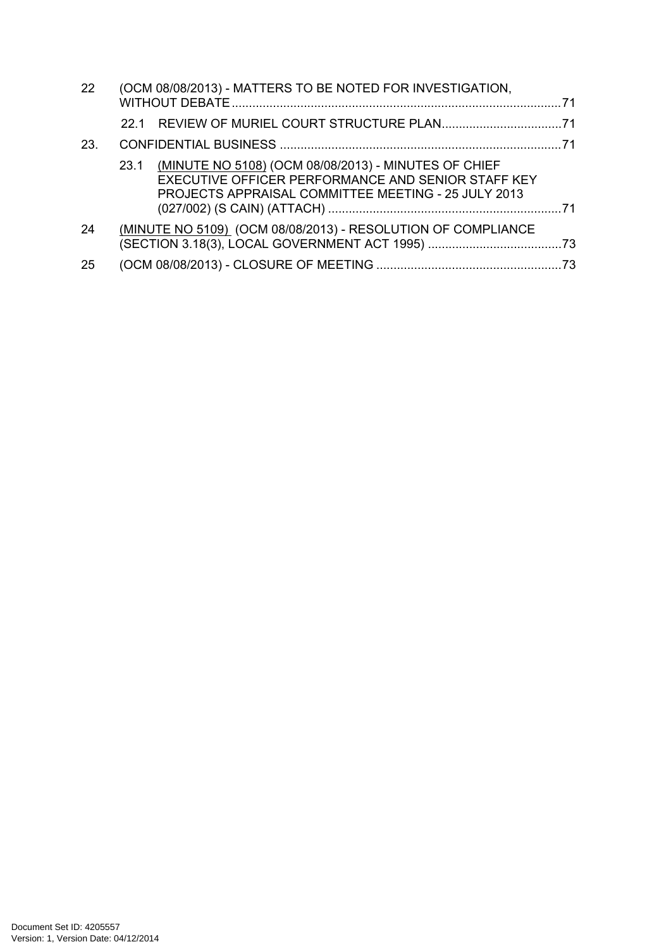| 22  |      | (OCM 08/08/2013) - MATTERS TO BE NOTED FOR INVESTIGATION,                                                                                                                | - 71 |
|-----|------|--------------------------------------------------------------------------------------------------------------------------------------------------------------------------|------|
|     |      |                                                                                                                                                                          |      |
| 23. |      |                                                                                                                                                                          |      |
|     | 23.1 | (MINUTE NO 5108) (OCM 08/08/2013) - MINUTES OF CHIEF<br>EXECUTIVE OFFICER PERFORMANCE AND SENIOR STAFF KEY<br><b>PROJECTS APPRAISAL COMMITTEE MEETING - 25 JULY 2013</b> |      |
| 24  |      | (MINUTE NO 5109) (OCM 08/08/2013) - RESOLUTION OF COMPLIANCE                                                                                                             |      |
| 25  |      |                                                                                                                                                                          |      |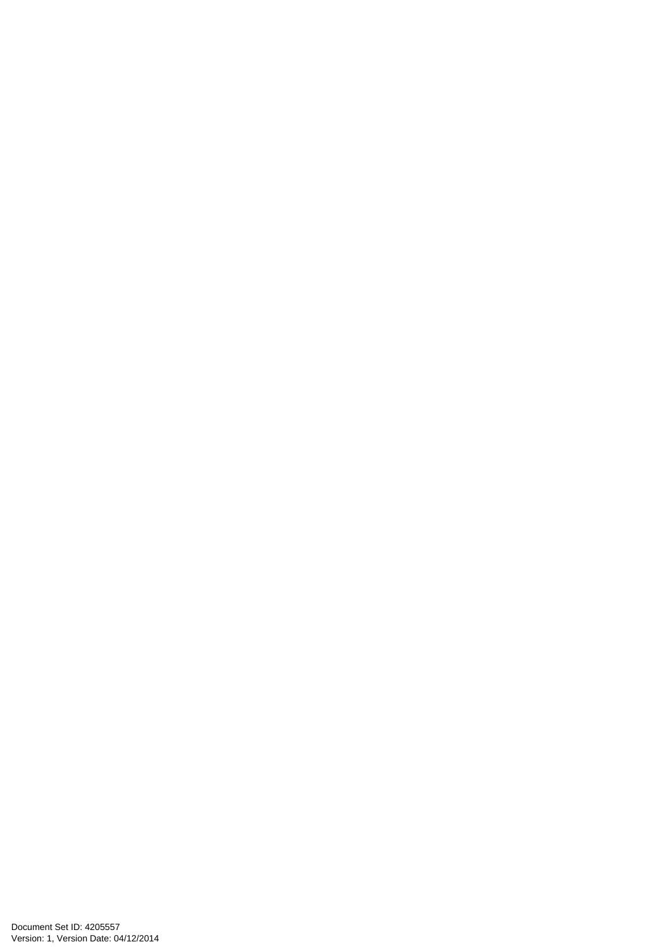Document Set ID: 4205557<br>Version: 1, Version Date: 04/12/2014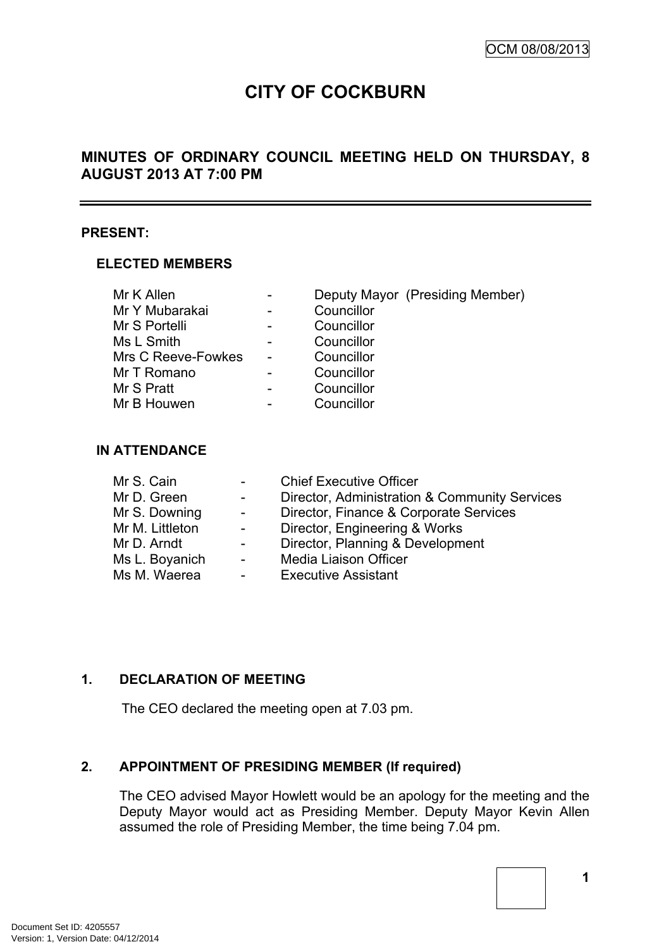# **CITY OF COCKBURN**

## **MINUTES OF ORDINARY COUNCIL MEETING HELD ON THURSDAY, 8 AUGUST 2013 AT 7:00 PM**

#### **PRESENT:**

### **ELECTED MEMBERS**

| Mr K Allen         | Deputy Mayor (Presiding Member) |
|--------------------|---------------------------------|
| Mr Y Mubarakai     | Councillor                      |
| Mr S Portelli      | Councillor                      |
| Ms L Smith         | Councillor                      |
| Mrs C Reeve-Fowkes | Councillor                      |
| Mr T Romano        | Councillor                      |
| Mr S Pratt         | Councillor                      |
| Mr B Houwen        | Councillor                      |

### **IN ATTENDANCE**

| Mr S. Cain      | $\sim 100$ | <b>Chief Executive Officer</b>                |
|-----------------|------------|-----------------------------------------------|
| Mr D. Green     | $\sim 100$ | Director, Administration & Community Services |
| Mr S. Downing   | $\sim 100$ | Director, Finance & Corporate Services        |
| Mr M. Littleton |            | Director, Engineering & Works                 |
| Mr D. Arndt     | $\sim 100$ | Director, Planning & Development              |
| Ms L. Boyanich  | $\sim 100$ | <b>Media Liaison Officer</b>                  |
| Ms M. Waerea    |            | <b>Executive Assistant</b>                    |

### <span id="page-4-0"></span>**1. DECLARATION OF MEETING**

The CEO declared the meeting open at 7.03 pm.

### <span id="page-4-1"></span>**2. APPOINTMENT OF PRESIDING MEMBER (If required)**

The CEO advised Mayor Howlett would be an apology for the meeting and the Deputy Mayor would act as Presiding Member. Deputy Mayor Kevin Allen assumed the role of Presiding Member, the time being 7.04 pm.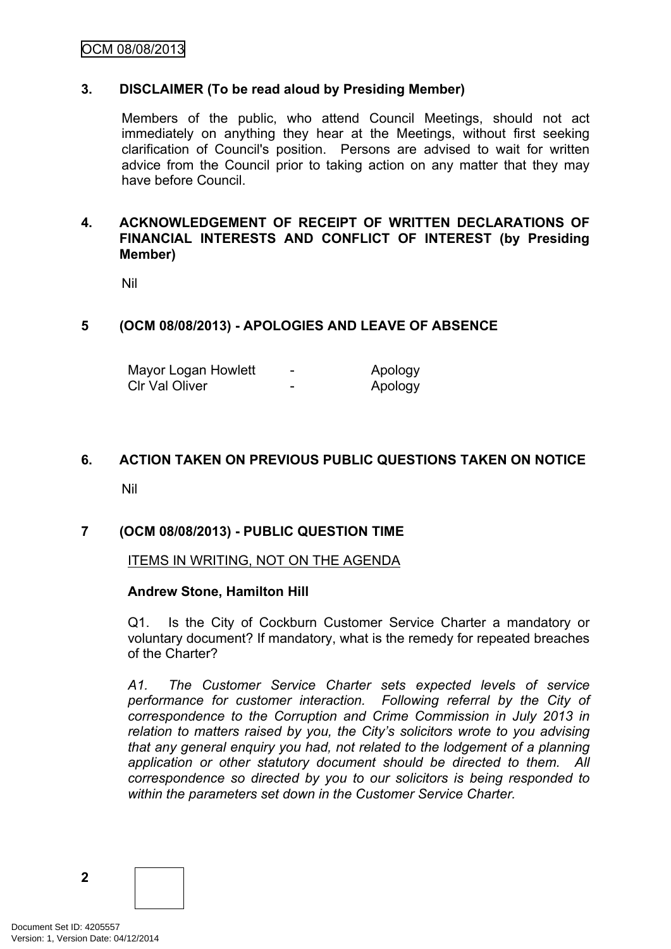### <span id="page-5-0"></span>**3. DISCLAIMER (To be read aloud by Presiding Member)**

Members of the public, who attend Council Meetings, should not act immediately on anything they hear at the Meetings, without first seeking clarification of Council's position. Persons are advised to wait for written advice from the Council prior to taking action on any matter that they may have before Council.

### <span id="page-5-1"></span>**4. ACKNOWLEDGEMENT OF RECEIPT OF WRITTEN DECLARATIONS OF FINANCIAL INTERESTS AND CONFLICT OF INTEREST (by Presiding Member)**

Nil

### <span id="page-5-2"></span>**5 (OCM 08/08/2013) - APOLOGIES AND LEAVE OF ABSENCE**

| Mayor Logan Howlett | - | Apology |
|---------------------|---|---------|
| CIr Val Oliver      | - | Apology |

# <span id="page-5-3"></span>**6. ACTION TAKEN ON PREVIOUS PUBLIC QUESTIONS TAKEN ON NOTICE**

Nil

### <span id="page-5-4"></span>**7 (OCM 08/08/2013) - PUBLIC QUESTION TIME**

ITEMS IN WRITING, NOT ON THE AGENDA

### **Andrew Stone, Hamilton Hill**

Q1. Is the City of Cockburn Customer Service Charter a mandatory or voluntary document? If mandatory, what is the remedy for repeated breaches of the Charter?

*A1. The Customer Service Charter sets expected levels of service performance for customer interaction. Following referral by the City of correspondence to the Corruption and Crime Commission in July 2013 in relation to matters raised by you, the City's solicitors wrote to you advising that any general enquiry you had, not related to the lodgement of a planning application or other statutory document should be directed to them. All correspondence so directed by you to our solicitors is being responded to within the parameters set down in the Customer Service Charter.*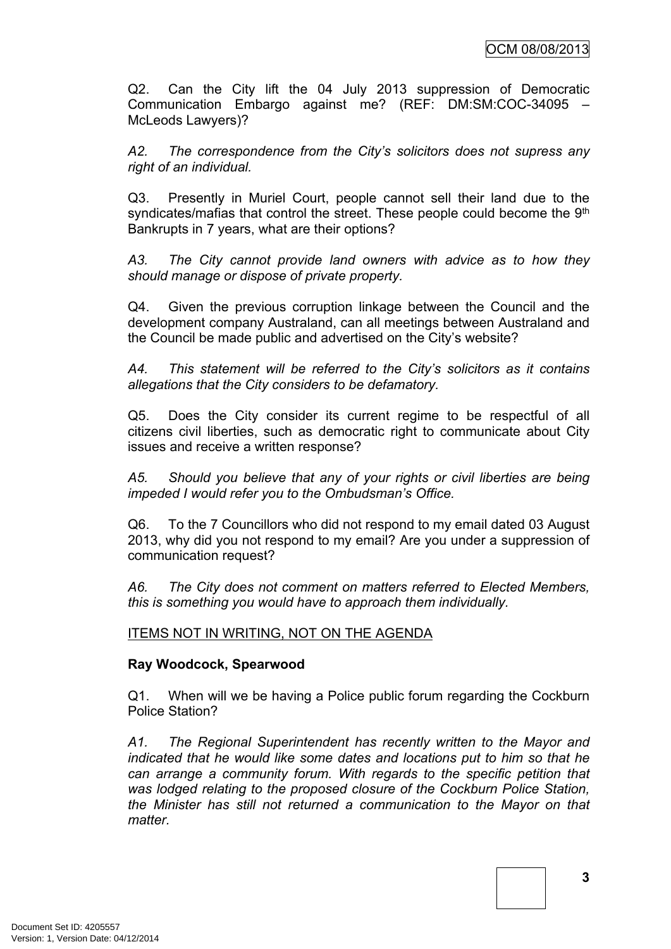Q2. Can the City lift the 04 July 2013 suppression of Democratic Communication Embargo against me? (REF: DM:SM:COC-34095 – McLeods Lawyers)?

*A2. The correspondence from the City's solicitors does not supress any right of an individual.* 

Q3. Presently in Muriel Court, people cannot sell their land due to the syndicates/mafias that control the street. These people could become the 9<sup>th</sup> Bankrupts in 7 years, what are their options?

*A3. The City cannot provide land owners with advice as to how they should manage or dispose of private property.*

Q4. Given the previous corruption linkage between the Council and the development company Australand, can all meetings between Australand and the Council be made public and advertised on the City's website?

*A4. This statement will be referred to the City's solicitors as it contains allegations that the City considers to be defamatory.*

Q5. Does the City consider its current regime to be respectful of all citizens civil liberties, such as democratic right to communicate about City issues and receive a written response?

*A5. Should you believe that any of your rights or civil liberties are being impeded I would refer you to the Ombudsman's Office.*

Q6. To the 7 Councillors who did not respond to my email dated 03 August 2013, why did you not respond to my email? Are you under a suppression of communication request?

*A6. The City does not comment on matters referred to Elected Members, this is something you would have to approach them individually.*

ITEMS NOT IN WRITING, NOT ON THE AGENDA

### **Ray Woodcock, Spearwood**

Q1. When will we be having a Police public forum regarding the Cockburn Police Station?

*A1. The Regional Superintendent has recently written to the Mayor and indicated that he would like some dates and locations put to him so that he can arrange a community forum. With regards to the specific petition that was lodged relating to the proposed closure of the Cockburn Police Station, the Minister has still not returned a communication to the Mayor on that matter.*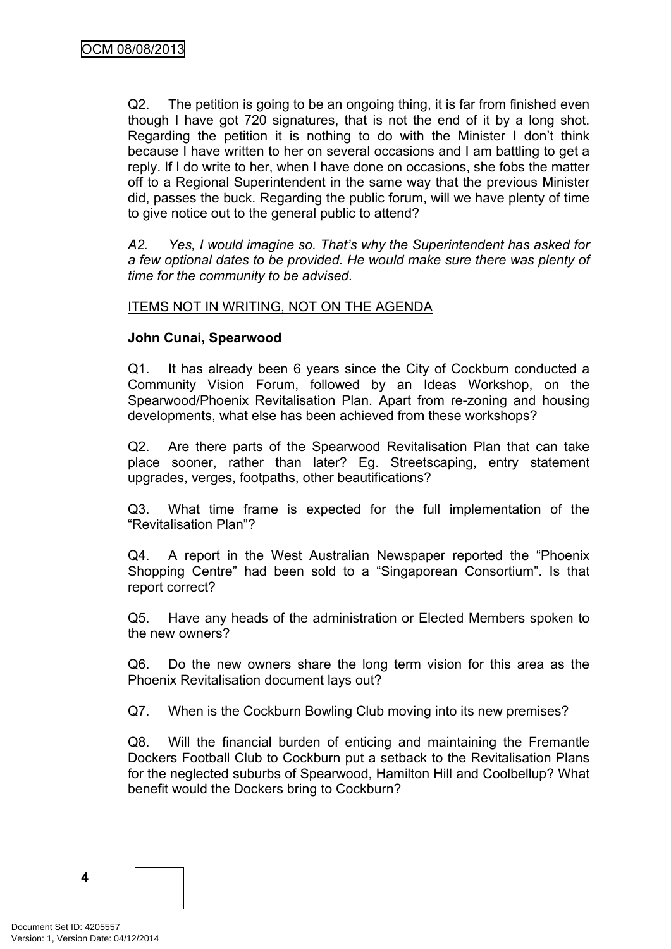Q2. The petition is going to be an ongoing thing, it is far from finished even though I have got 720 signatures, that is not the end of it by a long shot. Regarding the petition it is nothing to do with the Minister I don't think because I have written to her on several occasions and I am battling to get a reply. If I do write to her, when I have done on occasions, she fobs the matter off to a Regional Superintendent in the same way that the previous Minister did, passes the buck. Regarding the public forum, will we have plenty of time to give notice out to the general public to attend?

*A2. Yes, I would imagine so. That's why the Superintendent has asked for a few optional dates to be provided. He would make sure there was plenty of time for the community to be advised.*

### ITEMS NOT IN WRITING, NOT ON THE AGENDA

### **John Cunai, Spearwood**

Q1. It has already been 6 years since the City of Cockburn conducted a Community Vision Forum, followed by an Ideas Workshop, on the Spearwood/Phoenix Revitalisation Plan. Apart from re-zoning and housing developments, what else has been achieved from these workshops?

Q2. Are there parts of the Spearwood Revitalisation Plan that can take place sooner, rather than later? Eg. Streetscaping, entry statement upgrades, verges, footpaths, other beautifications?

Q3. What time frame is expected for the full implementation of the "Revitalisation Plan"?

Q4. A report in the West Australian Newspaper reported the "Phoenix Shopping Centre" had been sold to a "Singaporean Consortium". Is that report correct?

Q5. Have any heads of the administration or Elected Members spoken to the new owners?

Q6. Do the new owners share the long term vision for this area as the Phoenix Revitalisation document lays out?

Q7. When is the Cockburn Bowling Club moving into its new premises?

Q8. Will the financial burden of enticing and maintaining the Fremantle Dockers Football Club to Cockburn put a setback to the Revitalisation Plans for the neglected suburbs of Spearwood, Hamilton Hill and Coolbellup? What benefit would the Dockers bring to Cockburn?

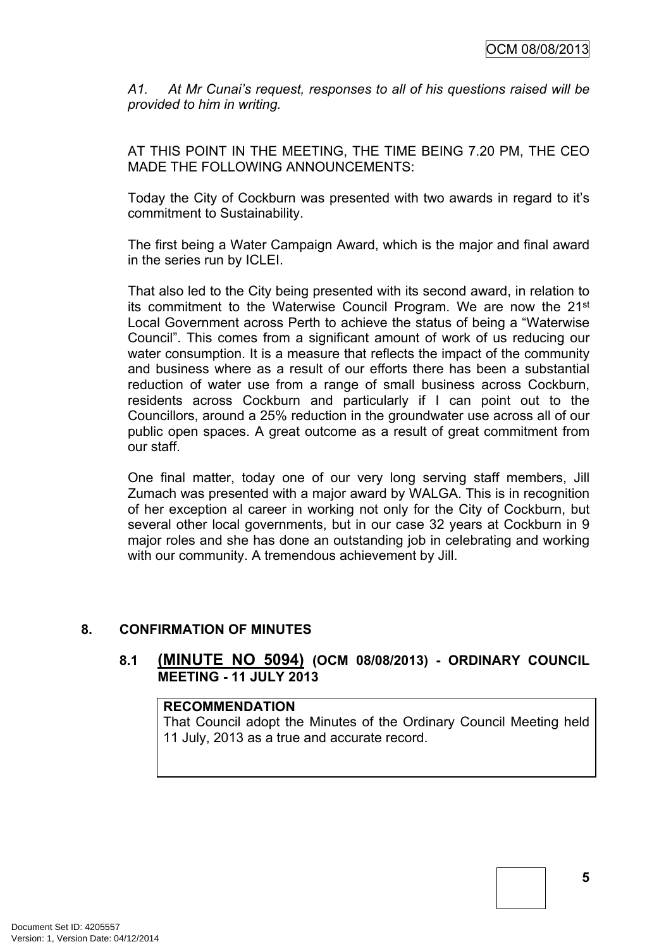*A1. At Mr Cunai's request, responses to all of his questions raised will be provided to him in writing.*

AT THIS POINT IN THE MEETING, THE TIME BEING 7.20 PM, THE CEO MADE THE FOLLOWING ANNOUNCEMENTS:

Today the City of Cockburn was presented with two awards in regard to it's commitment to Sustainability.

The first being a Water Campaign Award, which is the major and final award in the series run by ICLEI.

That also led to the City being presented with its second award, in relation to its commitment to the Waterwise Council Program. We are now the 21st Local Government across Perth to achieve the status of being a "Waterwise Council". This comes from a significant amount of work of us reducing our water consumption. It is a measure that reflects the impact of the community and business where as a result of our efforts there has been a substantial reduction of water use from a range of small business across Cockburn, residents across Cockburn and particularly if I can point out to the Councillors, around a 25% reduction in the groundwater use across all of our public open spaces. A great outcome as a result of great commitment from our staff.

One final matter, today one of our very long serving staff members, Jill Zumach was presented with a major award by WALGA. This is in recognition of her exception al career in working not only for the City of Cockburn, but several other local governments, but in our case 32 years at Cockburn in 9 major roles and she has done an outstanding job in celebrating and working with our community. A tremendous achievement by Jill.

### <span id="page-8-0"></span>**8. CONFIRMATION OF MINUTES**

### <span id="page-8-1"></span>**8.1 (MINUTE NO 5094) (OCM 08/08/2013) - ORDINARY COUNCIL MEETING - 11 JULY 2013**

### **RECOMMENDATION**

That Council adopt the Minutes of the Ordinary Council Meeting held 11 July, 2013 as a true and accurate record.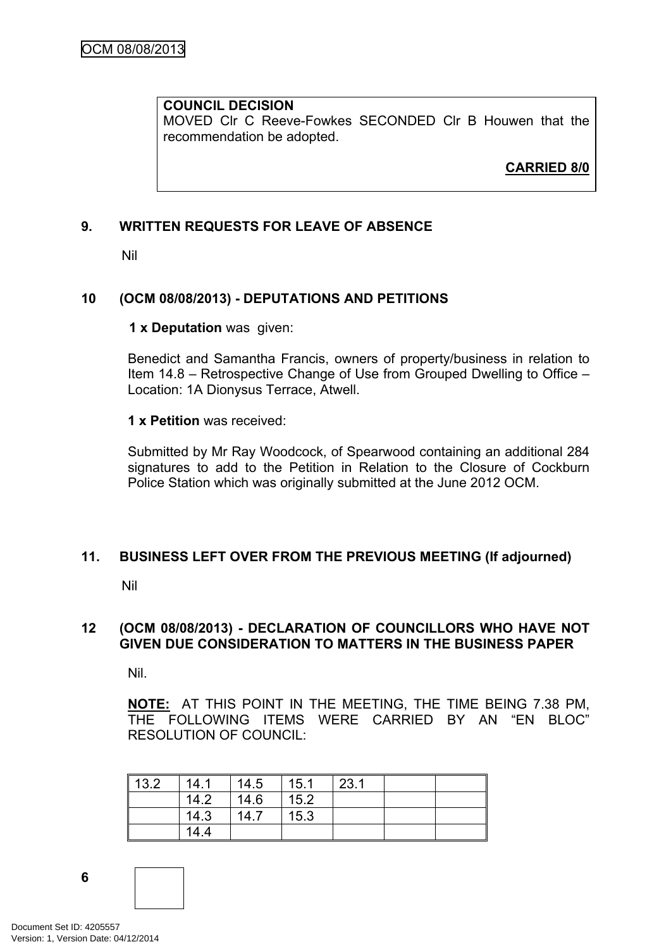### **COUNCIL DECISION**

MOVED Clr C Reeve-Fowkes SECONDED Clr B Houwen that the recommendation be adopted.

**CARRIED 8/0**

### <span id="page-9-0"></span>**9. WRITTEN REQUESTS FOR LEAVE OF ABSENCE**

Nil

### <span id="page-9-1"></span>**10 (OCM 08/08/2013) - DEPUTATIONS AND PETITIONS**

#### **1 x Deputation** was given:

Benedict and Samantha Francis, owners of property/business in relation to Item 14.8 – Retrospective Change of Use from Grouped Dwelling to Office – Location: 1A Dionysus Terrace, Atwell.

### **1 x Petition** was received:

Submitted by Mr Ray Woodcock, of Spearwood containing an additional 284 signatures to add to the Petition in Relation to the Closure of Cockburn Police Station which was originally submitted at the June 2012 OCM.

### <span id="page-9-2"></span>**11. BUSINESS LEFT OVER FROM THE PREVIOUS MEETING (If adjourned)**

Nil

### <span id="page-9-3"></span>**12 (OCM 08/08/2013) - DECLARATION OF COUNCILLORS WHO HAVE NOT GIVEN DUE CONSIDERATION TO MATTERS IN THE BUSINESS PAPER**

Nil.

**NOTE:** AT THIS POINT IN THE MEETING, THE TIME BEING 7.38 PM, THE FOLLOWING ITEMS WERE CARRIED BY AN "EN BLOC" RESOLUTION OF COUNCIL:

| $\parallel$ 13.2 | 14.1 | 14.5 | $\vert$ 15.1 | 23.1 |  |
|------------------|------|------|--------------|------|--|
|                  | 14.2 | 14.6 | 15.2         |      |  |
|                  | 14.3 | 14.7 | 15.3         |      |  |
|                  | 14.4 |      |              |      |  |

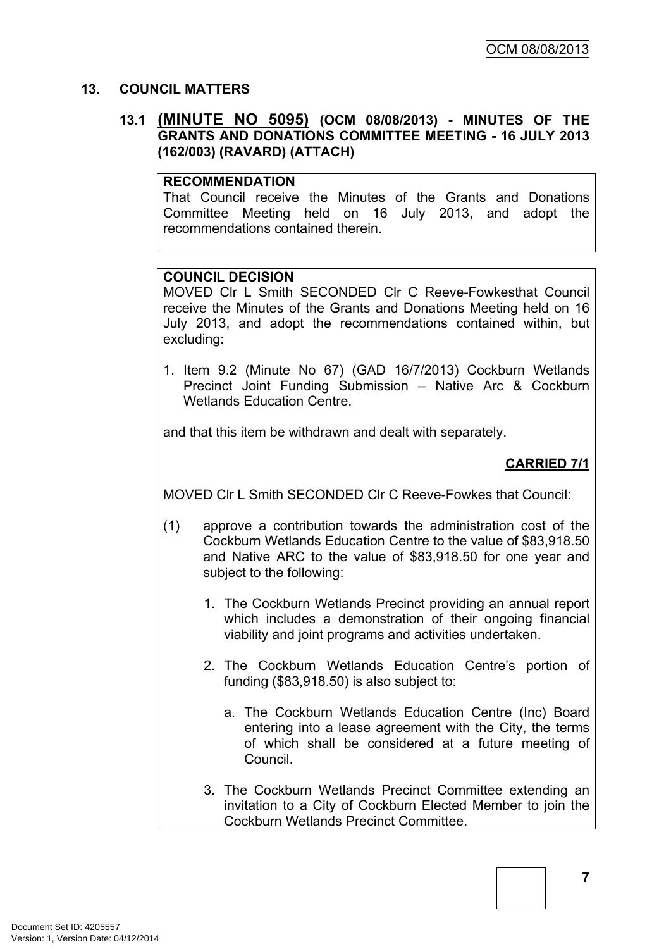### <span id="page-10-0"></span>**13. COUNCIL MATTERS**

### <span id="page-10-1"></span>**13.1 (MINUTE NO 5095) (OCM 08/08/2013) - MINUTES OF THE GRANTS AND DONATIONS COMMITTEE MEETING - 16 JULY 2013 (162/003) (RAVARD) (ATTACH)**

### **RECOMMENDATION**

That Council receive the Minutes of the Grants and Donations Committee Meeting held on 16 July 2013, and adopt the recommendations contained therein.

### **COUNCIL DECISION**

MOVED Clr L Smith SECONDED Clr C Reeve-Fowkesthat Council receive the Minutes of the Grants and Donations Meeting held on 16 July 2013, and adopt the recommendations contained within, but excluding:

1. Item 9.2 (Minute No 67) (GAD 16/7/2013) Cockburn Wetlands Precinct Joint Funding Submission – Native Arc & Cockburn Wetlands Education Centre.

and that this item be withdrawn and dealt with separately.

### **CARRIED 7/1**

MOVED Clr L Smith SECONDED Clr C Reeve-Fowkes that Council:

- (1) approve a contribution towards the administration cost of the Cockburn Wetlands Education Centre to the value of \$83,918.50 and Native ARC to the value of \$83,918.50 for one year and subject to the following:
	- 1. The Cockburn Wetlands Precinct providing an annual report which includes a demonstration of their ongoing financial viability and joint programs and activities undertaken.
	- 2. The Cockburn Wetlands Education Centre's portion of funding (\$83,918.50) is also subject to:
		- a. The Cockburn Wetlands Education Centre (Inc) Board entering into a lease agreement with the City, the terms of which shall be considered at a future meeting of Council.
	- 3. The Cockburn Wetlands Precinct Committee extending an invitation to a City of Cockburn Elected Member to join the Cockburn Wetlands Precinct Committee.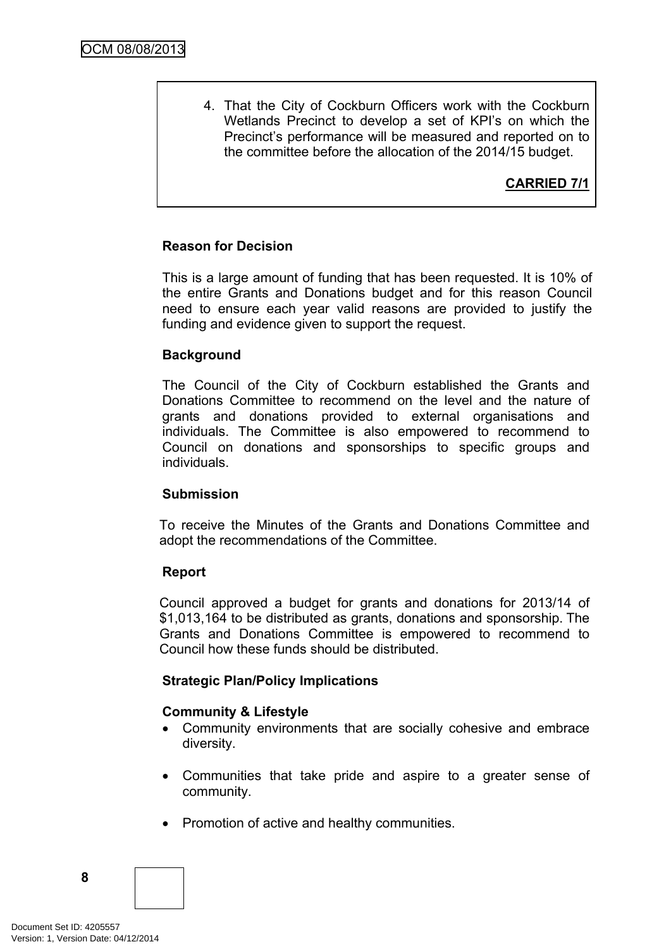4. That the City of Cockburn Officers work with the Cockburn Wetlands Precinct to develop a set of KPI's on which the Precinct's performance will be measured and reported on to the committee before the allocation of the 2014/15 budget.

## **CARRIED 7/1**

### **Reason for Decision**

This is a large amount of funding that has been requested. It is 10% of the entire Grants and Donations budget and for this reason Council need to ensure each year valid reasons are provided to justify the funding and evidence given to support the request.

### **Background**

The Council of the City of Cockburn established the Grants and Donations Committee to recommend on the level and the nature of grants and donations provided to external organisations and individuals. The Committee is also empowered to recommend to Council on donations and sponsorships to specific groups and individuals.

### **Submission**

To receive the Minutes of the Grants and Donations Committee and adopt the recommendations of the Committee.

### **Report**

Council approved a budget for grants and donations for 2013/14 of \$1,013,164 to be distributed as grants, donations and sponsorship. The Grants and Donations Committee is empowered to recommend to Council how these funds should be distributed.

### **Strategic Plan/Policy Implications**

### **Community & Lifestyle**

- Community environments that are socially cohesive and embrace diversity.
- Communities that take pride and aspire to a greater sense of community.
- Promotion of active and healthy communities.

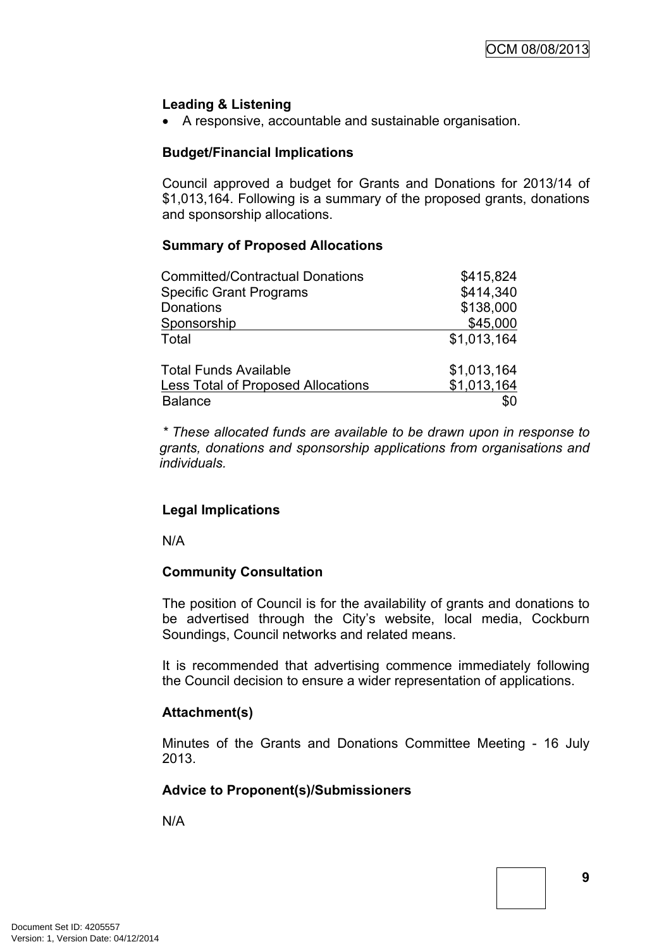### **Leading & Listening**

A responsive, accountable and sustainable organisation.

### **Budget/Financial Implications**

Council approved a budget for Grants and Donations for 2013/14 of \$1,013,164. Following is a summary of the proposed grants, donations and sponsorship allocations.

### **Summary of Proposed Allocations**

| <b>Committed/Contractual Donations</b>    | \$415,824   |
|-------------------------------------------|-------------|
| <b>Specific Grant Programs</b>            | \$414,340   |
| <b>Donations</b>                          | \$138,000   |
| Sponsorship                               | \$45,000    |
| Total                                     | \$1,013,164 |
| <b>Total Funds Available</b>              | \$1,013,164 |
| <b>Less Total of Proposed Allocations</b> | \$1,013,164 |
| <b>Balance</b>                            | \$0         |

*\* These allocated funds are available to be drawn upon in response to grants, donations and sponsorship applications from organisations and individuals.*

### **Legal Implications**

N/A

### **Community Consultation**

The position of Council is for the availability of grants and donations to be advertised through the City's website, local media, Cockburn Soundings, Council networks and related means.

It is recommended that advertising commence immediately following the Council decision to ensure a wider representation of applications.

### **Attachment(s)**

Minutes of the Grants and Donations Committee Meeting - 16 July 2013.

### **Advice to Proponent(s)/Submissioners**

N/A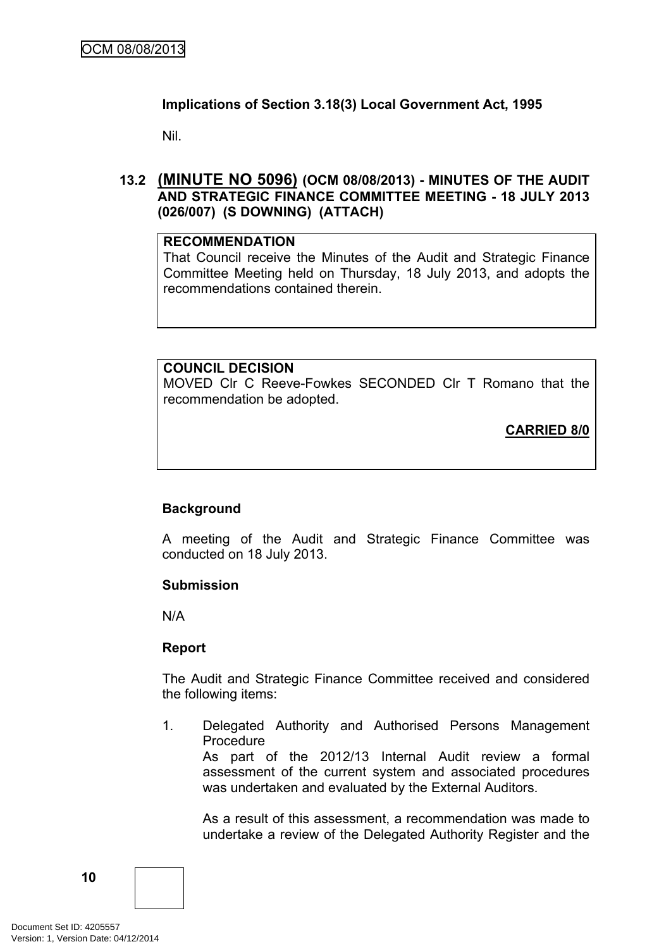### **Implications of Section 3.18(3) Local Government Act, 1995**

Nil.

### <span id="page-13-0"></span>**13.2 (MINUTE NO 5096) (OCM 08/08/2013) - MINUTES OF THE AUDIT AND STRATEGIC FINANCE COMMITTEE MEETING - 18 JULY 2013 (026/007) (S DOWNING) (ATTACH)**

### **RECOMMENDATION**

That Council receive the Minutes of the Audit and Strategic Finance Committee Meeting held on Thursday, 18 July 2013, and adopts the recommendations contained therein.

### **COUNCIL DECISION**

MOVED Clr C Reeve-Fowkes SECONDED Clr T Romano that the recommendation be adopted.

**CARRIED 8/0**

### **Background**

A meeting of the Audit and Strategic Finance Committee was conducted on 18 July 2013.

### **Submission**

N/A

### **Report**

The Audit and Strategic Finance Committee received and considered the following items:

1. Delegated Authority and Authorised Persons Management Procedure

As part of the 2012/13 Internal Audit review a formal assessment of the current system and associated procedures was undertaken and evaluated by the External Auditors.

As a result of this assessment, a recommendation was made to undertake a review of the Delegated Authority Register and the

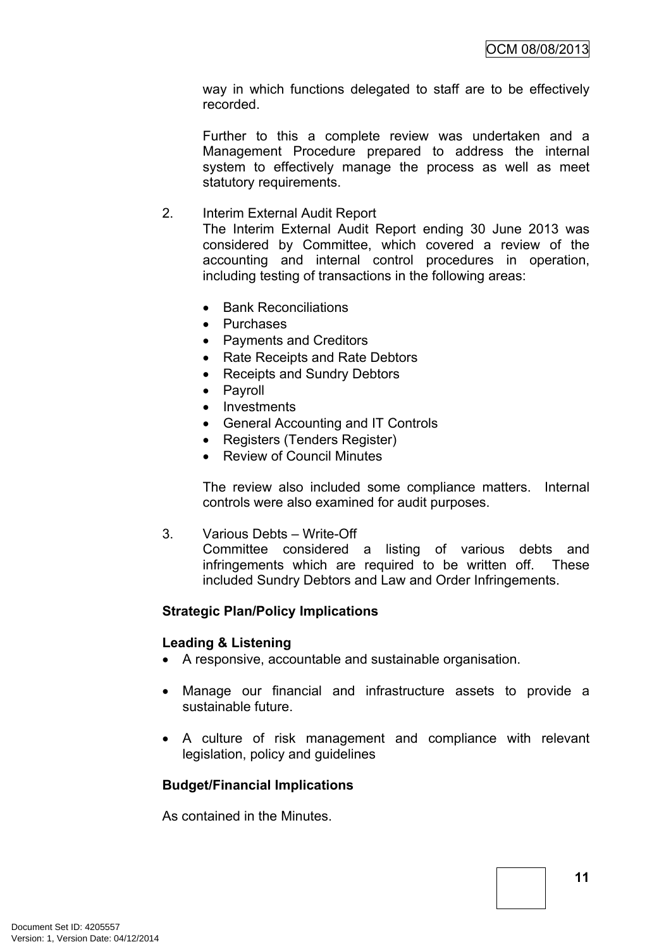way in which functions delegated to staff are to be effectively recorded.

Further to this a complete review was undertaken and a Management Procedure prepared to address the internal system to effectively manage the process as well as meet statutory requirements.

### 2. Interim External Audit Report

The Interim External Audit Report ending 30 June 2013 was considered by Committee, which covered a review of the accounting and internal control procedures in operation, including testing of transactions in the following areas:

- Bank Reconciliations
- Purchases
- Payments and Creditors
- Rate Receipts and Rate Debtors
- Receipts and Sundry Debtors
- Payroll
- Investments
- General Accounting and IT Controls
- Registers (Tenders Register)
- Review of Council Minutes

The review also included some compliance matters. Internal controls were also examined for audit purposes.

3. Various Debts – Write-Off

Committee considered a listing of various debts and infringements which are required to be written off. These included Sundry Debtors and Law and Order Infringements.

### **Strategic Plan/Policy Implications**

### **Leading & Listening**

- A responsive, accountable and sustainable organisation.
- Manage our financial and infrastructure assets to provide a sustainable future.
- A culture of risk management and compliance with relevant legislation, policy and guidelines

### **Budget/Financial Implications**

As contained in the Minutes.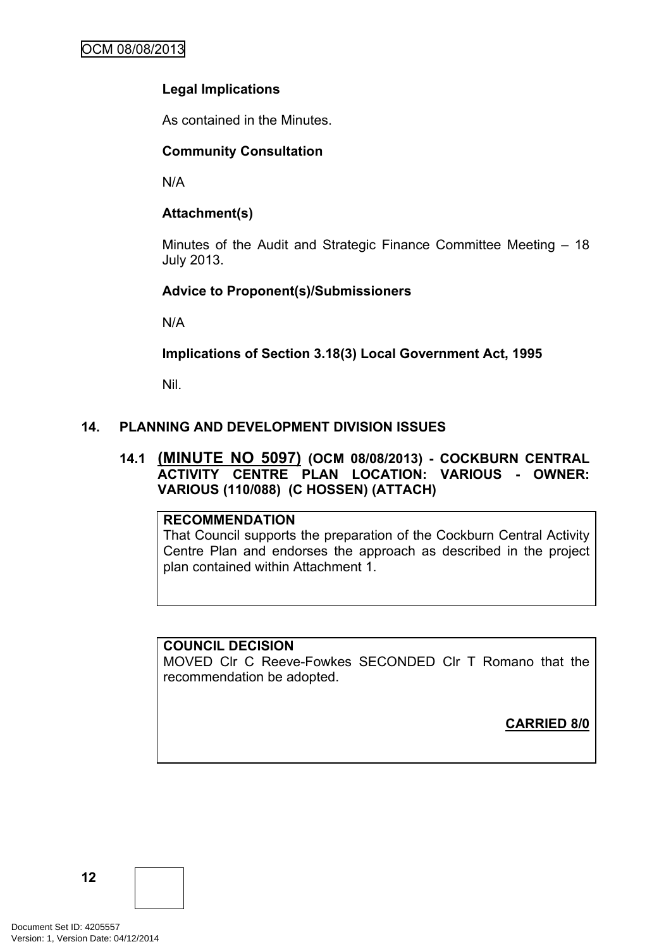### **Legal Implications**

As contained in the Minutes.

### **Community Consultation**

N/A

### **Attachment(s)**

Minutes of the Audit and Strategic Finance Committee Meeting – 18 July 2013.

### **Advice to Proponent(s)/Submissioners**

N/A

**Implications of Section 3.18(3) Local Government Act, 1995**

Nil.

### <span id="page-15-0"></span>**14. PLANNING AND DEVELOPMENT DIVISION ISSUES**

<span id="page-15-1"></span>**14.1 (MINUTE NO 5097) (OCM 08/08/2013) - COCKBURN CENTRAL ACTIVITY CENTRE PLAN LOCATION: VARIOUS - OWNER: VARIOUS (110/088) (C HOSSEN) (ATTACH)**

### **RECOMMENDATION**

That Council supports the preparation of the Cockburn Central Activity Centre Plan and endorses the approach as described in the project plan contained within Attachment 1.

#### **COUNCIL DECISION**

MOVED Clr C Reeve-Fowkes SECONDED Clr T Romano that the recommendation be adopted.

**CARRIED 8/0**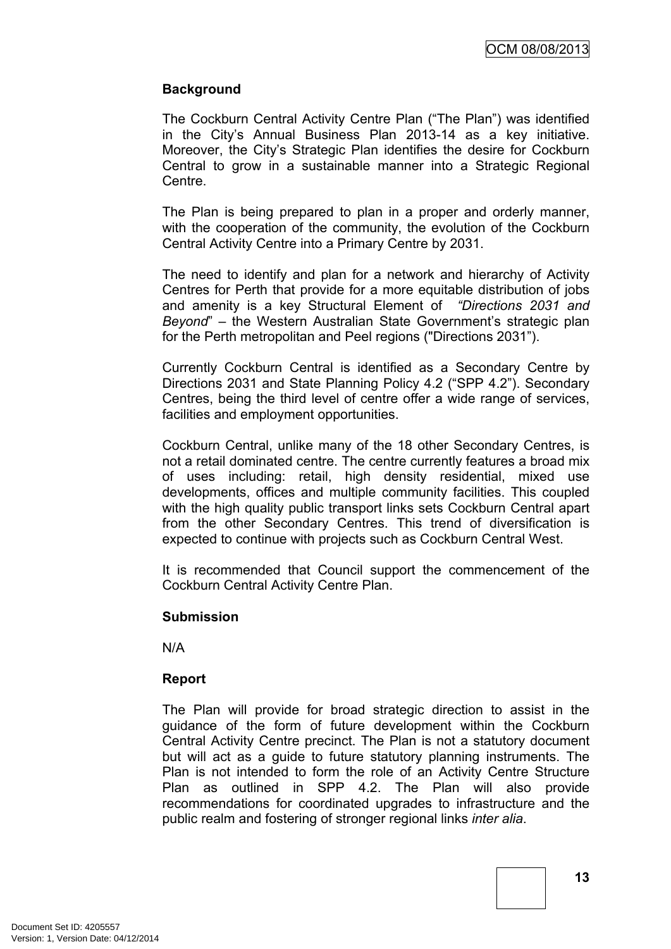### **Background**

The Cockburn Central Activity Centre Plan ("The Plan") was identified in the City's Annual Business Plan 2013-14 as a key initiative. Moreover, the City's Strategic Plan identifies the desire for Cockburn Central to grow in a sustainable manner into a Strategic Regional Centre.

The Plan is being prepared to plan in a proper and orderly manner, with the cooperation of the community, the evolution of the Cockburn Central Activity Centre into a Primary Centre by 2031.

The need to identify and plan for a network and hierarchy of Activity Centres for Perth that provide for a more equitable distribution of jobs and amenity is a key Structural Element of *"Directions 2031 and Beyond*" – the Western Australian State Government's strategic plan for the Perth metropolitan and Peel regions ("Directions 2031").

Currently Cockburn Central is identified as a Secondary Centre by Directions 2031 and State Planning Policy 4.2 ("SPP 4.2"). Secondary Centres, being the third level of centre offer a wide range of services, facilities and employment opportunities.

Cockburn Central, unlike many of the 18 other Secondary Centres, is not a retail dominated centre. The centre currently features a broad mix of uses including: retail, high density residential, mixed use developments, offices and multiple community facilities. This coupled with the high quality public transport links sets Cockburn Central apart from the other Secondary Centres. This trend of diversification is expected to continue with projects such as Cockburn Central West.

It is recommended that Council support the commencement of the Cockburn Central Activity Centre Plan.

### **Submission**

N/A

### **Report**

The Plan will provide for broad strategic direction to assist in the guidance of the form of future development within the Cockburn Central Activity Centre precinct. The Plan is not a statutory document but will act as a guide to future statutory planning instruments. The Plan is not intended to form the role of an Activity Centre Structure Plan as outlined in SPP 4.2. The Plan will also provide recommendations for coordinated upgrades to infrastructure and the public realm and fostering of stronger regional links *inter alia*.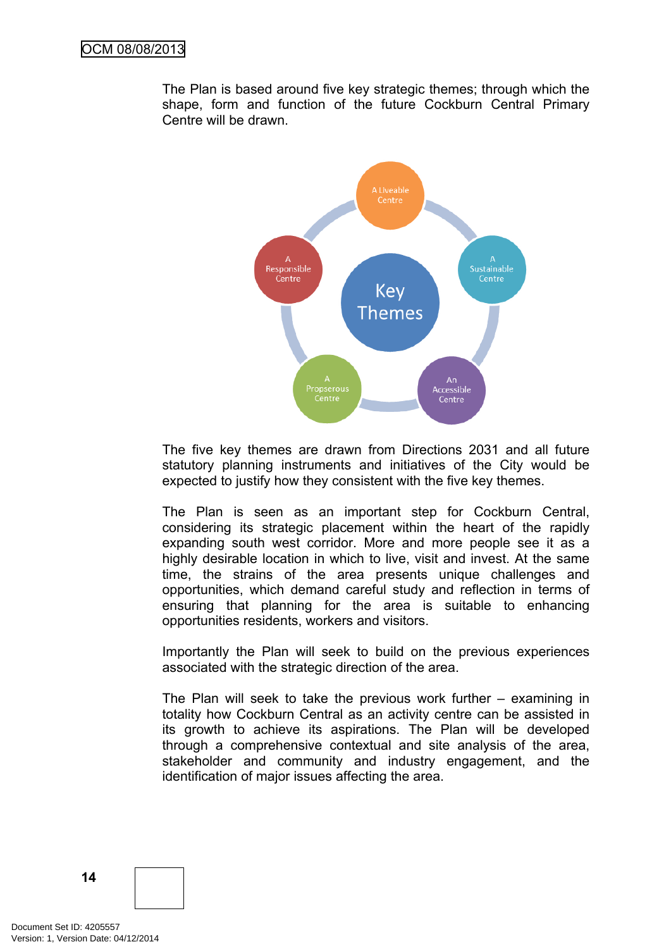The Plan is based around five key strategic themes; through which the shape, form and function of the future Cockburn Central Primary Centre will be drawn.



The five key themes are drawn from Directions 2031 and all future statutory planning instruments and initiatives of the City would be expected to justify how they consistent with the five key themes.

The Plan is seen as an important step for Cockburn Central, considering its strategic placement within the heart of the rapidly expanding south west corridor. More and more people see it as a highly desirable location in which to live, visit and invest. At the same time, the strains of the area presents unique challenges and opportunities, which demand careful study and reflection in terms of ensuring that planning for the area is suitable to enhancing opportunities residents, workers and visitors.

Importantly the Plan will seek to build on the previous experiences associated with the strategic direction of the area.

The Plan will seek to take the previous work further – examining in totality how Cockburn Central as an activity centre can be assisted in its growth to achieve its aspirations. The Plan will be developed through a comprehensive contextual and site analysis of the area, stakeholder and community and industry engagement, and the identification of major issues affecting the area.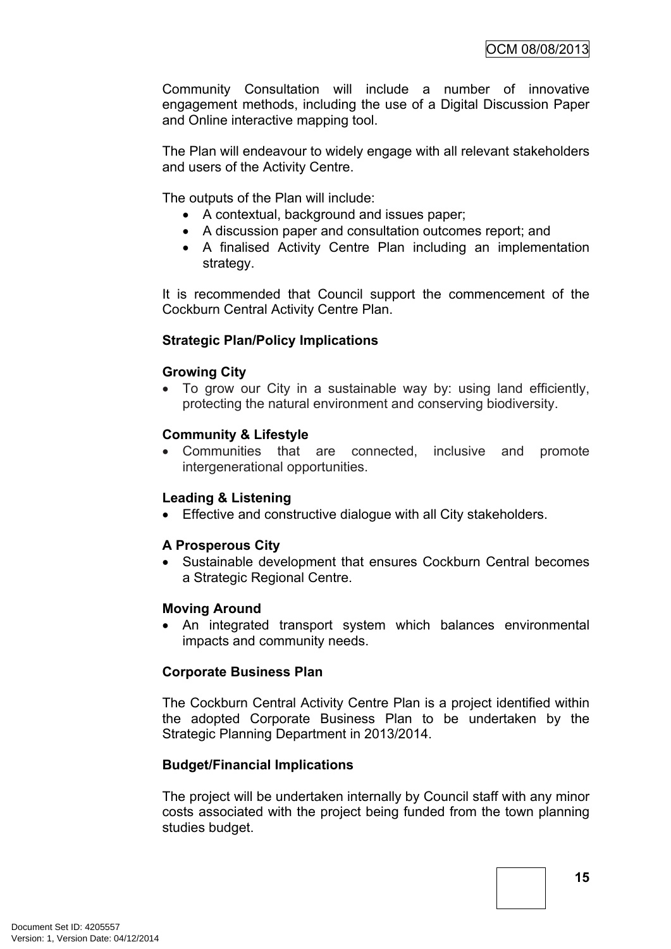Community Consultation will include a number of innovative engagement methods, including the use of a Digital Discussion Paper and Online interactive mapping tool.

The Plan will endeavour to widely engage with all relevant stakeholders and users of the Activity Centre.

The outputs of the Plan will include:

- A contextual, background and issues paper;
- A discussion paper and consultation outcomes report; and
- A finalised Activity Centre Plan including an implementation strategy.

It is recommended that Council support the commencement of the Cockburn Central Activity Centre Plan.

### **Strategic Plan/Policy Implications**

### **Growing City**

 To grow our City in a sustainable way by: using land efficiently, protecting the natural environment and conserving biodiversity.

### **Community & Lifestyle**

 Communities that are connected, inclusive and promote intergenerational opportunities.

### **Leading & Listening**

Effective and constructive dialogue with all City stakeholders.

### **A Prosperous City**

 Sustainable development that ensures Cockburn Central becomes a Strategic Regional Centre.

### **Moving Around**

• An integrated transport system which balances environmental impacts and community needs.

### **Corporate Business Plan**

The Cockburn Central Activity Centre Plan is a project identified within the adopted Corporate Business Plan to be undertaken by the Strategic Planning Department in 2013/2014.

### **Budget/Financial Implications**

The project will be undertaken internally by Council staff with any minor costs associated with the project being funded from the town planning studies budget.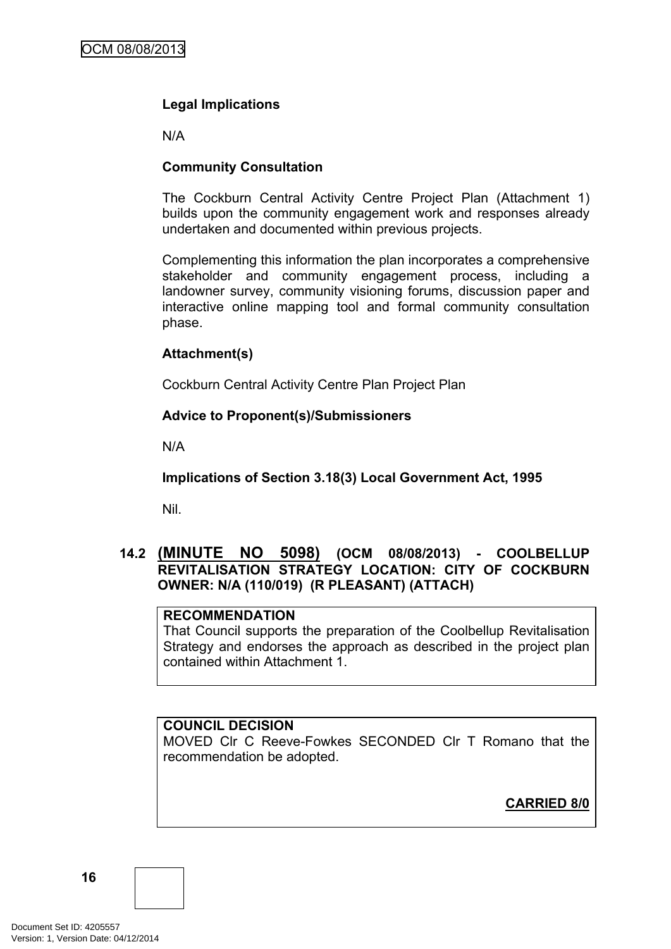### **Legal Implications**

N/A

### **Community Consultation**

The Cockburn Central Activity Centre Project Plan (Attachment 1) builds upon the community engagement work and responses already undertaken and documented within previous projects.

Complementing this information the plan incorporates a comprehensive stakeholder and community engagement process, including a landowner survey, community visioning forums, discussion paper and interactive online mapping tool and formal community consultation phase.

### **Attachment(s)**

Cockburn Central Activity Centre Plan Project Plan

### **Advice to Proponent(s)/Submissioners**

N/A

**Implications of Section 3.18(3) Local Government Act, 1995**

Nil.

### <span id="page-19-0"></span>**14.2 (MINUTE NO 5098) (OCM 08/08/2013) - COOLBELLUP REVITALISATION STRATEGY LOCATION: CITY OF COCKBURN OWNER: N/A (110/019) (R PLEASANT) (ATTACH)**

### **RECOMMENDATION**

That Council supports the preparation of the Coolbellup Revitalisation Strategy and endorses the approach as described in the project plan contained within Attachment 1.

### **COUNCIL DECISION**

MOVED Clr C Reeve-Fowkes SECONDED Clr T Romano that the recommendation be adopted.

**CARRIED 8/0**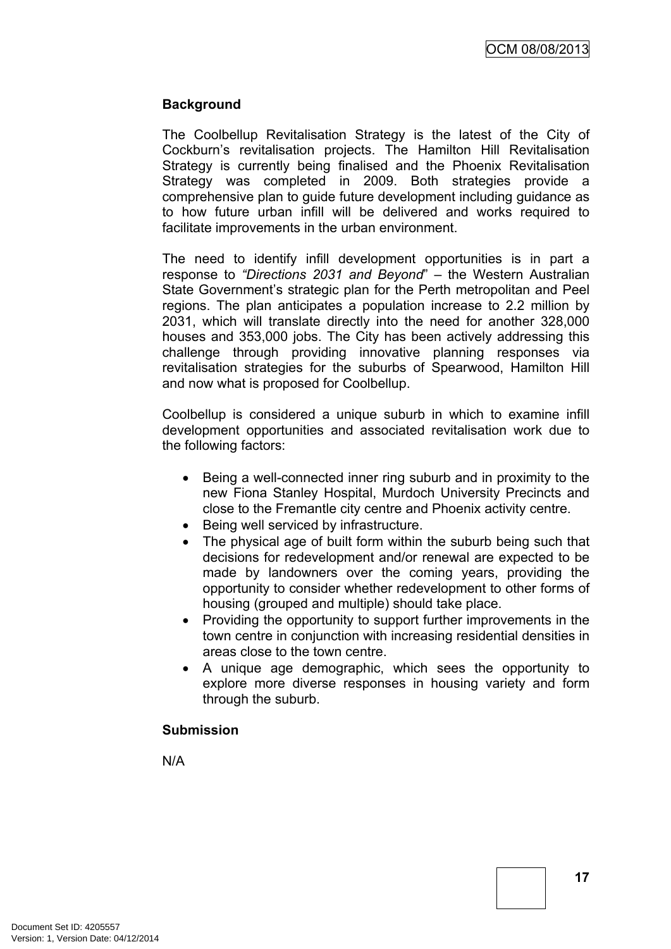### **Background**

The Coolbellup Revitalisation Strategy is the latest of the City of Cockburn's revitalisation projects. The Hamilton Hill Revitalisation Strategy is currently being finalised and the Phoenix Revitalisation Strategy was completed in 2009. Both strategies provide a comprehensive plan to guide future development including guidance as to how future urban infill will be delivered and works required to facilitate improvements in the urban environment.

The need to identify infill development opportunities is in part a response to *"Directions 2031 and Beyond*" – the Western Australian State Government's strategic plan for the Perth metropolitan and Peel regions. The plan anticipates a population increase to 2.2 million by 2031, which will translate directly into the need for another 328,000 houses and 353,000 jobs. The City has been actively addressing this challenge through providing innovative planning responses via revitalisation strategies for the suburbs of Spearwood, Hamilton Hill and now what is proposed for Coolbellup.

Coolbellup is considered a unique suburb in which to examine infill development opportunities and associated revitalisation work due to the following factors:

- Being a well-connected inner ring suburb and in proximity to the new Fiona Stanley Hospital, Murdoch University Precincts and close to the Fremantle city centre and Phoenix activity centre.
- Being well serviced by infrastructure.
- The physical age of built form within the suburb being such that decisions for redevelopment and/or renewal are expected to be made by landowners over the coming years, providing the opportunity to consider whether redevelopment to other forms of housing (grouped and multiple) should take place.
- Providing the opportunity to support further improvements in the town centre in conjunction with increasing residential densities in areas close to the town centre.
- A unique age demographic, which sees the opportunity to explore more diverse responses in housing variety and form through the suburb.

### **Submission**

N/A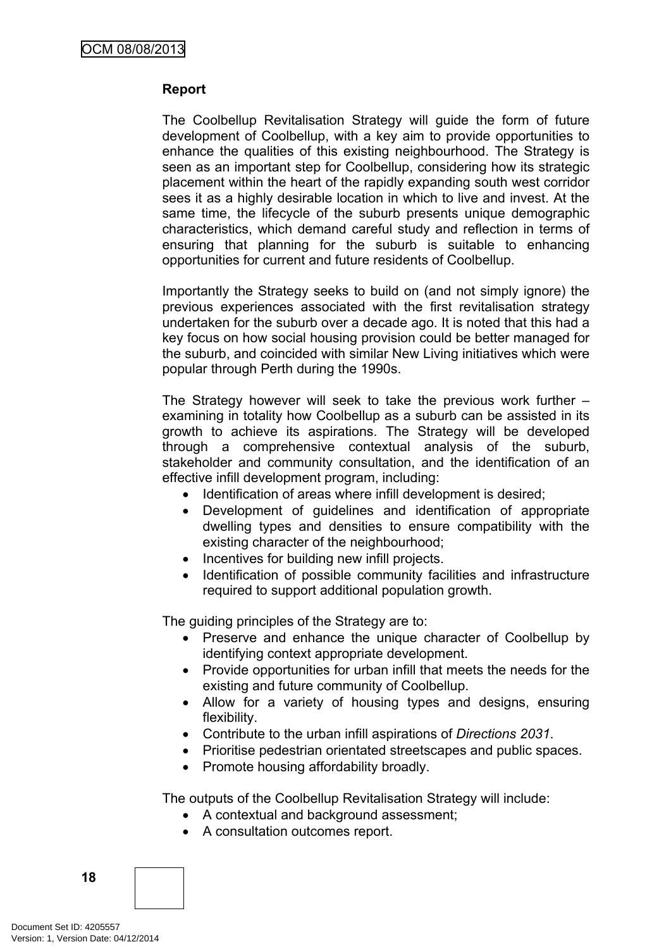### **Report**

The Coolbellup Revitalisation Strategy will guide the form of future development of Coolbellup, with a key aim to provide opportunities to enhance the qualities of this existing neighbourhood. The Strategy is seen as an important step for Coolbellup, considering how its strategic placement within the heart of the rapidly expanding south west corridor sees it as a highly desirable location in which to live and invest. At the same time, the lifecycle of the suburb presents unique demographic characteristics, which demand careful study and reflection in terms of ensuring that planning for the suburb is suitable to enhancing opportunities for current and future residents of Coolbellup.

Importantly the Strategy seeks to build on (and not simply ignore) the previous experiences associated with the first revitalisation strategy undertaken for the suburb over a decade ago. It is noted that this had a key focus on how social housing provision could be better managed for the suburb, and coincided with similar New Living initiatives which were popular through Perth during the 1990s.

The Strategy however will seek to take the previous work further – examining in totality how Coolbellup as a suburb can be assisted in its growth to achieve its aspirations. The Strategy will be developed through a comprehensive contextual analysis of the suburb, stakeholder and community consultation, and the identification of an effective infill development program, including:

- Identification of areas where infill development is desired;
- Development of guidelines and identification of appropriate dwelling types and densities to ensure compatibility with the existing character of the neighbourhood;
- Incentives for building new infill projects.
- Identification of possible community facilities and infrastructure required to support additional population growth.

The guiding principles of the Strategy are to:

- Preserve and enhance the unique character of Coolbellup by identifying context appropriate development.
- Provide opportunities for urban infill that meets the needs for the existing and future community of Coolbellup.
- Allow for a variety of housing types and designs, ensuring flexibility.
- Contribute to the urban infill aspirations of *Directions 2031*.
- Prioritise pedestrian orientated streetscapes and public spaces.
- Promote housing affordability broadly.

The outputs of the Coolbellup Revitalisation Strategy will include:

- A contextual and background assessment;
- A consultation outcomes report.

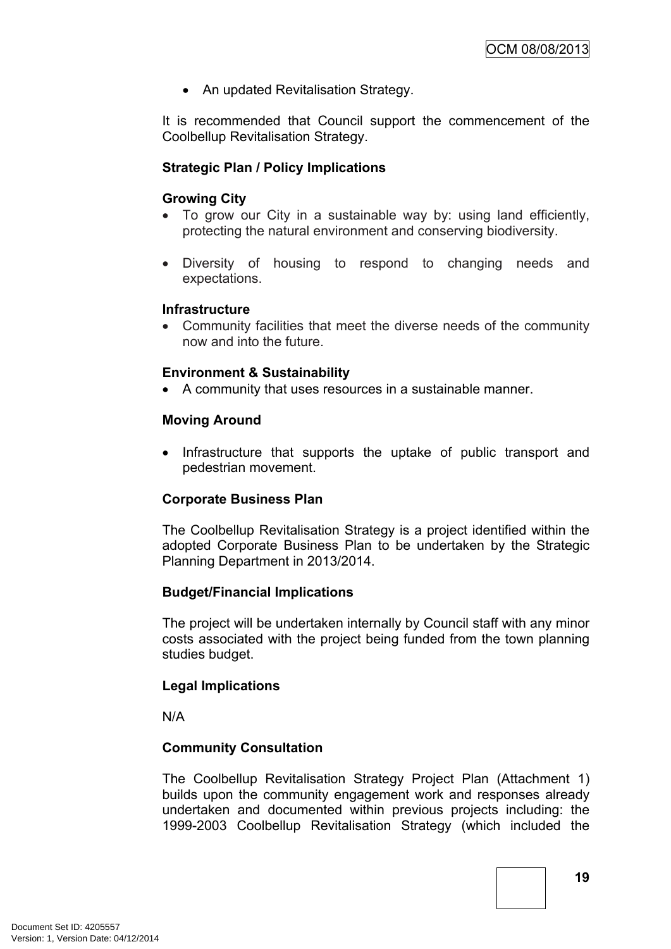• An updated Revitalisation Strategy.

It is recommended that Council support the commencement of the Coolbellup Revitalisation Strategy.

### **Strategic Plan / Policy Implications**

### **Growing City**

- To grow our City in a sustainable way by: using land efficiently, protecting the natural environment and conserving biodiversity.
- Diversity of housing to respond to changing needs and expectations.

### **Infrastructure**

 Community facilities that meet the diverse needs of the community now and into the future.

### **Environment & Sustainability**

A community that uses resources in a sustainable manner.

### **Moving Around**

• Infrastructure that supports the uptake of public transport and pedestrian movement.

### **Corporate Business Plan**

The Coolbellup Revitalisation Strategy is a project identified within the adopted Corporate Business Plan to be undertaken by the Strategic Planning Department in 2013/2014.

### **Budget/Financial Implications**

The project will be undertaken internally by Council staff with any minor costs associated with the project being funded from the town planning studies budget.

### **Legal Implications**

N/A

### **Community Consultation**

The Coolbellup Revitalisation Strategy Project Plan (Attachment 1) builds upon the community engagement work and responses already undertaken and documented within previous projects including: the 1999-2003 Coolbellup Revitalisation Strategy (which included the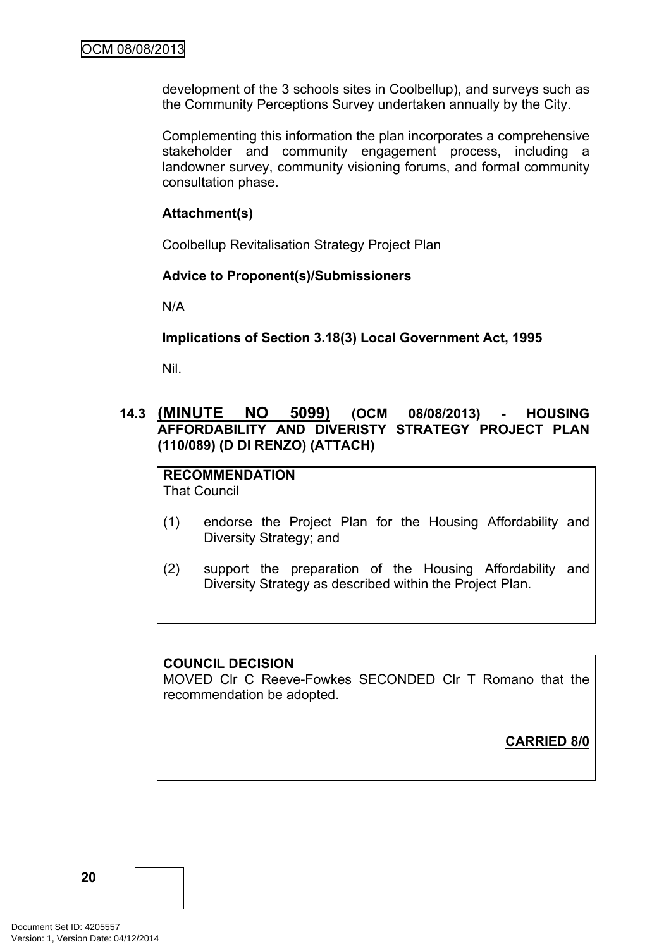development of the 3 schools sites in Coolbellup), and surveys such as the Community Perceptions Survey undertaken annually by the City.

Complementing this information the plan incorporates a comprehensive stakeholder and community engagement process, including a landowner survey, community visioning forums, and formal community consultation phase.

### **Attachment(s)**

Coolbellup Revitalisation Strategy Project Plan

### **Advice to Proponent(s)/Submissioners**

N/A

**Implications of Section 3.18(3) Local Government Act, 1995**

Nil.

### <span id="page-23-0"></span>**14.3 (MINUTE NO 5099) (OCM 08/08/2013) - HOUSING AFFORDABILITY AND DIVERISTY STRATEGY PROJECT PLAN (110/089) (D DI RENZO) (ATTACH)**

**RECOMMENDATION** That Council

- (1) endorse the Project Plan for the Housing Affordability and Diversity Strategy; and
- (2) support the preparation of the Housing Affordability and Diversity Strategy as described within the Project Plan.

### **COUNCIL DECISION**

MOVED Clr C Reeve-Fowkes SECONDED Clr T Romano that the recommendation be adopted.

**CARRIED 8/0**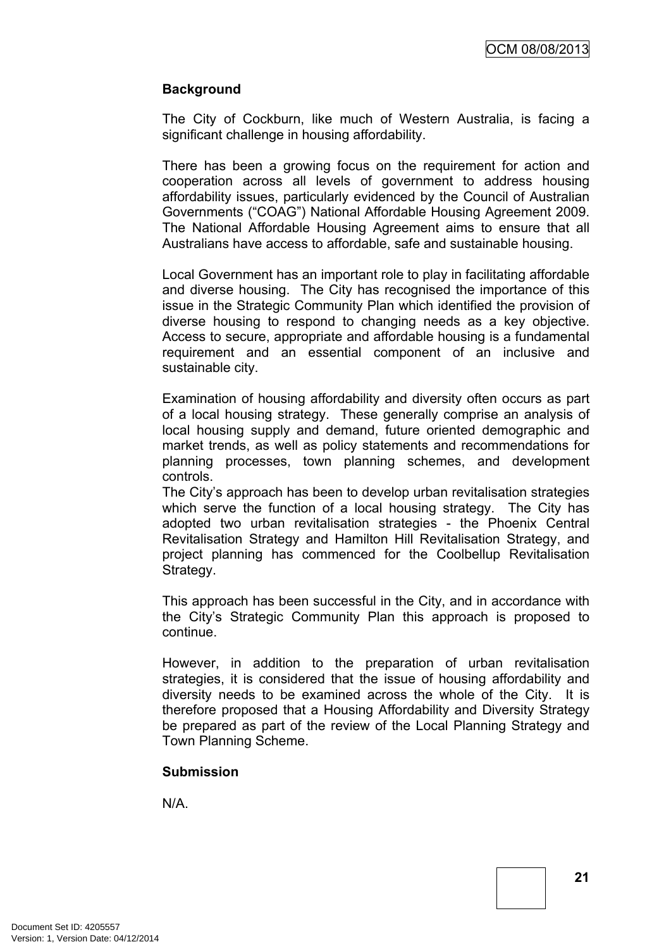### **Background**

The City of Cockburn, like much of Western Australia, is facing a significant challenge in housing affordability.

There has been a growing focus on the requirement for action and cooperation across all levels of government to address housing affordability issues, particularly evidenced by the Council of Australian Governments ("COAG") National Affordable Housing Agreement 2009. The National Affordable Housing Agreement aims to ensure that all Australians have access to affordable, safe and sustainable housing.

Local Government has an important role to play in facilitating affordable and diverse housing. The City has recognised the importance of this issue in the Strategic Community Plan which identified the provision of diverse housing to respond to changing needs as a key objective. Access to secure, appropriate and affordable housing is a fundamental requirement and an essential component of an inclusive and sustainable city.

Examination of housing affordability and diversity often occurs as part of a local housing strategy. These generally comprise an analysis of local housing supply and demand, future oriented demographic and market trends, as well as policy statements and recommendations for planning processes, town planning schemes, and development controls.

The City's approach has been to develop urban revitalisation strategies which serve the function of a local housing strategy. The City has adopted two urban revitalisation strategies - the Phoenix Central Revitalisation Strategy and Hamilton Hill Revitalisation Strategy, and project planning has commenced for the Coolbellup Revitalisation Strategy.

This approach has been successful in the City, and in accordance with the City's Strategic Community Plan this approach is proposed to continue.

However, in addition to the preparation of urban revitalisation strategies, it is considered that the issue of housing affordability and diversity needs to be examined across the whole of the City. It is therefore proposed that a Housing Affordability and Diversity Strategy be prepared as part of the review of the Local Planning Strategy and Town Planning Scheme.

### **Submission**

N/A.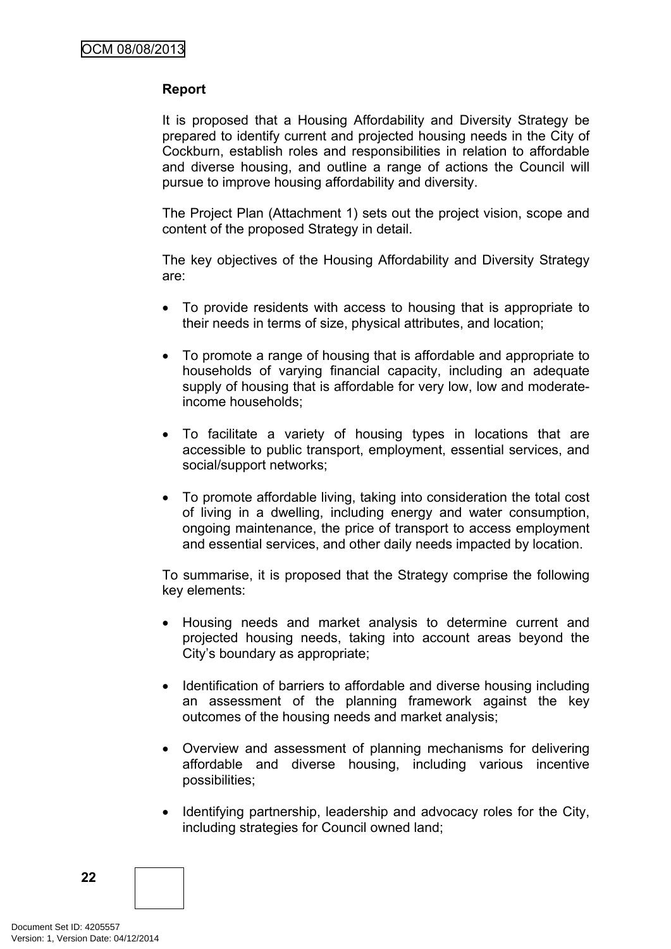### **Report**

It is proposed that a Housing Affordability and Diversity Strategy be prepared to identify current and projected housing needs in the City of Cockburn, establish roles and responsibilities in relation to affordable and diverse housing, and outline a range of actions the Council will pursue to improve housing affordability and diversity.

The Project Plan (Attachment 1) sets out the project vision, scope and content of the proposed Strategy in detail.

The key objectives of the Housing Affordability and Diversity Strategy are:

- To provide residents with access to housing that is appropriate to their needs in terms of size, physical attributes, and location;
- To promote a range of housing that is affordable and appropriate to households of varying financial capacity, including an adequate supply of housing that is affordable for very low, low and moderateincome households;
- To facilitate a variety of housing types in locations that are accessible to public transport, employment, essential services, and social/support networks;
- To promote affordable living, taking into consideration the total cost of living in a dwelling, including energy and water consumption, ongoing maintenance, the price of transport to access employment and essential services, and other daily needs impacted by location.

To summarise, it is proposed that the Strategy comprise the following key elements:

- Housing needs and market analysis to determine current and projected housing needs, taking into account areas beyond the City's boundary as appropriate;
- Identification of barriers to affordable and diverse housing including an assessment of the planning framework against the key outcomes of the housing needs and market analysis;
- Overview and assessment of planning mechanisms for delivering affordable and diverse housing, including various incentive possibilities;
- Identifying partnership, leadership and advocacy roles for the City, including strategies for Council owned land;

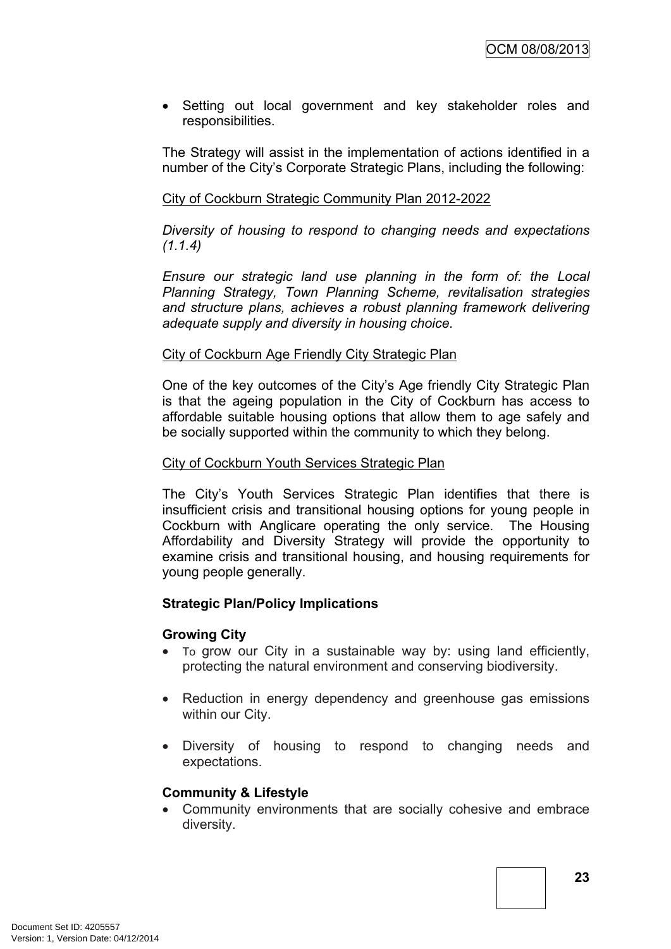Setting out local government and key stakeholder roles and responsibilities.

The Strategy will assist in the implementation of actions identified in a number of the City's Corporate Strategic Plans, including the following:

### City of Cockburn Strategic Community Plan 2012-2022

*Diversity of housing to respond to changing needs and expectations (1.1.4)*

*Ensure our strategic land use planning in the form of: the Local Planning Strategy, Town Planning Scheme, revitalisation strategies and structure plans, achieves a robust planning framework delivering adequate supply and diversity in housing choice.*

### City of Cockburn Age Friendly City Strategic Plan

One of the key outcomes of the City's Age friendly City Strategic Plan is that the ageing population in the City of Cockburn has access to affordable suitable housing options that allow them to age safely and be socially supported within the community to which they belong.

#### City of Cockburn Youth Services Strategic Plan

The City's Youth Services Strategic Plan identifies that there is insufficient crisis and transitional housing options for young people in Cockburn with Anglicare operating the only service. The Housing Affordability and Diversity Strategy will provide the opportunity to examine crisis and transitional housing, and housing requirements for young people generally.

### **Strategic Plan/Policy Implications**

#### **Growing City**

- To grow our City in a sustainable way by: using land efficiently, protecting the natural environment and conserving biodiversity.
- Reduction in energy dependency and greenhouse gas emissions within our City.
- Diversity of housing to respond to changing needs and expectations.

#### **Community & Lifestyle**

 Community environments that are socially cohesive and embrace diversity.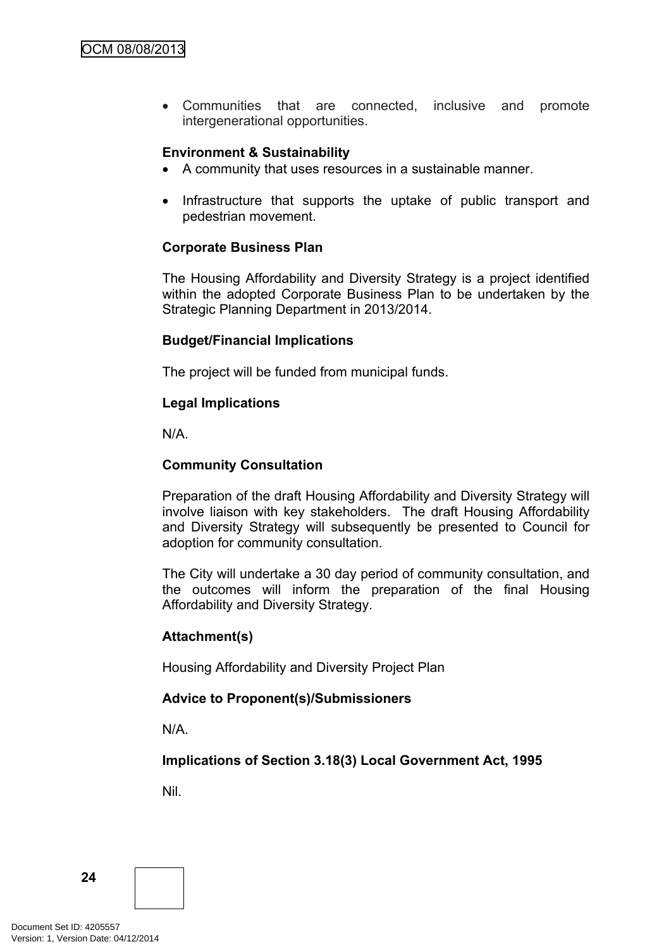Communities that are connected, inclusive and promote intergenerational opportunities.

### **Environment & Sustainability**

- A community that uses resources in a sustainable manner.
- Infrastructure that supports the uptake of public transport and pedestrian movement.

### **Corporate Business Plan**

The Housing Affordability and Diversity Strategy is a project identified within the adopted Corporate Business Plan to be undertaken by the Strategic Planning Department in 2013/2014.

### **Budget/Financial Implications**

The project will be funded from municipal funds.

### **Legal Implications**

N/A.

### **Community Consultation**

Preparation of the draft Housing Affordability and Diversity Strategy will involve liaison with key stakeholders. The draft Housing Affordability and Diversity Strategy will subsequently be presented to Council for adoption for community consultation.

The City will undertake a 30 day period of community consultation, and the outcomes will inform the preparation of the final Housing Affordability and Diversity Strategy.

### **Attachment(s)**

Housing Affordability and Diversity Project Plan

### **Advice to Proponent(s)/Submissioners**

N/A.

**Implications of Section 3.18(3) Local Government Act, 1995**

Nil.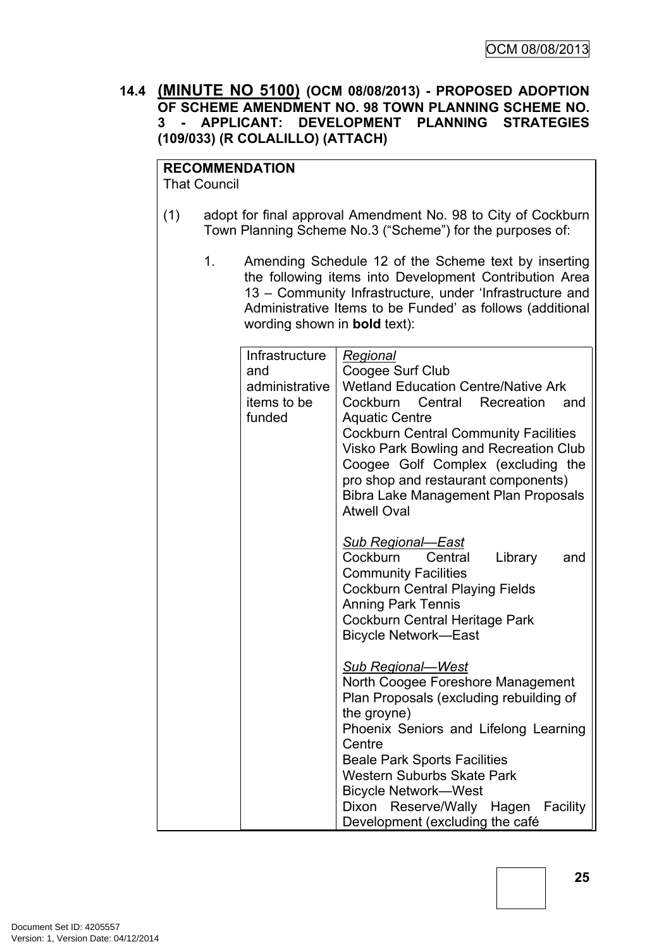### <span id="page-28-0"></span>**14.4 (MINUTE NO 5100) (OCM 08/08/2013) - PROPOSED ADOPTION OF SCHEME AMENDMENT NO. 98 TOWN PLANNING SCHEME NO. 3 - APPLICANT: DEVELOPMENT PLANNING STRATEGIES (109/033) (R COLALILLO) (ATTACH)**

### **RECOMMENDATION**

That Council

- (1) adopt for final approval Amendment No. 98 to City of Cockburn Town Planning Scheme No.3 ("Scheme") for the purposes of:
	- 1. Amending Schedule 12 of the Scheme text by inserting the following items into Development Contribution Area 13 – Community Infrastructure, under 'Infrastructure and Administrative Items to be Funded' as follows (additional wording shown in **bold** text):

| Infrastructure<br>and<br>administrative<br>items to be<br>funded | Regional<br>Coogee Surf Club<br><b>Wetland Education Centre/Native Ark</b><br>Cockburn Central Recreation<br>and<br><b>Aquatic Centre</b><br><b>Cockburn Central Community Facilities</b><br>Visko Park Bowling and Recreation Club<br>Coogee Golf Complex (excluding the<br>pro shop and restaurant components)<br>Bibra Lake Management Plan Proposals          |  |  |
|------------------------------------------------------------------|-------------------------------------------------------------------------------------------------------------------------------------------------------------------------------------------------------------------------------------------------------------------------------------------------------------------------------------------------------------------|--|--|
|                                                                  | <b>Atwell Oval</b><br><b>Sub Regional-East</b><br>Cockburn<br>Central<br>Library<br>and<br><b>Community Facilities</b><br><b>Cockburn Central Playing Fields</b><br><b>Anning Park Tennis</b><br><b>Cockburn Central Heritage Park</b><br><b>Bicycle Network-East</b>                                                                                             |  |  |
|                                                                  | <b>Sub Regional-West</b><br>North Coogee Foreshore Management<br>Plan Proposals (excluding rebuilding of<br>the groyne)<br>Phoenix Seniors and Lifelong Learning<br>Centre<br><b>Beale Park Sports Facilities</b><br><b>Western Suburbs Skate Park</b><br><b>Bicycle Network-West</b><br>Dixon Reserve/Wally Hagen<br>Facility<br>Development (excluding the café |  |  |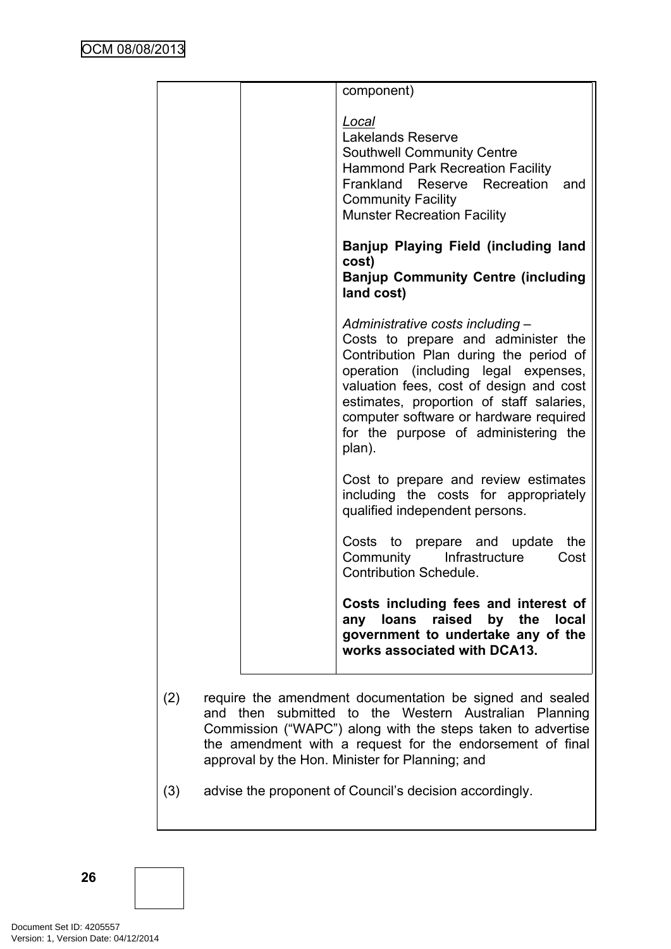|     | component)                                                                                                                                                                                                                                                                                                                                   |
|-----|----------------------------------------------------------------------------------------------------------------------------------------------------------------------------------------------------------------------------------------------------------------------------------------------------------------------------------------------|
|     | Local<br><b>Lakelands Reserve</b><br><b>Southwell Community Centre</b><br><b>Hammond Park Recreation Facility</b><br>Frankland<br>Reserve Recreation<br>and<br><b>Community Facility</b><br><b>Munster Recreation Facility</b>                                                                                                               |
|     | Banjup Playing Field (including land<br>cost)<br><b>Banjup Community Centre (including</b><br>land cost)                                                                                                                                                                                                                                     |
|     | Administrative costs including -<br>Costs to prepare and administer the<br>Contribution Plan during the period of<br>operation (including legal expenses,<br>valuation fees, cost of design and cost<br>estimates, proportion of staff salaries,<br>computer software or hardware required<br>for the purpose of administering the<br>plan). |
|     | Cost to prepare and review estimates<br>including the costs for appropriately<br>qualified independent persons.                                                                                                                                                                                                                              |
|     | Costs to prepare and update<br>the<br>Community<br>Infrastructure<br>Cost<br><b>Contribution Schedule.</b>                                                                                                                                                                                                                                   |
|     | Costs including fees and interest of<br>loans raised by the<br>any<br><b>local</b><br>government to undertake any of the<br>works associated with DCA13.                                                                                                                                                                                     |
| (2) | require the amendment documentation be signed and sealed<br>and then submitted to the Western Australian Planning                                                                                                                                                                                                                            |

- and then submitted to the Western Australian Planning Commission ("WAPC") along with the steps taken to advertise the amendment with a request for the endorsement of final approval by the Hon. Minister for Planning; and
- (3) advise the proponent of Council's decision accordingly.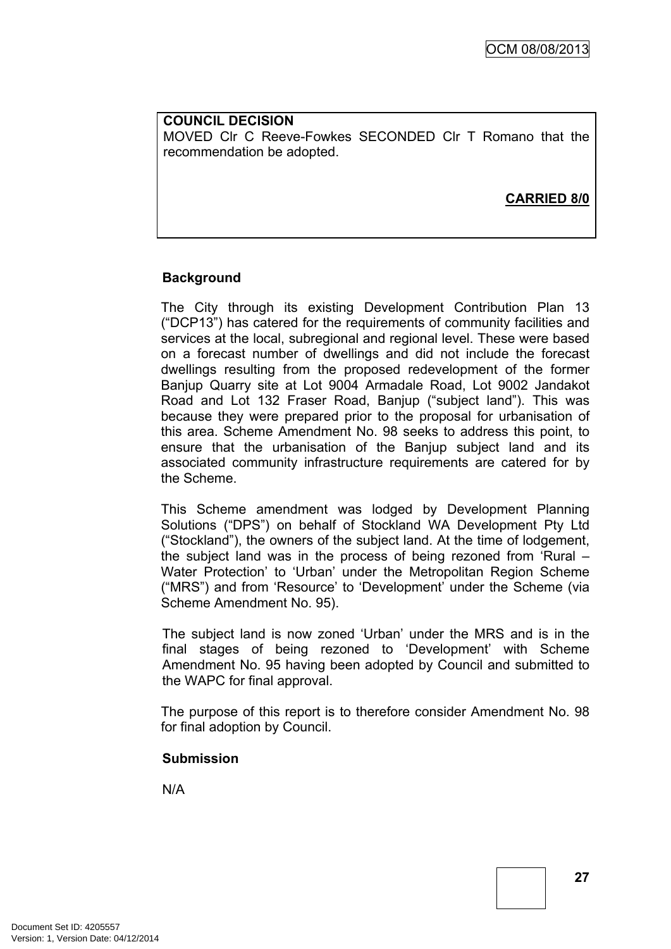**COUNCIL DECISION** MOVED Clr C Reeve-Fowkes SECONDED Clr T Romano that the recommendation be adopted.

**CARRIED 8/0**

### **Background**

The City through its existing Development Contribution Plan 13 ("DCP13") has catered for the requirements of community facilities and services at the local, subregional and regional level. These were based on a forecast number of dwellings and did not include the forecast dwellings resulting from the proposed redevelopment of the former Banjup Quarry site at Lot 9004 Armadale Road, Lot 9002 Jandakot Road and Lot 132 Fraser Road, Banjup ("subject land"). This was because they were prepared prior to the proposal for urbanisation of this area. Scheme Amendment No. 98 seeks to address this point, to ensure that the urbanisation of the Banjup subject land and its associated community infrastructure requirements are catered for by the Scheme.

This Scheme amendment was lodged by Development Planning Solutions ("DPS") on behalf of Stockland WA Development Pty Ltd ("Stockland"), the owners of the subject land. At the time of lodgement, the subject land was in the process of being rezoned from 'Rural – Water Protection' to 'Urban' under the Metropolitan Region Scheme ("MRS") and from 'Resource' to 'Development' under the Scheme (via Scheme Amendment No. 95).

The subject land is now zoned 'Urban' under the MRS and is in the final stages of being rezoned to 'Development' with Scheme Amendment No. 95 having been adopted by Council and submitted to the WAPC for final approval.

The purpose of this report is to therefore consider Amendment No. 98 for final adoption by Council.

### **Submission**

N/A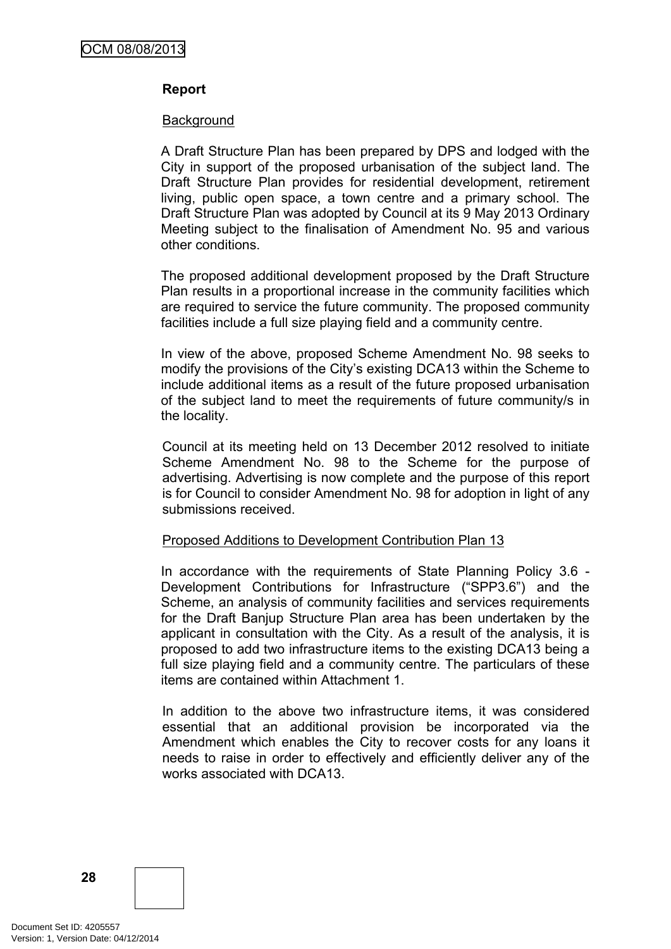#### **Report**

#### **Background**

A Draft Structure Plan has been prepared by DPS and lodged with the City in support of the proposed urbanisation of the subject land. The Draft Structure Plan provides for residential development, retirement living, public open space, a town centre and a primary school. The Draft Structure Plan was adopted by Council at its 9 May 2013 Ordinary Meeting subject to the finalisation of Amendment No. 95 and various other conditions.

The proposed additional development proposed by the Draft Structure Plan results in a proportional increase in the community facilities which are required to service the future community. The proposed community facilities include a full size playing field and a community centre.

In view of the above, proposed Scheme Amendment No. 98 seeks to modify the provisions of the City's existing DCA13 within the Scheme to include additional items as a result of the future proposed urbanisation of the subject land to meet the requirements of future community/s in the locality.

Council at its meeting held on 13 December 2012 resolved to initiate Scheme Amendment No. 98 to the Scheme for the purpose of advertising. Advertising is now complete and the purpose of this report is for Council to consider Amendment No. 98 for adoption in light of any submissions received.

#### Proposed Additions to Development Contribution Plan 13

In accordance with the requirements of State Planning Policy 3.6 - Development Contributions for Infrastructure ("SPP3.6") and the Scheme, an analysis of community facilities and services requirements for the Draft Banjup Structure Plan area has been undertaken by the applicant in consultation with the City. As a result of the analysis, it is proposed to add two infrastructure items to the existing DCA13 being a full size playing field and a community centre. The particulars of these items are contained within Attachment 1.

In addition to the above two infrastructure items, it was considered essential that an additional provision be incorporated via the Amendment which enables the City to recover costs for any loans it needs to raise in order to effectively and efficiently deliver any of the works associated with DCA13.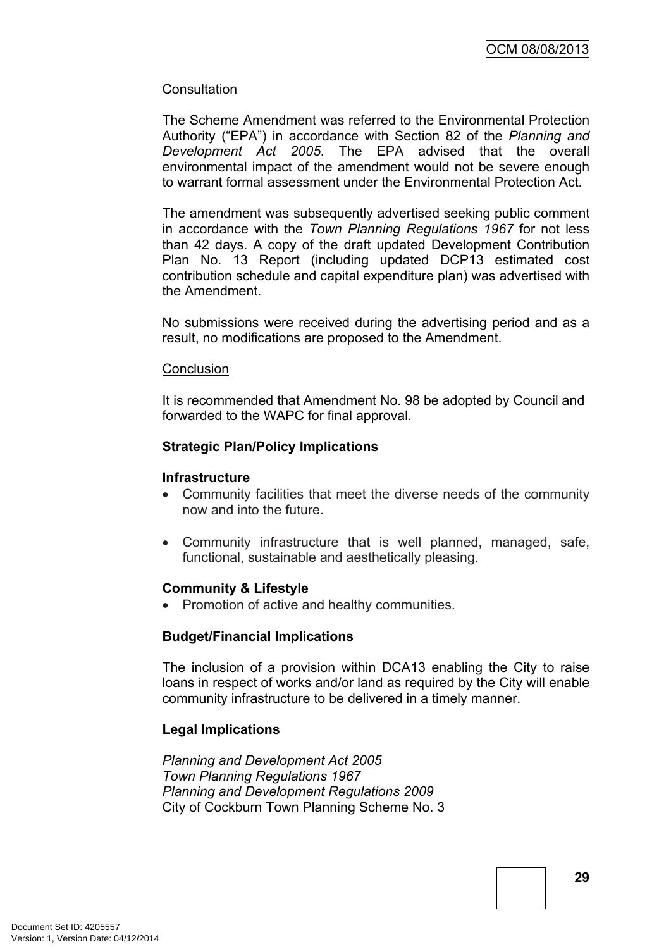### **Consultation**

The Scheme Amendment was referred to the Environmental Protection Authority ("EPA") in accordance with Section 82 of the *Planning and Development Act 2005*. The EPA advised that the overall environmental impact of the amendment would not be severe enough to warrant formal assessment under the Environmental Protection Act.

The amendment was subsequently advertised seeking public comment in accordance with the *Town Planning Regulations 1967* for not less than 42 days. A copy of the draft updated Development Contribution Plan No. 13 Report (including updated DCP13 estimated cost contribution schedule and capital expenditure plan) was advertised with the Amendment.

No submissions were received during the advertising period and as a result, no modifications are proposed to the Amendment.

#### **Conclusion**

It is recommended that Amendment No. 98 be adopted by Council and forwarded to the WAPC for final approval.

### **Strategic Plan/Policy Implications**

#### **Infrastructure**

- Community facilities that meet the diverse needs of the community now and into the future.
- Community infrastructure that is well planned, managed, safe, functional, sustainable and aesthetically pleasing.

### **Community & Lifestyle**

• Promotion of active and healthy communities.

### **Budget/Financial Implications**

The inclusion of a provision within DCA13 enabling the City to raise loans in respect of works and/or land as required by the City will enable community infrastructure to be delivered in a timely manner.

### **Legal Implications**

*Planning and Development Act 2005 Town Planning Regulations 1967 Planning and Development Regulations 2009* City of Cockburn Town Planning Scheme No. 3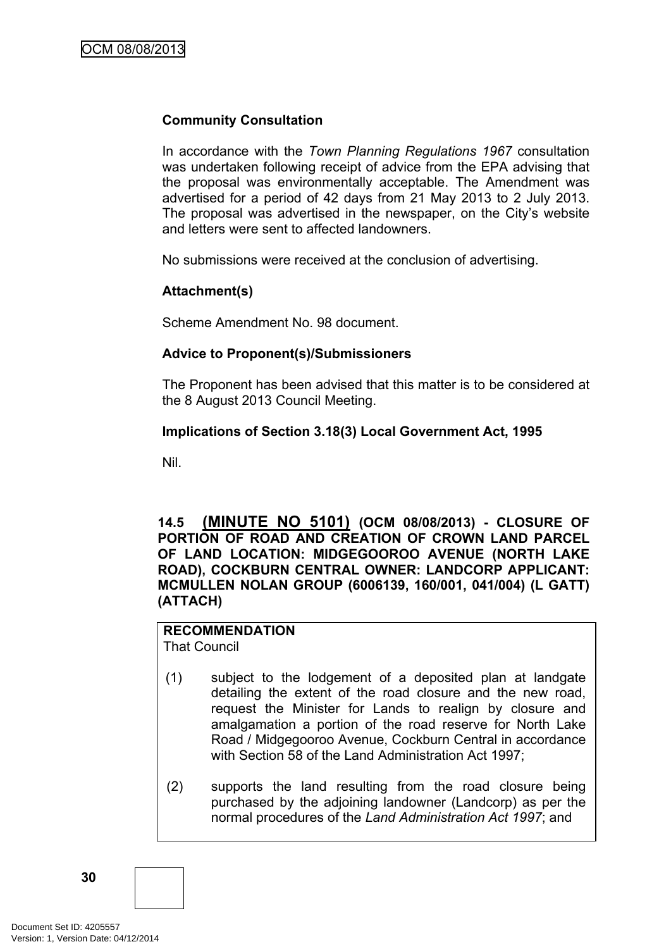### **Community Consultation**

In accordance with the *Town Planning Regulations 1967* consultation was undertaken following receipt of advice from the EPA advising that the proposal was environmentally acceptable. The Amendment was advertised for a period of 42 days from 21 May 2013 to 2 July 2013. The proposal was advertised in the newspaper, on the City's website and letters were sent to affected landowners.

No submissions were received at the conclusion of advertising.

### **Attachment(s)**

Scheme Amendment No. 98 document.

### **Advice to Proponent(s)/Submissioners**

The Proponent has been advised that this matter is to be considered at the 8 August 2013 Council Meeting.

### **Implications of Section 3.18(3) Local Government Act, 1995**

Nil.

<span id="page-33-0"></span>**14.5 (MINUTE NO 5101) (OCM 08/08/2013) - CLOSURE OF PORTION OF ROAD AND CREATION OF CROWN LAND PARCEL OF LAND LOCATION: MIDGEGOOROO AVENUE (NORTH LAKE ROAD), COCKBURN CENTRAL OWNER: LANDCORP APPLICANT: MCMULLEN NOLAN GROUP (6006139, 160/001, 041/004) (L GATT) (ATTACH)**

# **RECOMMENDATION**

That Council

- (1) subject to the lodgement of a deposited plan at landgate detailing the extent of the road closure and the new road, request the Minister for Lands to realign by closure and amalgamation a portion of the road reserve for North Lake Road / Midgegooroo Avenue, Cockburn Central in accordance with Section 58 of the Land Administration Act 1997;
- (2) supports the land resulting from the road closure being purchased by the adjoining landowner (Landcorp) as per the normal procedures of the *Land Administration Act 1997*; and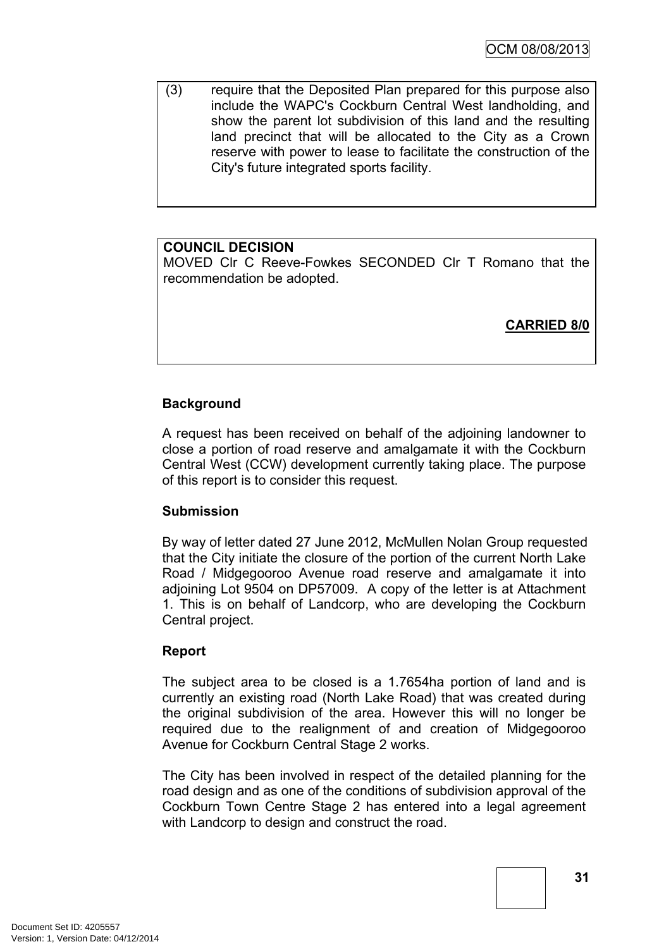(3) require that the Deposited Plan prepared for this purpose also include the WAPC's Cockburn Central West landholding, and show the parent lot subdivision of this land and the resulting land precinct that will be allocated to the City as a Crown reserve with power to lease to facilitate the construction of the City's future integrated sports facility.

### **COUNCIL DECISION**

MOVED Clr C Reeve-Fowkes SECONDED Clr T Romano that the recommendation be adopted.

**CARRIED 8/0**

### **Background**

A request has been received on behalf of the adjoining landowner to close a portion of road reserve and amalgamate it with the Cockburn Central West (CCW) development currently taking place. The purpose of this report is to consider this request.

### **Submission**

By way of letter dated 27 June 2012, McMullen Nolan Group requested that the City initiate the closure of the portion of the current North Lake Road / Midgegooroo Avenue road reserve and amalgamate it into adjoining Lot 9504 on DP57009. A copy of the letter is at Attachment 1. This is on behalf of Landcorp, who are developing the Cockburn Central project.

## **Report**

The subject area to be closed is a 1.7654ha portion of land and is currently an existing road (North Lake Road) that was created during the original subdivision of the area. However this will no longer be required due to the realignment of and creation of Midgegooroo Avenue for Cockburn Central Stage 2 works.

The City has been involved in respect of the detailed planning for the road design and as one of the conditions of subdivision approval of the Cockburn Town Centre Stage 2 has entered into a legal agreement with Landcorp to design and construct the road.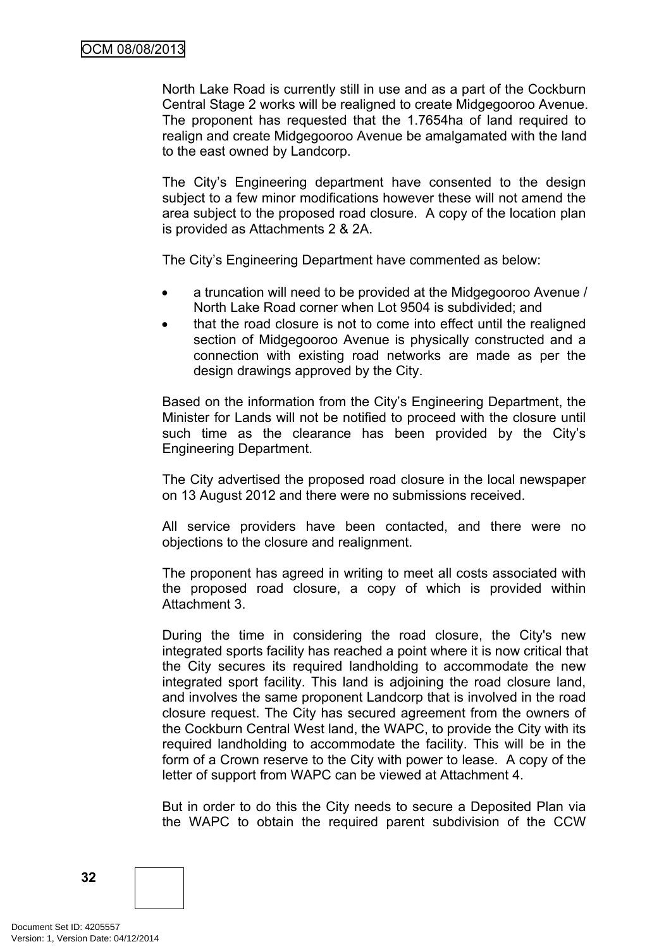North Lake Road is currently still in use and as a part of the Cockburn Central Stage 2 works will be realigned to create Midgegooroo Avenue. The proponent has requested that the 1.7654ha of land required to realign and create Midgegooroo Avenue be amalgamated with the land to the east owned by Landcorp.

The City's Engineering department have consented to the design subject to a few minor modifications however these will not amend the area subject to the proposed road closure. A copy of the location plan is provided as Attachments 2 & 2A.

The City's Engineering Department have commented as below:

- a truncation will need to be provided at the Midgegooroo Avenue / North Lake Road corner when Lot 9504 is subdivided; and
- that the road closure is not to come into effect until the realigned section of Midgegooroo Avenue is physically constructed and a connection with existing road networks are made as per the design drawings approved by the City.

Based on the information from the City's Engineering Department, the Minister for Lands will not be notified to proceed with the closure until such time as the clearance has been provided by the City's Engineering Department.

The City advertised the proposed road closure in the local newspaper on 13 August 2012 and there were no submissions received.

All service providers have been contacted, and there were no objections to the closure and realignment.

The proponent has agreed in writing to meet all costs associated with the proposed road closure, a copy of which is provided within Attachment 3.

During the time in considering the road closure, the City's new integrated sports facility has reached a point where it is now critical that the City secures its required landholding to accommodate the new integrated sport facility. This land is adjoining the road closure land, and involves the same proponent Landcorp that is involved in the road closure request. The City has secured agreement from the owners of the Cockburn Central West land, the WAPC, to provide the City with its required landholding to accommodate the facility. This will be in the form of a Crown reserve to the City with power to lease. A copy of the letter of support from WAPC can be viewed at Attachment 4.

But in order to do this the City needs to secure a Deposited Plan via the WAPC to obtain the required parent subdivision of the CCW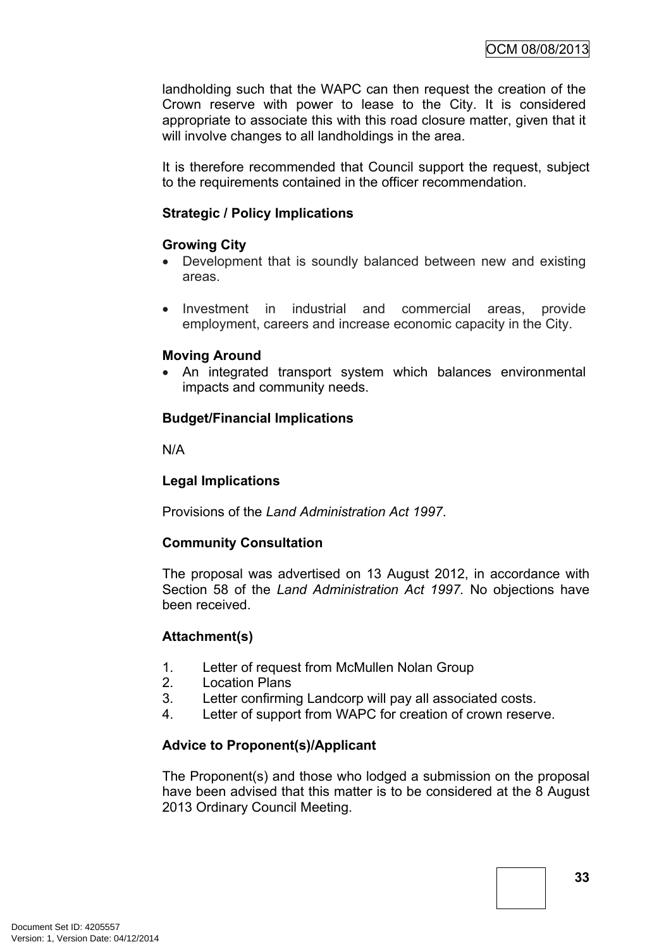landholding such that the WAPC can then request the creation of the Crown reserve with power to lease to the City. It is considered appropriate to associate this with this road closure matter, given that it will involve changes to all landholdings in the area.

It is therefore recommended that Council support the request, subject to the requirements contained in the officer recommendation.

## **Strategic / Policy Implications**

### **Growing City**

- Development that is soundly balanced between new and existing areas.
- Investment in industrial and commercial areas, provide employment, careers and increase economic capacity in the City.

## **Moving Around**

 An integrated transport system which balances environmental impacts and community needs.

## **Budget/Financial Implications**

N/A

# **Legal Implications**

Provisions of the *Land Administration Act 1997*.

### **Community Consultation**

The proposal was advertised on 13 August 2012, in accordance with Section 58 of the *Land Administration Act 1997.* No objections have been received.

### **Attachment(s)**

- 1. Letter of request from McMullen Nolan Group
- 2. Location Plans
- 3. Letter confirming Landcorp will pay all associated costs.
- 4. Letter of support from WAPC for creation of crown reserve.

### **Advice to Proponent(s)/Applicant**

The Proponent(s) and those who lodged a submission on the proposal have been advised that this matter is to be considered at the 8 August 2013 Ordinary Council Meeting.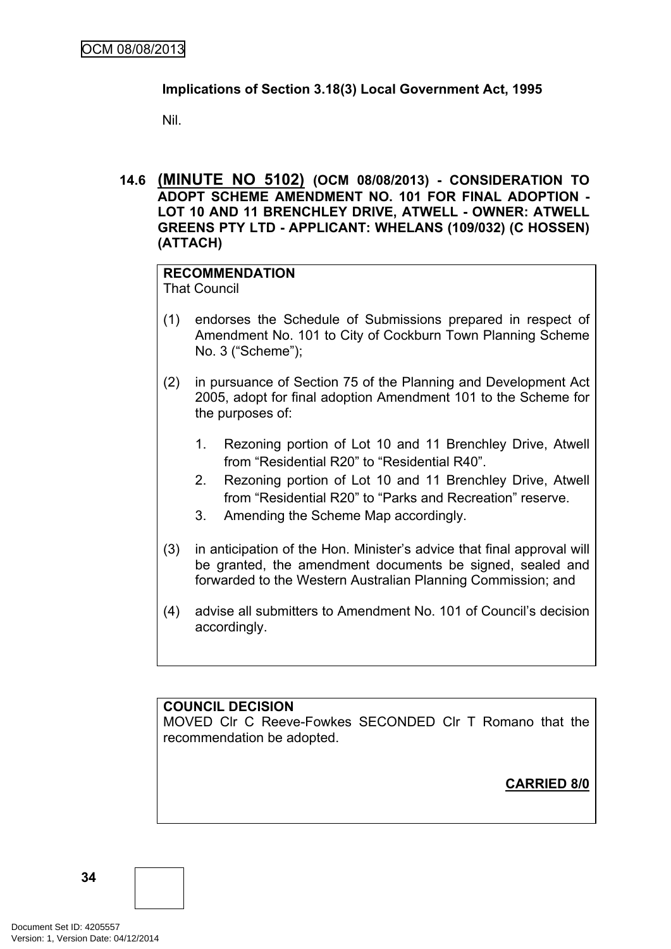## **Implications of Section 3.18(3) Local Government Act, 1995**

Nil.

**14.6 (MINUTE NO 5102) (OCM 08/08/2013) - CONSIDERATION TO ADOPT SCHEME AMENDMENT NO. 101 FOR FINAL ADOPTION - LOT 10 AND 11 BRENCHLEY DRIVE, ATWELL - OWNER: ATWELL GREENS PTY LTD - APPLICANT: WHELANS (109/032) (C HOSSEN) (ATTACH)**

# **RECOMMENDATION**

That Council

- (1) endorses the Schedule of Submissions prepared in respect of Amendment No. 101 to City of Cockburn Town Planning Scheme No. 3 ("Scheme");
- (2) in pursuance of Section 75 of the Planning and Development Act 2005, adopt for final adoption Amendment 101 to the Scheme for the purposes of:
	- 1. Rezoning portion of Lot 10 and 11 Brenchley Drive, Atwell from "Residential R20" to "Residential R40".
	- 2. Rezoning portion of Lot 10 and 11 Brenchley Drive, Atwell from "Residential R20" to "Parks and Recreation" reserve.
	- 3. Amending the Scheme Map accordingly.
- (3) in anticipation of the Hon. Minister's advice that final approval will be granted, the amendment documents be signed, sealed and forwarded to the Western Australian Planning Commission; and
- (4) advise all submitters to Amendment No. 101 of Council's decision accordingly.

### **COUNCIL DECISION**

MOVED Clr C Reeve-Fowkes SECONDED Clr T Romano that the recommendation be adopted.

**CARRIED 8/0**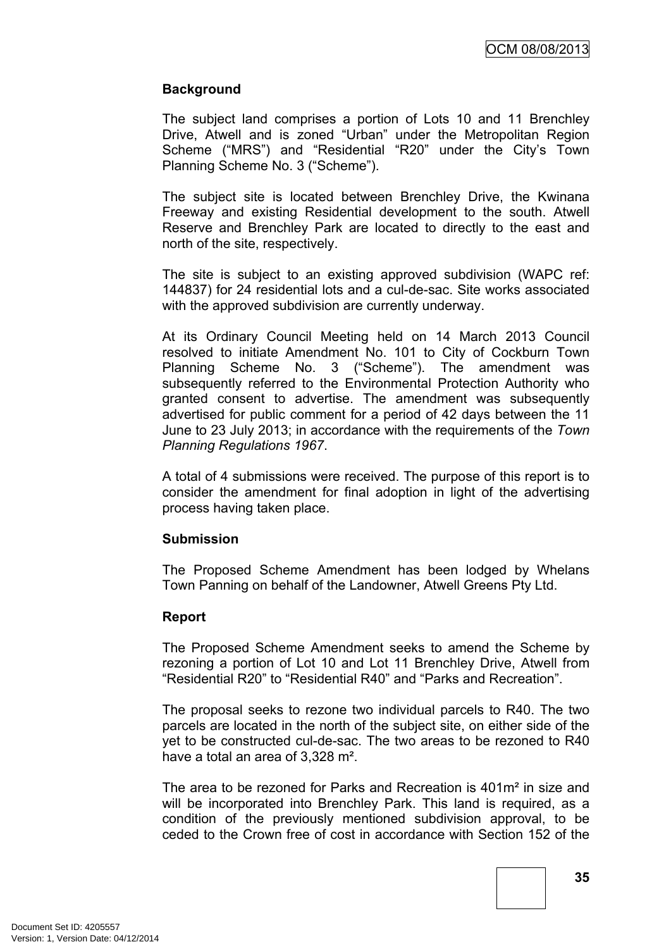## **Background**

The subject land comprises a portion of Lots 10 and 11 Brenchley Drive, Atwell and is zoned "Urban" under the Metropolitan Region Scheme ("MRS") and "Residential "R20" under the City's Town Planning Scheme No. 3 ("Scheme").

The subject site is located between Brenchley Drive, the Kwinana Freeway and existing Residential development to the south. Atwell Reserve and Brenchley Park are located to directly to the east and north of the site, respectively.

The site is subject to an existing approved subdivision (WAPC ref: 144837) for 24 residential lots and a cul-de-sac. Site works associated with the approved subdivision are currently underway.

At its Ordinary Council Meeting held on 14 March 2013 Council resolved to initiate Amendment No. 101 to City of Cockburn Town Planning Scheme No. 3 ("Scheme"). The amendment was subsequently referred to the Environmental Protection Authority who granted consent to advertise. The amendment was subsequently advertised for public comment for a period of 42 days between the 11 June to 23 July 2013; in accordance with the requirements of the *Town Planning Regulations 1967*.

A total of 4 submissions were received. The purpose of this report is to consider the amendment for final adoption in light of the advertising process having taken place.

### **Submission**

The Proposed Scheme Amendment has been lodged by Whelans Town Panning on behalf of the Landowner, Atwell Greens Pty Ltd.

### **Report**

The Proposed Scheme Amendment seeks to amend the Scheme by rezoning a portion of Lot 10 and Lot 11 Brenchley Drive, Atwell from "Residential R20" to "Residential R40" and "Parks and Recreation".

The proposal seeks to rezone two individual parcels to R40. The two parcels are located in the north of the subject site, on either side of the yet to be constructed cul-de-sac. The two areas to be rezoned to R40 have a total an area of 3,328 m².

The area to be rezoned for Parks and Recreation is 401m² in size and will be incorporated into Brenchley Park. This land is required, as a condition of the previously mentioned subdivision approval, to be ceded to the Crown free of cost in accordance with Section 152 of the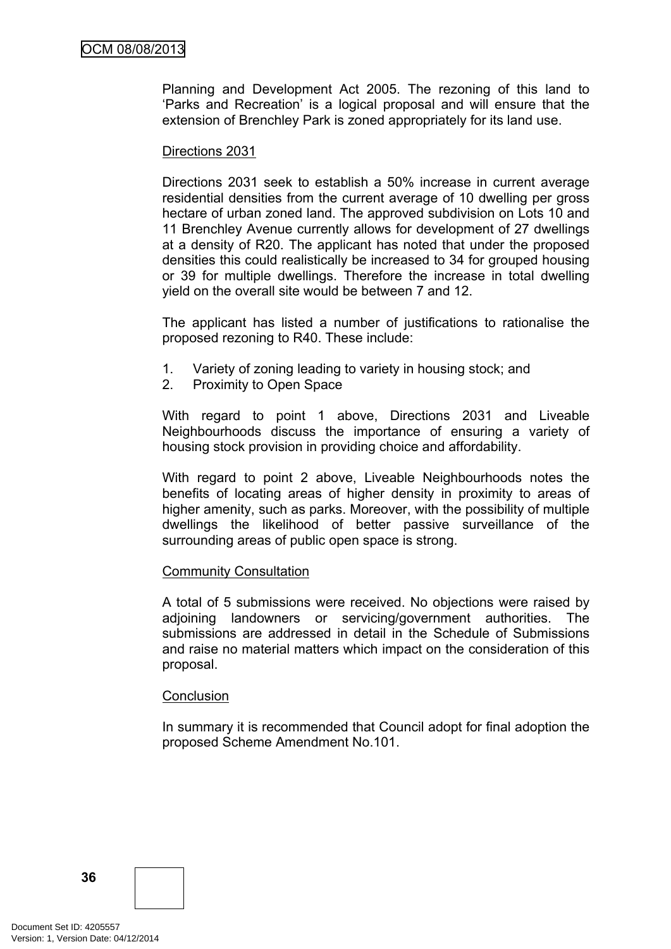Planning and Development Act 2005. The rezoning of this land to 'Parks and Recreation' is a logical proposal and will ensure that the extension of Brenchley Park is zoned appropriately for its land use.

#### Directions 2031

Directions 2031 seek to establish a 50% increase in current average residential densities from the current average of 10 dwelling per gross hectare of urban zoned land. The approved subdivision on Lots 10 and 11 Brenchley Avenue currently allows for development of 27 dwellings at a density of R20. The applicant has noted that under the proposed densities this could realistically be increased to 34 for grouped housing or 39 for multiple dwellings. Therefore the increase in total dwelling yield on the overall site would be between 7 and 12.

The applicant has listed a number of justifications to rationalise the proposed rezoning to R40. These include:

- 1. Variety of zoning leading to variety in housing stock; and
- 2. Proximity to Open Space

With regard to point 1 above, Directions 2031 and Liveable Neighbourhoods discuss the importance of ensuring a variety of housing stock provision in providing choice and affordability.

With regard to point 2 above, Liveable Neighbourhoods notes the benefits of locating areas of higher density in proximity to areas of higher amenity, such as parks. Moreover, with the possibility of multiple dwellings the likelihood of better passive surveillance of the surrounding areas of public open space is strong.

### Community Consultation

A total of 5 submissions were received. No objections were raised by adjoining landowners or servicing/government authorities. The submissions are addressed in detail in the Schedule of Submissions and raise no material matters which impact on the consideration of this proposal.

#### **Conclusion**

In summary it is recommended that Council adopt for final adoption the proposed Scheme Amendment No.101.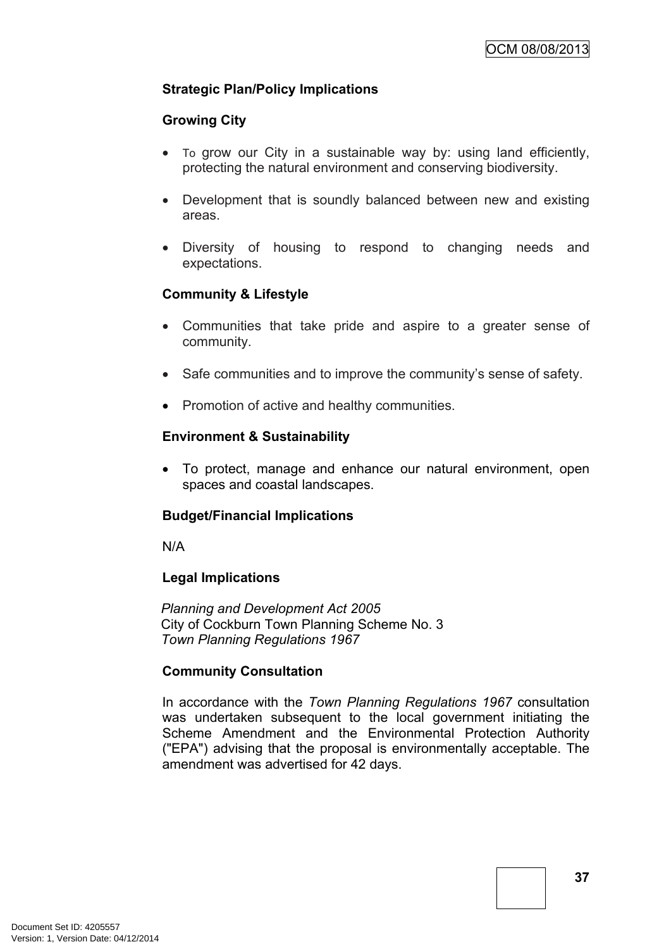# **Strategic Plan/Policy Implications**

## **Growing City**

- To grow our City in a sustainable way by: using land efficiently, protecting the natural environment and conserving biodiversity.
- Development that is soundly balanced between new and existing areas.
- Diversity of housing to respond to changing needs and expectations.

# **Community & Lifestyle**

- Communities that take pride and aspire to a greater sense of community.
- Safe communities and to improve the community's sense of safety.
- Promotion of active and healthy communities.

## **Environment & Sustainability**

 To protect, manage and enhance our natural environment, open spaces and coastal landscapes.

### **Budget/Financial Implications**

N/A

### **Legal Implications**

*Planning and Development Act 2005* City of Cockburn Town Planning Scheme No. 3 *Town Planning Regulations 1967*

### **Community Consultation**

In accordance with the *Town Planning Regulations 1967* consultation was undertaken subsequent to the local government initiating the Scheme Amendment and the Environmental Protection Authority ("EPA") advising that the proposal is environmentally acceptable. The amendment was advertised for 42 days.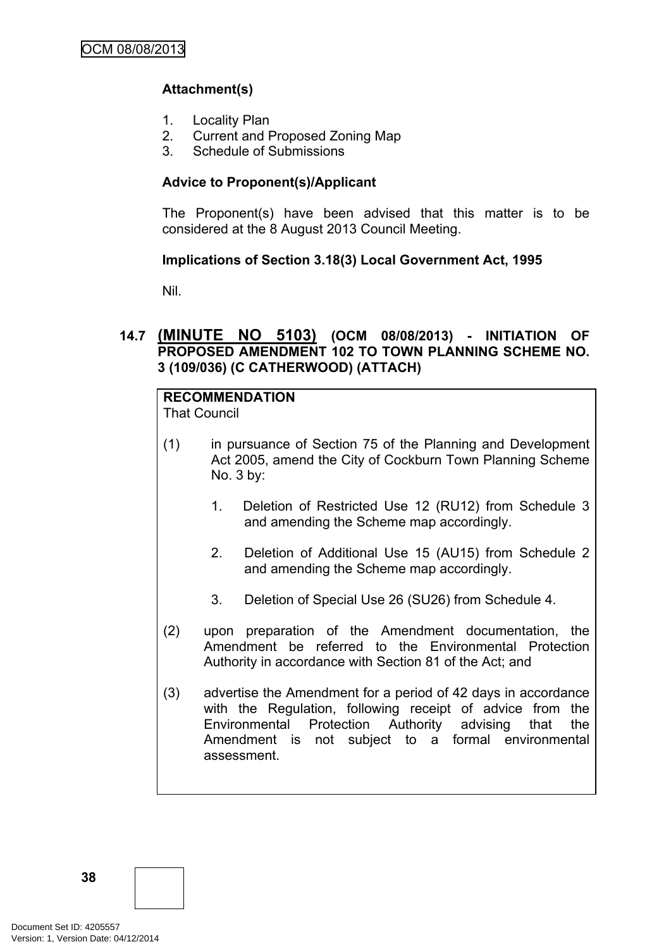# **Attachment(s)**

- 1. Locality Plan
- 2. Current and Proposed Zoning Map
- 3. Schedule of Submissions

# **Advice to Proponent(s)/Applicant**

The Proponent(s) have been advised that this matter is to be considered at the 8 August 2013 Council Meeting.

## **Implications of Section 3.18(3) Local Government Act, 1995**

Nil.

# **14.7 (MINUTE NO 5103) (OCM 08/08/2013) - INITIATION OF PROPOSED AMENDMENT 102 TO TOWN PLANNING SCHEME NO. 3 (109/036) (C CATHERWOOD) (ATTACH)**

# **RECOMMENDATION**

That Council

- (1) in pursuance of Section 75 of the Planning and Development Act 2005, amend the City of Cockburn Town Planning Scheme No. 3 by:
	- 1. Deletion of Restricted Use 12 (RU12) from Schedule 3 and amending the Scheme map accordingly.
	- 2. Deletion of Additional Use 15 (AU15) from Schedule 2 and amending the Scheme map accordingly.
	- 3. Deletion of Special Use 26 (SU26) from Schedule 4.
- (2) upon preparation of the Amendment documentation, the Amendment be referred to the Environmental Protection Authority in accordance with Section 81 of the Act; and
- (3) advertise the Amendment for a period of 42 days in accordance with the Regulation, following receipt of advice from the Environmental Protection Authority advising that the Amendment is not subject to a formal environmental assessment.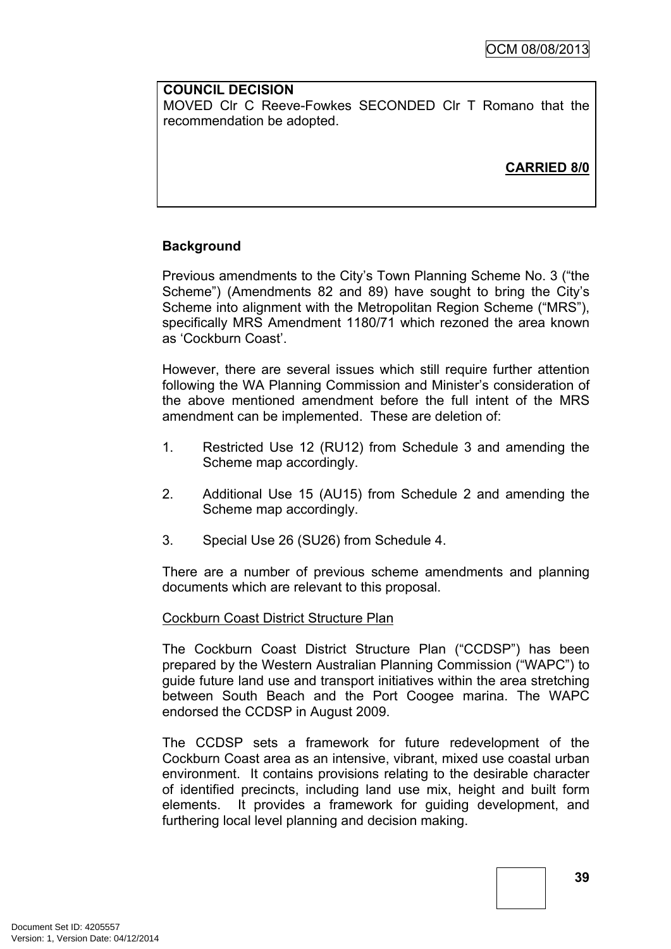## **COUNCIL DECISION** MOVED Clr C Reeve-Fowkes SECONDED Clr T Romano that the recommendation be adopted.

# **CARRIED 8/0**

# **Background**

Previous amendments to the City's Town Planning Scheme No. 3 ("the Scheme") (Amendments 82 and 89) have sought to bring the City's Scheme into alignment with the Metropolitan Region Scheme ("MRS"), specifically MRS Amendment 1180/71 which rezoned the area known as 'Cockburn Coast'.

However, there are several issues which still require further attention following the WA Planning Commission and Minister's consideration of the above mentioned amendment before the full intent of the MRS amendment can be implemented. These are deletion of:

- 1. Restricted Use 12 (RU12) from Schedule 3 and amending the Scheme map accordingly.
- 2. Additional Use 15 (AU15) from Schedule 2 and amending the Scheme map accordingly.
- 3. Special Use 26 (SU26) from Schedule 4.

There are a number of previous scheme amendments and planning documents which are relevant to this proposal.

### Cockburn Coast District Structure Plan

The Cockburn Coast District Structure Plan ("CCDSP") has been prepared by the Western Australian Planning Commission ("WAPC") to guide future land use and transport initiatives within the area stretching between South Beach and the Port Coogee marina. The WAPC endorsed the CCDSP in August 2009.

The CCDSP sets a framework for future redevelopment of the Cockburn Coast area as an intensive, vibrant, mixed use coastal urban environment. It contains provisions relating to the desirable character of identified precincts, including land use mix, height and built form elements. It provides a framework for guiding development, and furthering local level planning and decision making.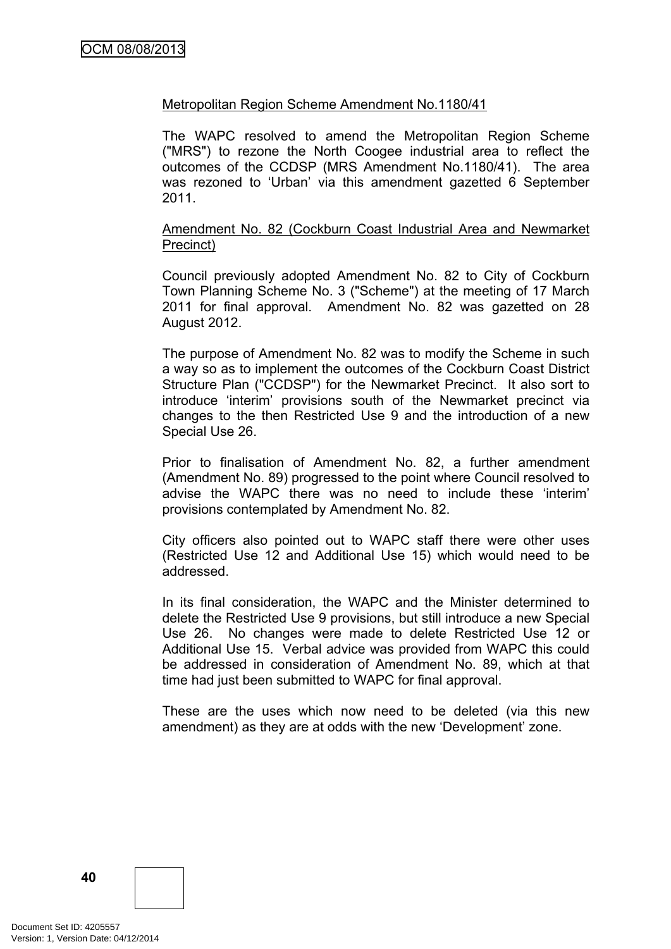#### Metropolitan Region Scheme Amendment No.1180/41

The WAPC resolved to amend the Metropolitan Region Scheme ("MRS") to rezone the North Coogee industrial area to reflect the outcomes of the CCDSP (MRS Amendment No.1180/41). The area was rezoned to 'Urban' via this amendment gazetted 6 September 2011.

#### Amendment No. 82 (Cockburn Coast Industrial Area and Newmarket Precinct)

Council previously adopted Amendment No. 82 to City of Cockburn Town Planning Scheme No. 3 ("Scheme") at the meeting of 17 March 2011 for final approval. Amendment No. 82 was gazetted on 28 August 2012.

The purpose of Amendment No. 82 was to modify the Scheme in such a way so as to implement the outcomes of the Cockburn Coast District Structure Plan ("CCDSP") for the Newmarket Precinct. It also sort to introduce 'interim' provisions south of the Newmarket precinct via changes to the then Restricted Use 9 and the introduction of a new Special Use 26.

Prior to finalisation of Amendment No. 82, a further amendment (Amendment No. 89) progressed to the point where Council resolved to advise the WAPC there was no need to include these 'interim' provisions contemplated by Amendment No. 82.

City officers also pointed out to WAPC staff there were other uses (Restricted Use 12 and Additional Use 15) which would need to be addressed.

In its final consideration, the WAPC and the Minister determined to delete the Restricted Use 9 provisions, but still introduce a new Special Use 26. No changes were made to delete Restricted Use 12 or Additional Use 15. Verbal advice was provided from WAPC this could be addressed in consideration of Amendment No. 89, which at that time had just been submitted to WAPC for final approval.

These are the uses which now need to be deleted (via this new amendment) as they are at odds with the new 'Development' zone.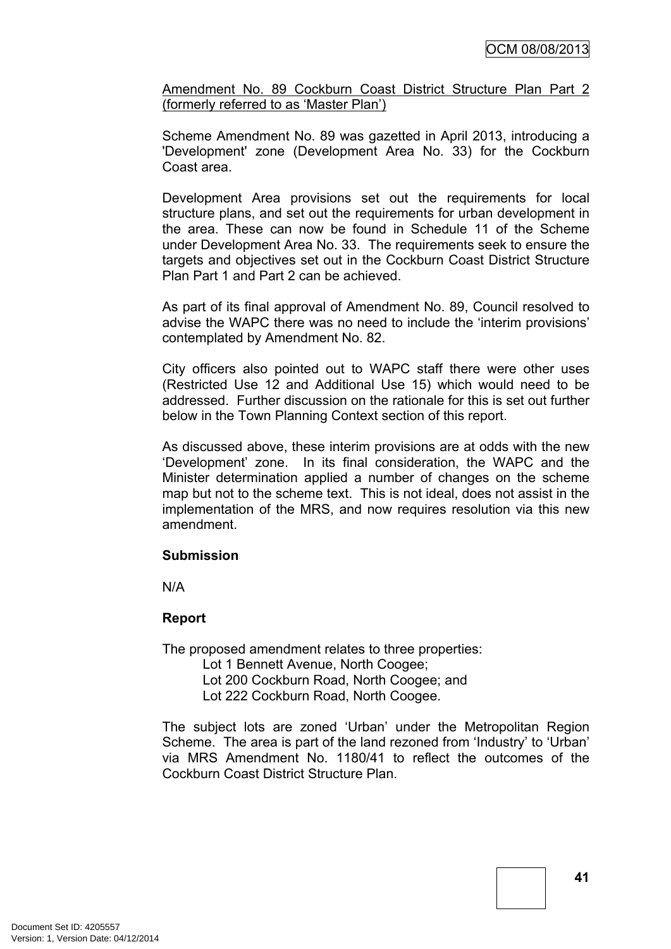Amendment No. 89 Cockburn Coast District Structure Plan Part 2 (formerly referred to as 'Master Plan')

Scheme Amendment No. 89 was gazetted in April 2013, introducing a 'Development' zone (Development Area No. 33) for the Cockburn Coast area.

Development Area provisions set out the requirements for local structure plans, and set out the requirements for urban development in the area. These can now be found in Schedule 11 of the Scheme under Development Area No. 33. The requirements seek to ensure the targets and objectives set out in the Cockburn Coast District Structure Plan Part 1 and Part 2 can be achieved.

As part of its final approval of Amendment No. 89, Council resolved to advise the WAPC there was no need to include the 'interim provisions' contemplated by Amendment No. 82.

City officers also pointed out to WAPC staff there were other uses (Restricted Use 12 and Additional Use 15) which would need to be addressed. Further discussion on the rationale for this is set out further below in the Town Planning Context section of this report.

As discussed above, these interim provisions are at odds with the new 'Development' zone. In its final consideration, the WAPC and the Minister determination applied a number of changes on the scheme map but not to the scheme text. This is not ideal, does not assist in the implementation of the MRS, and now requires resolution via this new amendment.

#### **Submission**

N/A

### **Report**

The proposed amendment relates to three properties:

Lot 1 Bennett Avenue, North Coogee;

Lot 200 Cockburn Road, North Coogee; and

Lot 222 Cockburn Road, North Coogee.

The subject lots are zoned 'Urban' under the Metropolitan Region Scheme. The area is part of the land rezoned from 'Industry' to 'Urban' via MRS Amendment No. 1180/41 to reflect the outcomes of the Cockburn Coast District Structure Plan.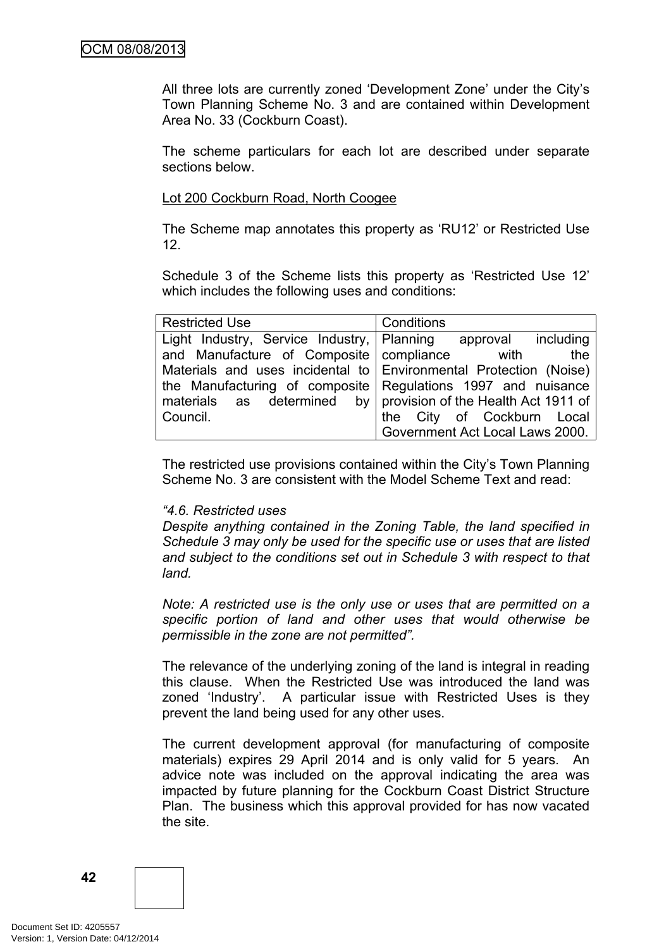All three lots are currently zoned 'Development Zone' under the City's Town Planning Scheme No. 3 and are contained within Development Area No. 33 (Cockburn Coast).

The scheme particulars for each lot are described under separate sections below.

#### Lot 200 Cockburn Road, North Coogee

The Scheme map annotates this property as 'RU12' or Restricted Use 12.

Schedule 3 of the Scheme lists this property as 'Restricted Use 12' which includes the following uses and conditions:

| <b>Restricted Use</b>                        | Conditions                                                        |
|----------------------------------------------|-------------------------------------------------------------------|
|                                              | Light Industry, Service Industry, Planning approval including     |
| and Manufacture of Composite compliance with | the                                                               |
|                                              | Materials and uses incidental to Environmental Protection (Noise) |
|                                              | the Manufacturing of composite Regulations 1997 and nuisance      |
|                                              | materials as determined by provision of the Health Act 1911 of    |
| Council.                                     | the City of Cockburn Local                                        |
|                                              | Government Act Local Laws 2000.                                   |

The restricted use provisions contained within the City's Town Planning Scheme No. 3 are consistent with the Model Scheme Text and read:

#### *"4.6. Restricted uses*

*Despite anything contained in the Zoning Table, the land specified in Schedule 3 may only be used for the specific use or uses that are listed and subject to the conditions set out in Schedule 3 with respect to that land.*

*Note: A restricted use is the only use or uses that are permitted on a specific portion of land and other uses that would otherwise be permissible in the zone are not permitted".*

The relevance of the underlying zoning of the land is integral in reading this clause. When the Restricted Use was introduced the land was zoned 'Industry'. A particular issue with Restricted Uses is they prevent the land being used for any other uses.

The current development approval (for manufacturing of composite materials) expires 29 April 2014 and is only valid for 5 years. An advice note was included on the approval indicating the area was impacted by future planning for the Cockburn Coast District Structure Plan. The business which this approval provided for has now vacated the site.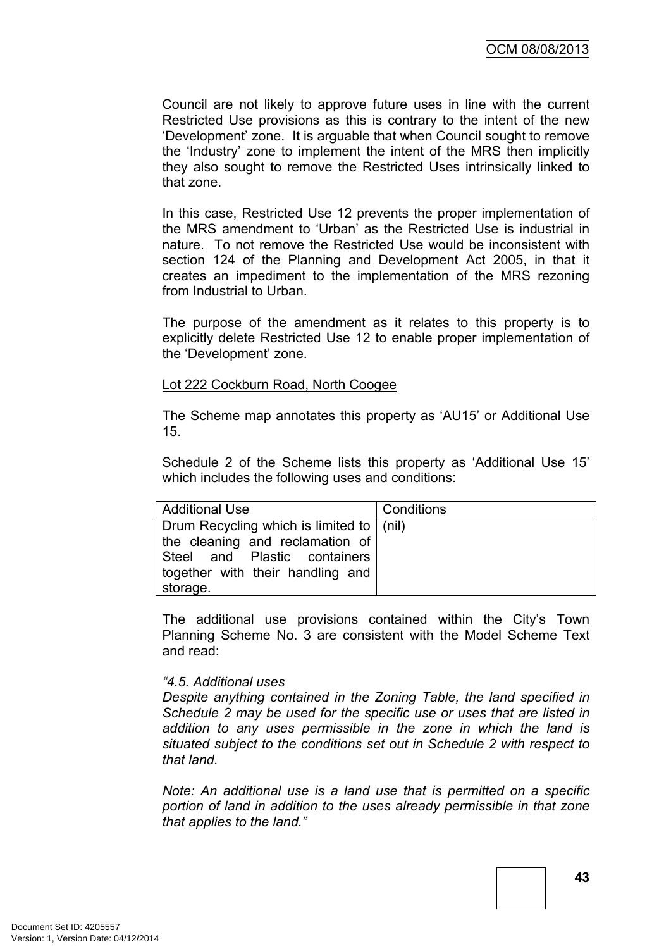Council are not likely to approve future uses in line with the current Restricted Use provisions as this is contrary to the intent of the new 'Development' zone. It is arguable that when Council sought to remove the 'Industry' zone to implement the intent of the MRS then implicitly they also sought to remove the Restricted Uses intrinsically linked to that zone.

In this case, Restricted Use 12 prevents the proper implementation of the MRS amendment to 'Urban' as the Restricted Use is industrial in nature. To not remove the Restricted Use would be inconsistent with section 124 of the Planning and Development Act 2005, in that it creates an impediment to the implementation of the MRS rezoning from Industrial to Urban.

The purpose of the amendment as it relates to this property is to explicitly delete Restricted Use 12 to enable proper implementation of the 'Development' zone.

#### Lot 222 Cockburn Road, North Coogee

The Scheme map annotates this property as 'AU15' or Additional Use 15.

Schedule 2 of the Scheme lists this property as 'Additional Use 15' which includes the following uses and conditions:

| Additional Use                             | Conditions |
|--------------------------------------------|------------|
| Drum Recycling which is limited to   (nil) |            |
| the cleaning and reclamation of            |            |
| Steel and Plastic containers               |            |
| together with their handling and           |            |
| storage.                                   |            |

The additional use provisions contained within the City's Town Planning Scheme No. 3 are consistent with the Model Scheme Text and read:

#### *"4.5. Additional uses*

*Despite anything contained in the Zoning Table, the land specified in Schedule 2 may be used for the specific use or uses that are listed in addition to any uses permissible in the zone in which the land is situated subject to the conditions set out in Schedule 2 with respect to that land.*

*Note: An additional use is a land use that is permitted on a specific portion of land in addition to the uses already permissible in that zone that applies to the land."*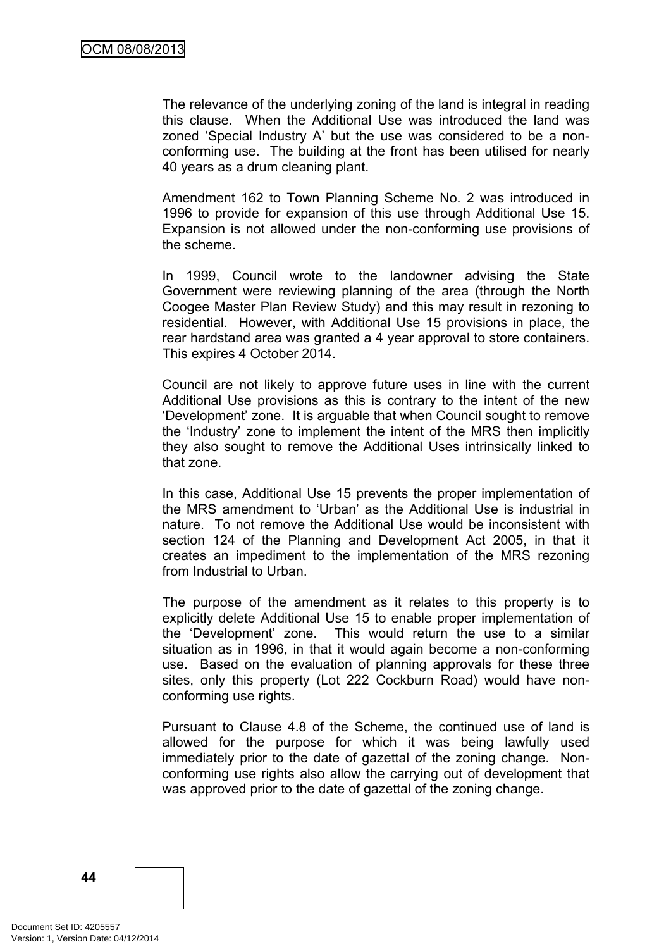The relevance of the underlying zoning of the land is integral in reading this clause. When the Additional Use was introduced the land was zoned 'Special Industry A' but the use was considered to be a nonconforming use. The building at the front has been utilised for nearly 40 years as a drum cleaning plant.

Amendment 162 to Town Planning Scheme No. 2 was introduced in 1996 to provide for expansion of this use through Additional Use 15. Expansion is not allowed under the non-conforming use provisions of the scheme.

In 1999, Council wrote to the landowner advising the State Government were reviewing planning of the area (through the North Coogee Master Plan Review Study) and this may result in rezoning to residential. However, with Additional Use 15 provisions in place, the rear hardstand area was granted a 4 year approval to store containers. This expires 4 October 2014.

Council are not likely to approve future uses in line with the current Additional Use provisions as this is contrary to the intent of the new 'Development' zone. It is arguable that when Council sought to remove the 'Industry' zone to implement the intent of the MRS then implicitly they also sought to remove the Additional Uses intrinsically linked to that zone.

In this case, Additional Use 15 prevents the proper implementation of the MRS amendment to 'Urban' as the Additional Use is industrial in nature. To not remove the Additional Use would be inconsistent with section 124 of the Planning and Development Act 2005, in that it creates an impediment to the implementation of the MRS rezoning from Industrial to Urban.

The purpose of the amendment as it relates to this property is to explicitly delete Additional Use 15 to enable proper implementation of the 'Development' zone. This would return the use to a similar situation as in 1996, in that it would again become a non-conforming use. Based on the evaluation of planning approvals for these three sites, only this property (Lot 222 Cockburn Road) would have nonconforming use rights.

Pursuant to Clause 4.8 of the Scheme, the continued use of land is allowed for the purpose for which it was being lawfully used immediately prior to the date of gazettal of the zoning change. Nonconforming use rights also allow the carrying out of development that was approved prior to the date of gazettal of the zoning change.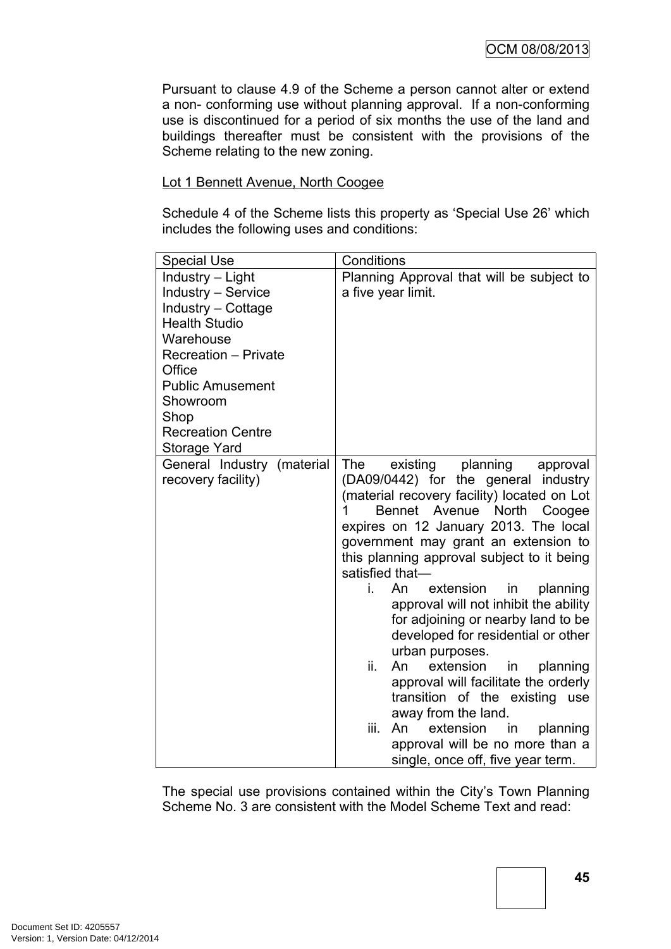Pursuant to clause 4.9 of the Scheme a person cannot alter or extend a non- conforming use without planning approval. If a non-conforming use is discontinued for a period of six months the use of the land and buildings thereafter must be consistent with the provisions of the Scheme relating to the new zoning.

## Lot 1 Bennett Avenue, North Coogee

Schedule 4 of the Scheme lists this property as 'Special Use 26' which includes the following uses and conditions:

| <b>Special Use</b>                                                                                                                                                                                                                                  | Conditions                                                                                                                                                                                                                                                                                                                                                                                                                                                                                                                                                                                                                                                                                                                                                                           |
|-----------------------------------------------------------------------------------------------------------------------------------------------------------------------------------------------------------------------------------------------------|--------------------------------------------------------------------------------------------------------------------------------------------------------------------------------------------------------------------------------------------------------------------------------------------------------------------------------------------------------------------------------------------------------------------------------------------------------------------------------------------------------------------------------------------------------------------------------------------------------------------------------------------------------------------------------------------------------------------------------------------------------------------------------------|
| Industry - Light<br><b>Industry - Service</b><br>Industry - Cottage<br><b>Health Studio</b><br>Warehouse<br><b>Recreation - Private</b><br>Office<br><b>Public Amusement</b><br>Showroom<br>Shop<br><b>Recreation Centre</b><br><b>Storage Yard</b> | Planning Approval that will be subject to<br>a five year limit.                                                                                                                                                                                                                                                                                                                                                                                                                                                                                                                                                                                                                                                                                                                      |
| General Industry (material<br>recovery facility)                                                                                                                                                                                                    | The<br>existing<br>planning<br>approval<br>(DA09/0442) for the general industry<br>(material recovery facility) located on Lot<br>Bennet Avenue<br>North<br>Coogee<br>1<br>expires on 12 January 2013. The local<br>government may grant an extension to<br>this planning approval subject to it being<br>satisfied that-<br>An<br>extension<br>i.<br>in<br>planning<br>approval will not inhibit the ability<br>for adjoining or nearby land to be<br>developed for residential or other<br>urban purposes.<br>ii.<br>An<br>extension<br>planning<br>in<br>approval will facilitate the orderly<br>of the existing use<br>transition<br>away from the land.<br>iii.<br>extension<br>An<br>planning<br>in in<br>approval will be no more than a<br>single, once off, five year term. |

The special use provisions contained within the City's Town Planning Scheme No. 3 are consistent with the Model Scheme Text and read: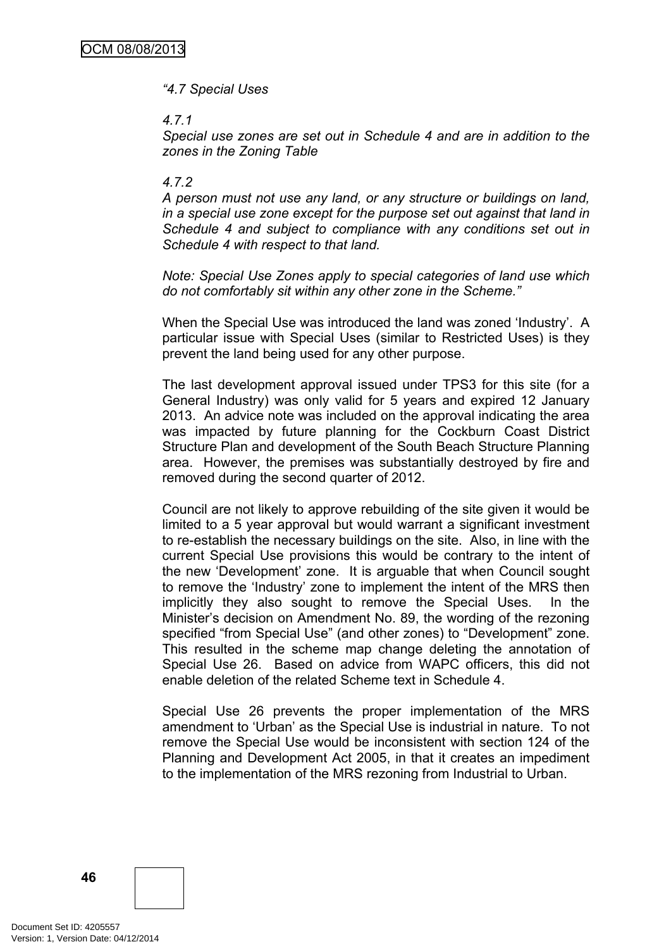#### *"4.7 Special Uses*

#### *4.7.1*

*Special use zones are set out in Schedule 4 and are in addition to the zones in the Zoning Table*

#### *4.7.2*

*A person must not use any land, or any structure or buildings on land, in a special use zone except for the purpose set out against that land in Schedule 4 and subject to compliance with any conditions set out in Schedule 4 with respect to that land.*

*Note: Special Use Zones apply to special categories of land use which do not comfortably sit within any other zone in the Scheme."*

When the Special Use was introduced the land was zoned 'Industry'. A particular issue with Special Uses (similar to Restricted Uses) is they prevent the land being used for any other purpose.

The last development approval issued under TPS3 for this site (for a General Industry) was only valid for 5 years and expired 12 January 2013. An advice note was included on the approval indicating the area was impacted by future planning for the Cockburn Coast District Structure Plan and development of the South Beach Structure Planning area. However, the premises was substantially destroyed by fire and removed during the second quarter of 2012.

Council are not likely to approve rebuilding of the site given it would be limited to a 5 year approval but would warrant a significant investment to re-establish the necessary buildings on the site. Also, in line with the current Special Use provisions this would be contrary to the intent of the new 'Development' zone. It is arguable that when Council sought to remove the 'Industry' zone to implement the intent of the MRS then implicitly they also sought to remove the Special Uses. In the Minister's decision on Amendment No. 89, the wording of the rezoning specified "from Special Use" (and other zones) to "Development" zone. This resulted in the scheme map change deleting the annotation of Special Use 26. Based on advice from WAPC officers, this did not enable deletion of the related Scheme text in Schedule 4.

Special Use 26 prevents the proper implementation of the MRS amendment to 'Urban' as the Special Use is industrial in nature. To not remove the Special Use would be inconsistent with section 124 of the Planning and Development Act 2005, in that it creates an impediment to the implementation of the MRS rezoning from Industrial to Urban.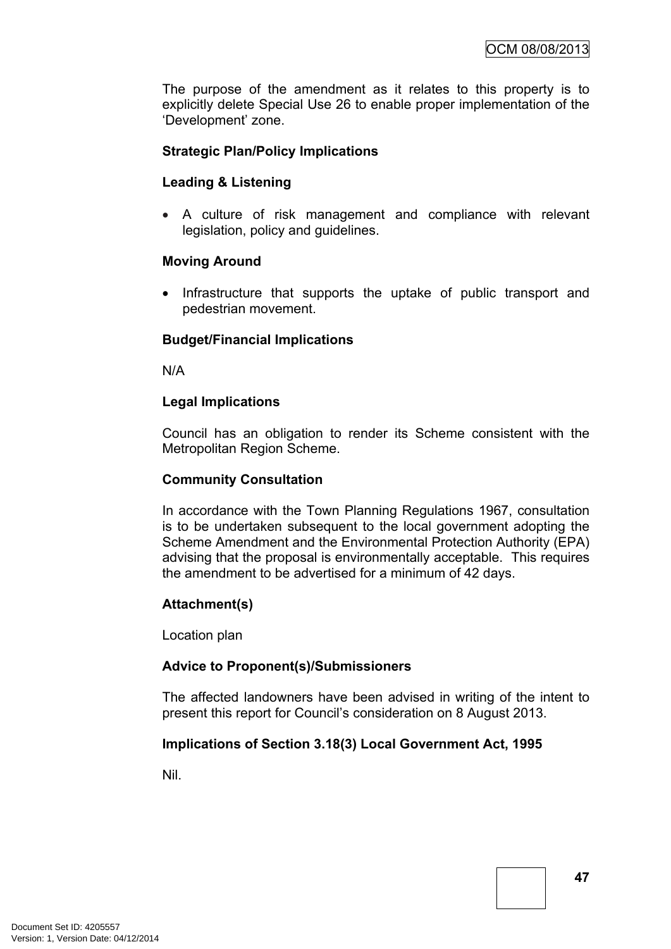The purpose of the amendment as it relates to this property is to explicitly delete Special Use 26 to enable proper implementation of the 'Development' zone.

## **Strategic Plan/Policy Implications**

## **Leading & Listening**

 A culture of risk management and compliance with relevant legislation, policy and guidelines.

### **Moving Around**

• Infrastructure that supports the uptake of public transport and pedestrian movement.

## **Budget/Financial Implications**

N/A

### **Legal Implications**

Council has an obligation to render its Scheme consistent with the Metropolitan Region Scheme.

### **Community Consultation**

In accordance with the Town Planning Regulations 1967, consultation is to be undertaken subsequent to the local government adopting the Scheme Amendment and the Environmental Protection Authority (EPA) advising that the proposal is environmentally acceptable. This requires the amendment to be advertised for a minimum of 42 days.

### **Attachment(s)**

Location plan

### **Advice to Proponent(s)/Submissioners**

The affected landowners have been advised in writing of the intent to present this report for Council's consideration on 8 August 2013.

### **Implications of Section 3.18(3) Local Government Act, 1995**

Nil.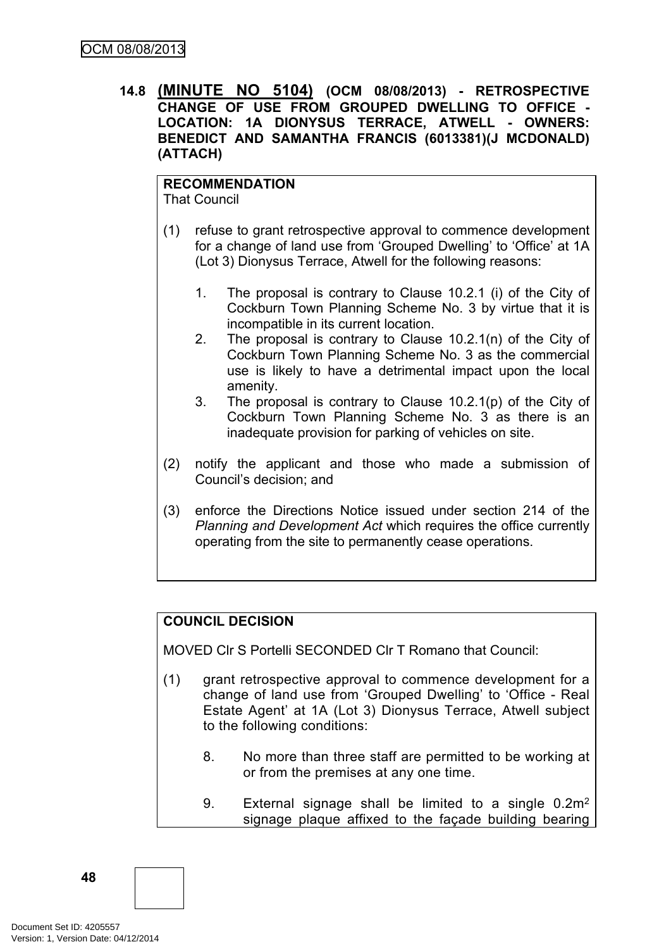**14.8 (MINUTE NO 5104) (OCM 08/08/2013) - RETROSPECTIVE CHANGE OF USE FROM GROUPED DWELLING TO OFFICE - LOCATION: 1A DIONYSUS TERRACE, ATWELL - OWNERS: BENEDICT AND SAMANTHA FRANCIS (6013381)(J MCDONALD) (ATTACH)**

# **RECOMMENDATION**

That Council

- (1) refuse to grant retrospective approval to commence development for a change of land use from 'Grouped Dwelling' to 'Office' at 1A (Lot 3) Dionysus Terrace, Atwell for the following reasons:
	- 1. The proposal is contrary to Clause 10.2.1 (i) of the City of Cockburn Town Planning Scheme No. 3 by virtue that it is incompatible in its current location.
	- 2. The proposal is contrary to Clause 10.2.1(n) of the City of Cockburn Town Planning Scheme No. 3 as the commercial use is likely to have a detrimental impact upon the local amenity.
	- 3. The proposal is contrary to Clause 10.2.1(p) of the City of Cockburn Town Planning Scheme No. 3 as there is an inadequate provision for parking of vehicles on site.
- (2) notify the applicant and those who made a submission of Council's decision; and
- (3) enforce the Directions Notice issued under section 214 of the *Planning and Development Act* which requires the office currently operating from the site to permanently cease operations.

# **COUNCIL DECISION**

MOVED Clr S Portelli SECONDED Clr T Romano that Council:

- (1) grant retrospective approval to commence development for a change of land use from 'Grouped Dwelling' to 'Office - Real Estate Agent' at 1A (Lot 3) Dionysus Terrace, Atwell subject to the following conditions:
	- 8. No more than three staff are permitted to be working at or from the premises at any one time.
	- 9. External signage shall be limited to a single  $0.2m<sup>2</sup>$ signage plaque affixed to the façade building bearing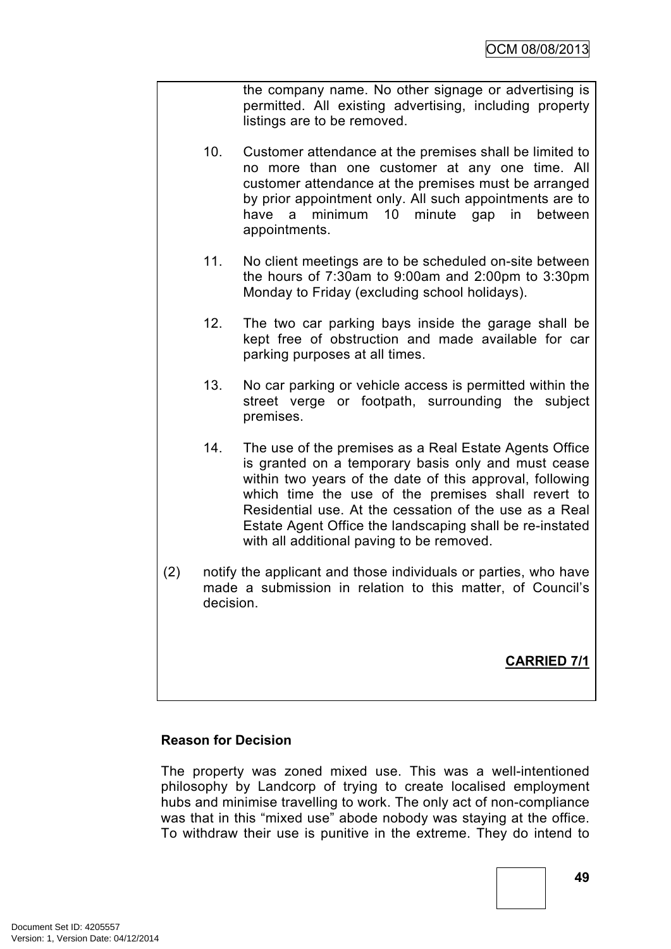the company name. No other signage or advertising is permitted. All existing advertising, including property listings are to be removed.

- 10. Customer attendance at the premises shall be limited to no more than one customer at any one time. All customer attendance at the premises must be arranged by prior appointment only. All such appointments are to have a minimum 10 minute gap in between appointments.
- 11. No client meetings are to be scheduled on-site between the hours of 7:30am to 9:00am and 2:00pm to 3:30pm Monday to Friday (excluding school holidays).
- 12. The two car parking bays inside the garage shall be kept free of obstruction and made available for car parking purposes at all times.
- 13. No car parking or vehicle access is permitted within the street verge or footpath, surrounding the subject premises.
- 14. The use of the premises as a Real Estate Agents Office is granted on a temporary basis only and must cease within two years of the date of this approval, following which time the use of the premises shall revert to Residential use. At the cessation of the use as a Real Estate Agent Office the landscaping shall be re-instated with all additional paving to be removed.
- (2) notify the applicant and those individuals or parties, who have made a submission in relation to this matter, of Council's decision.

**CARRIED 7/1**

# **Reason for Decision**

The property was zoned mixed use. This was a well-intentioned philosophy by Landcorp of trying to create localised employment hubs and minimise travelling to work. The only act of non-compliance was that in this "mixed use" abode nobody was staying at the office. To withdraw their use is punitive in the extreme. They do intend to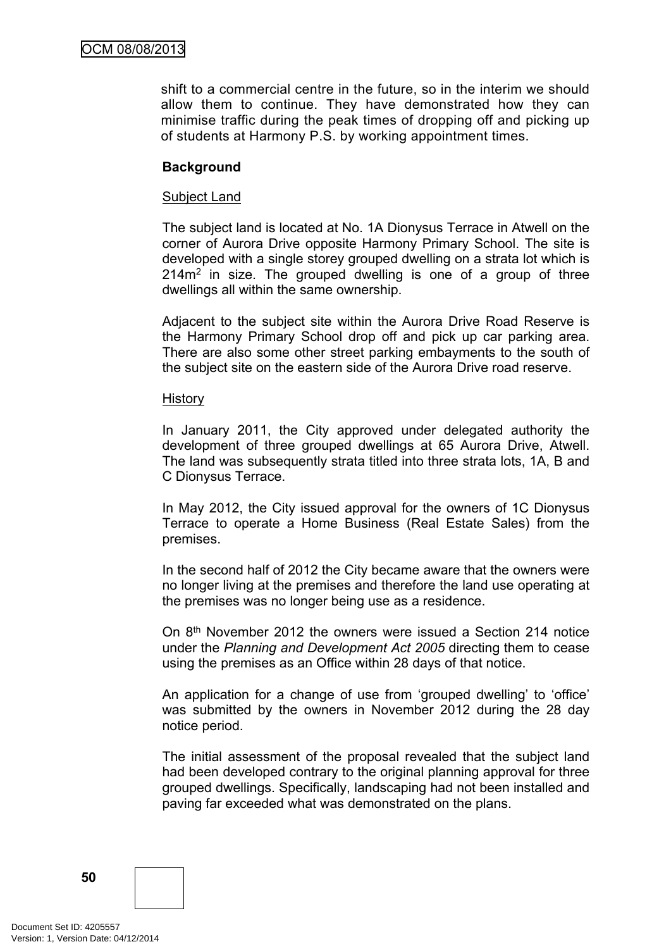shift to a commercial centre in the future, so in the interim we should allow them to continue. They have demonstrated how they can minimise traffic during the peak times of dropping off and picking up of students at Harmony P.S. by working appointment times.

### **Background**

### Subject Land

The subject land is located at No. 1A Dionysus Terrace in Atwell on the corner of Aurora Drive opposite Harmony Primary School. The site is developed with a single storey grouped dwelling on a strata lot which is 214m<sup>2</sup> in size. The grouped dwelling is one of a group of three dwellings all within the same ownership.

Adjacent to the subject site within the Aurora Drive Road Reserve is the Harmony Primary School drop off and pick up car parking area. There are also some other street parking embayments to the south of the subject site on the eastern side of the Aurora Drive road reserve.

#### **History**

In January 2011, the City approved under delegated authority the development of three grouped dwellings at 65 Aurora Drive, Atwell. The land was subsequently strata titled into three strata lots, 1A, B and C Dionysus Terrace.

In May 2012, the City issued approval for the owners of 1C Dionysus Terrace to operate a Home Business (Real Estate Sales) from the premises.

In the second half of 2012 the City became aware that the owners were no longer living at the premises and therefore the land use operating at the premises was no longer being use as a residence.

On 8<sup>th</sup> November 2012 the owners were issued a Section 214 notice under the *Planning and Development Act 2005* directing them to cease using the premises as an Office within 28 days of that notice.

An application for a change of use from 'grouped dwelling' to 'office' was submitted by the owners in November 2012 during the 28 day notice period.

The initial assessment of the proposal revealed that the subject land had been developed contrary to the original planning approval for three grouped dwellings. Specifically, landscaping had not been installed and paving far exceeded what was demonstrated on the plans.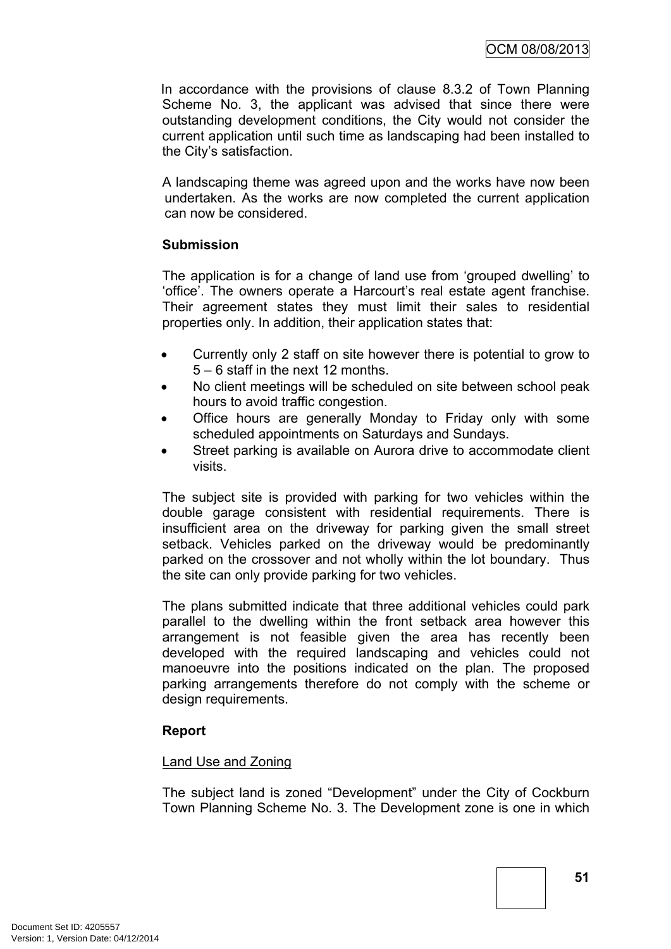In accordance with the provisions of clause 8.3.2 of Town Planning Scheme No. 3, the applicant was advised that since there were outstanding development conditions, the City would not consider the current application until such time as landscaping had been installed to the City's satisfaction.

A landscaping theme was agreed upon and the works have now been undertaken. As the works are now completed the current application can now be considered.

## **Submission**

The application is for a change of land use from 'grouped dwelling' to 'office'. The owners operate a Harcourt's real estate agent franchise. Their agreement states they must limit their sales to residential properties only. In addition, their application states that:

- Currently only 2 staff on site however there is potential to grow to 5 – 6 staff in the next 12 months.
- No client meetings will be scheduled on site between school peak hours to avoid traffic congestion.
- Office hours are generally Monday to Friday only with some scheduled appointments on Saturdays and Sundays.
- Street parking is available on Aurora drive to accommodate client visits.

The subject site is provided with parking for two vehicles within the double garage consistent with residential requirements. There is insufficient area on the driveway for parking given the small street setback. Vehicles parked on the driveway would be predominantly parked on the crossover and not wholly within the lot boundary. Thus the site can only provide parking for two vehicles.

The plans submitted indicate that three additional vehicles could park parallel to the dwelling within the front setback area however this arrangement is not feasible given the area has recently been developed with the required landscaping and vehicles could not manoeuvre into the positions indicated on the plan. The proposed parking arrangements therefore do not comply with the scheme or design requirements.

# **Report**

# Land Use and Zoning

The subject land is zoned "Development" under the City of Cockburn Town Planning Scheme No. 3. The Development zone is one in which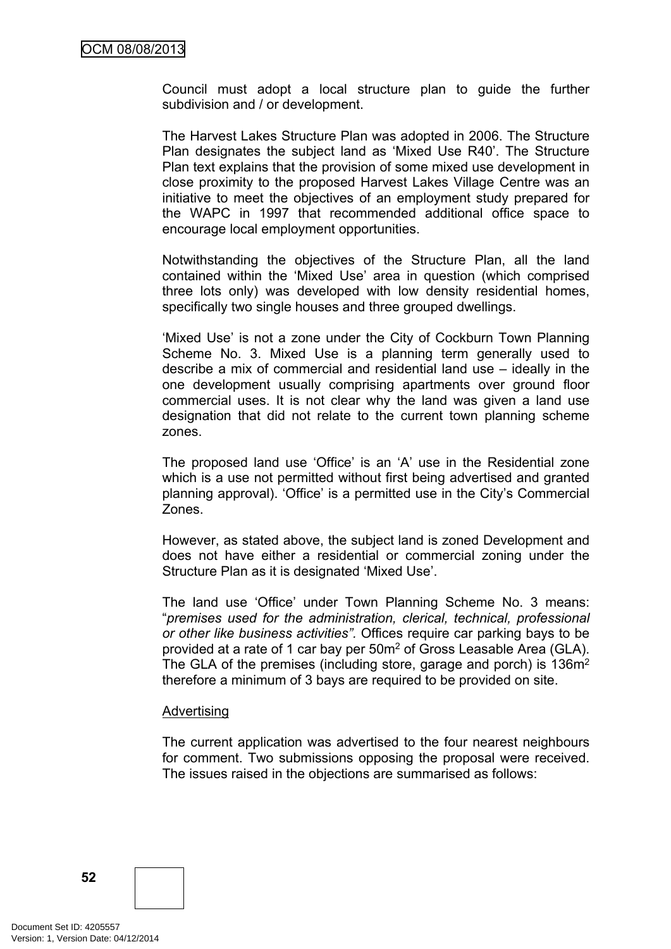Council must adopt a local structure plan to guide the further subdivision and / or development.

The Harvest Lakes Structure Plan was adopted in 2006. The Structure Plan designates the subject land as 'Mixed Use R40'. The Structure Plan text explains that the provision of some mixed use development in close proximity to the proposed Harvest Lakes Village Centre was an initiative to meet the objectives of an employment study prepared for the WAPC in 1997 that recommended additional office space to encourage local employment opportunities.

Notwithstanding the objectives of the Structure Plan, all the land contained within the 'Mixed Use' area in question (which comprised three lots only) was developed with low density residential homes, specifically two single houses and three grouped dwellings.

'Mixed Use' is not a zone under the City of Cockburn Town Planning Scheme No. 3. Mixed Use is a planning term generally used to describe a mix of commercial and residential land use – ideally in the one development usually comprising apartments over ground floor commercial uses. It is not clear why the land was given a land use designation that did not relate to the current town planning scheme zones.

The proposed land use 'Office' is an 'A' use in the Residential zone which is a use not permitted without first being advertised and granted planning approval). 'Office' is a permitted use in the City's Commercial Zones.

However, as stated above, the subject land is zoned Development and does not have either a residential or commercial zoning under the Structure Plan as it is designated 'Mixed Use'.

The land use 'Office' under Town Planning Scheme No. 3 means: "*premises used for the administration, clerical, technical, professional or other like business activities".* Offices require car parking bays to be provided at a rate of 1 car bay per 50m<sup>2</sup> of Gross Leasable Area (GLA). The GLA of the premises (including store, garage and porch) is 136m<sup>2</sup> therefore a minimum of 3 bays are required to be provided on site.

#### **Advertising**

The current application was advertised to the four nearest neighbours for comment. Two submissions opposing the proposal were received. The issues raised in the objections are summarised as follows: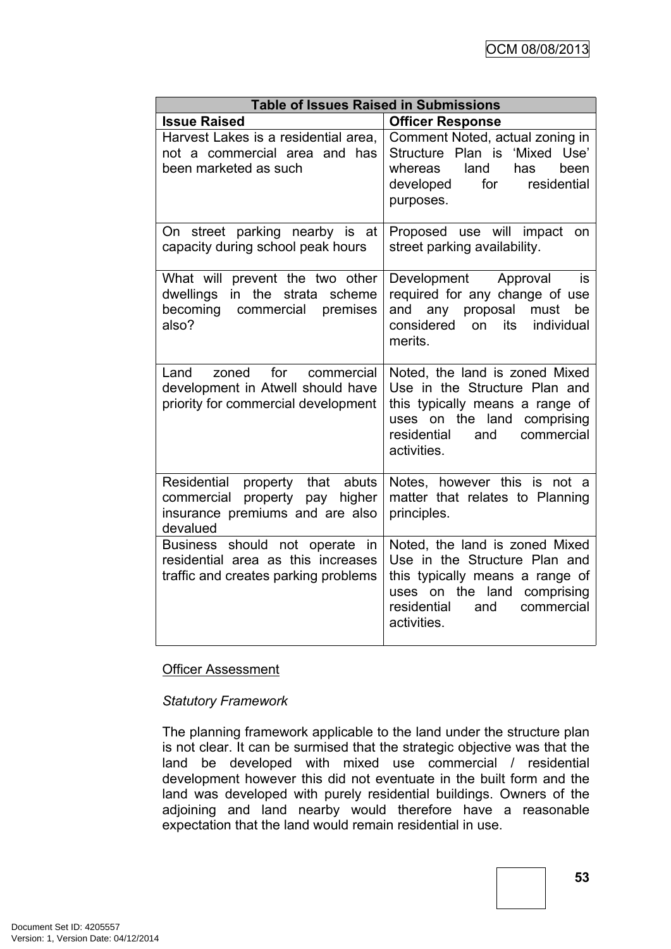| <b>Table of Issues Raised in Submissions</b>                                                                              |                                                                                                                                                                                         |  |
|---------------------------------------------------------------------------------------------------------------------------|-----------------------------------------------------------------------------------------------------------------------------------------------------------------------------------------|--|
| <b>Issue Raised</b>                                                                                                       | <b>Officer Response</b>                                                                                                                                                                 |  |
| Harvest Lakes is a residential area,<br>not a commercial area and has<br>been marketed as such                            | Comment Noted, actual zoning in<br>Structure Plan is 'Mixed Use'<br>land<br>whereas<br>been<br>has<br>developed<br>for<br>residential<br>purposes.                                      |  |
| On street parking nearby is at<br>capacity during school peak hours                                                       | Proposed use will impact on<br>street parking availability.                                                                                                                             |  |
| What will prevent the two other<br>in the strata<br>dwellings<br>scheme<br>becoming<br>commercial<br>premises<br>also?    | Development Approval<br><b>is</b><br>required for any change of use<br>and any proposal<br>must<br>be<br>considered<br>on<br>its<br>individual<br>merits.                               |  |
| zoned<br>for<br>Land<br>commercial<br>development in Atwell should have<br>priority for commercial development            | Noted, the land is zoned Mixed<br>Use in the Structure Plan and<br>this typically means a range of<br>uses on the land<br>comprising<br>residential<br>commercial<br>and<br>activities. |  |
| property that abuts<br>Residential<br>higher<br>commercial<br>property pay<br>insurance premiums and are also<br>devalued | Notes, however this is not a<br>matter that relates to Planning<br>principles.                                                                                                          |  |
| should not operate<br>in<br><b>Business</b><br>residential area as this increases<br>traffic and creates parking problems | Noted, the land is zoned Mixed<br>Use in the Structure Plan and<br>this typically means a range of<br>uses on the land<br>comprising<br>residential<br>and<br>commercial<br>activities. |  |

### **Officer Assessment**

### *Statutory Framework*

The planning framework applicable to the land under the structure plan is not clear. It can be surmised that the strategic objective was that the land be developed with mixed use commercial / residential development however this did not eventuate in the built form and the land was developed with purely residential buildings. Owners of the adjoining and land nearby would therefore have a reasonable expectation that the land would remain residential in use.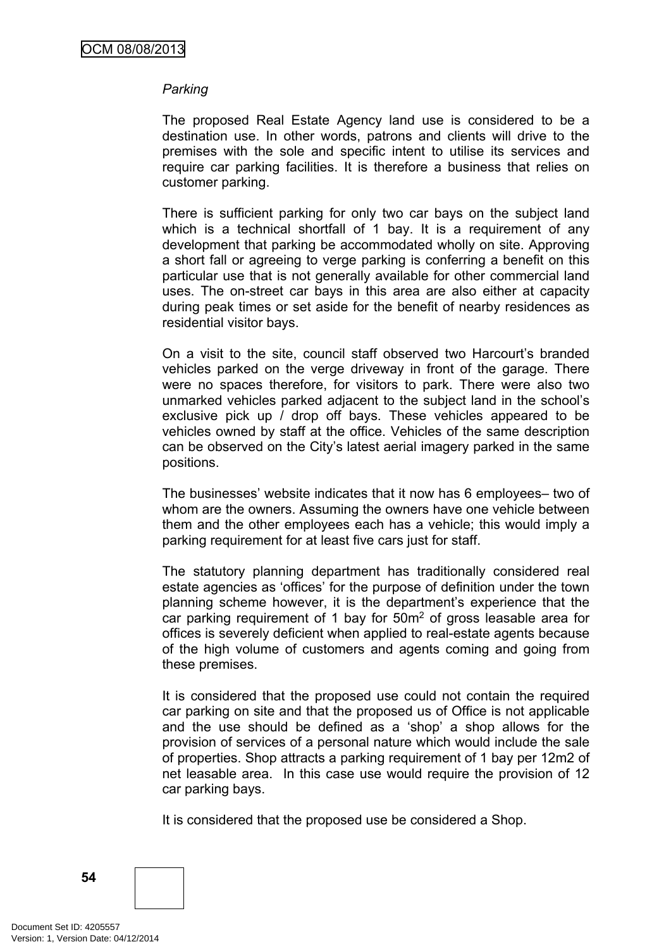#### *Parking*

The proposed Real Estate Agency land use is considered to be a destination use. In other words, patrons and clients will drive to the premises with the sole and specific intent to utilise its services and require car parking facilities. It is therefore a business that relies on customer parking.

There is sufficient parking for only two car bays on the subject land which is a technical shortfall of 1 bay. It is a requirement of any development that parking be accommodated wholly on site. Approving a short fall or agreeing to verge parking is conferring a benefit on this particular use that is not generally available for other commercial land uses. The on-street car bays in this area are also either at capacity during peak times or set aside for the benefit of nearby residences as residential visitor bays.

On a visit to the site, council staff observed two Harcourt's branded vehicles parked on the verge driveway in front of the garage. There were no spaces therefore, for visitors to park. There were also two unmarked vehicles parked adjacent to the subject land in the school's exclusive pick up / drop off bays. These vehicles appeared to be vehicles owned by staff at the office. Vehicles of the same description can be observed on the City's latest aerial imagery parked in the same positions.

The businesses' website indicates that it now has 6 employees– two of whom are the owners. Assuming the owners have one vehicle between them and the other employees each has a vehicle; this would imply a parking requirement for at least five cars just for staff.

The statutory planning department has traditionally considered real estate agencies as 'offices' for the purpose of definition under the town planning scheme however, it is the department's experience that the car parking requirement of 1 bay for 50m<sup>2</sup> of gross leasable area for offices is severely deficient when applied to real-estate agents because of the high volume of customers and agents coming and going from these premises.

It is considered that the proposed use could not contain the required car parking on site and that the proposed us of Office is not applicable and the use should be defined as a 'shop' a shop allows for the provision of services of a personal nature which would include the sale of properties. Shop attracts a parking requirement of 1 bay per 12m2 of net leasable area. In this case use would require the provision of 12 car parking bays.

It is considered that the proposed use be considered a Shop.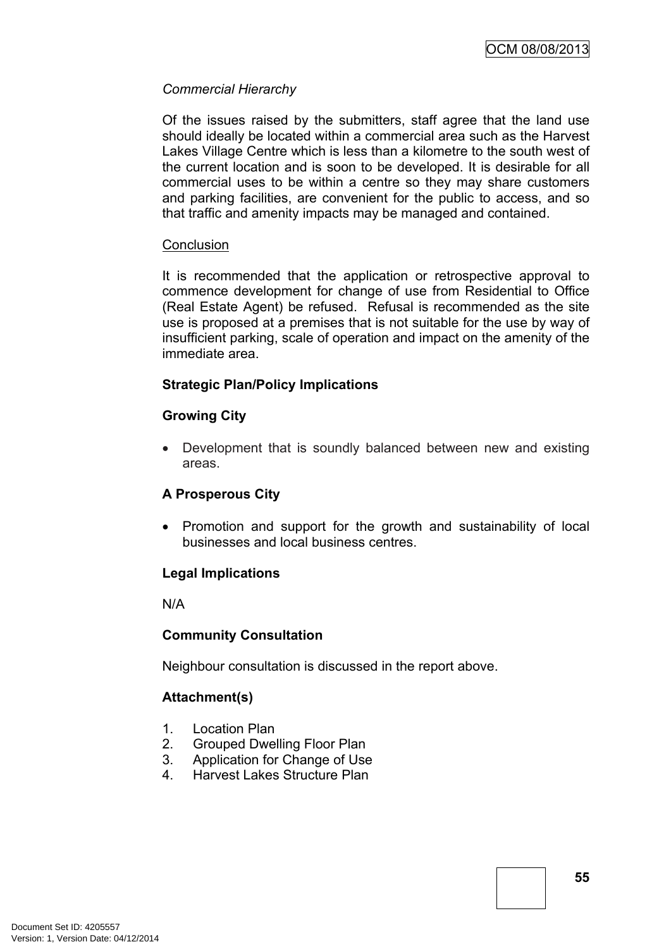## *Commercial Hierarchy*

Of the issues raised by the submitters, staff agree that the land use should ideally be located within a commercial area such as the Harvest Lakes Village Centre which is less than a kilometre to the south west of the current location and is soon to be developed. It is desirable for all commercial uses to be within a centre so they may share customers and parking facilities, are convenient for the public to access, and so that traffic and amenity impacts may be managed and contained.

### **Conclusion**

It is recommended that the application or retrospective approval to commence development for change of use from Residential to Office (Real Estate Agent) be refused. Refusal is recommended as the site use is proposed at a premises that is not suitable for the use by way of insufficient parking, scale of operation and impact on the amenity of the immediate area.

## **Strategic Plan/Policy Implications**

# **Growing City**

 Development that is soundly balanced between new and existing areas.

# **A Prosperous City**

• Promotion and support for the growth and sustainability of local businesses and local business centres.

### **Legal Implications**

N/A

### **Community Consultation**

Neighbour consultation is discussed in the report above.

## **Attachment(s)**

- 1. Location Plan
- 2. Grouped Dwelling Floor Plan
- 3. Application for Change of Use
- 4. Harvest Lakes Structure Plan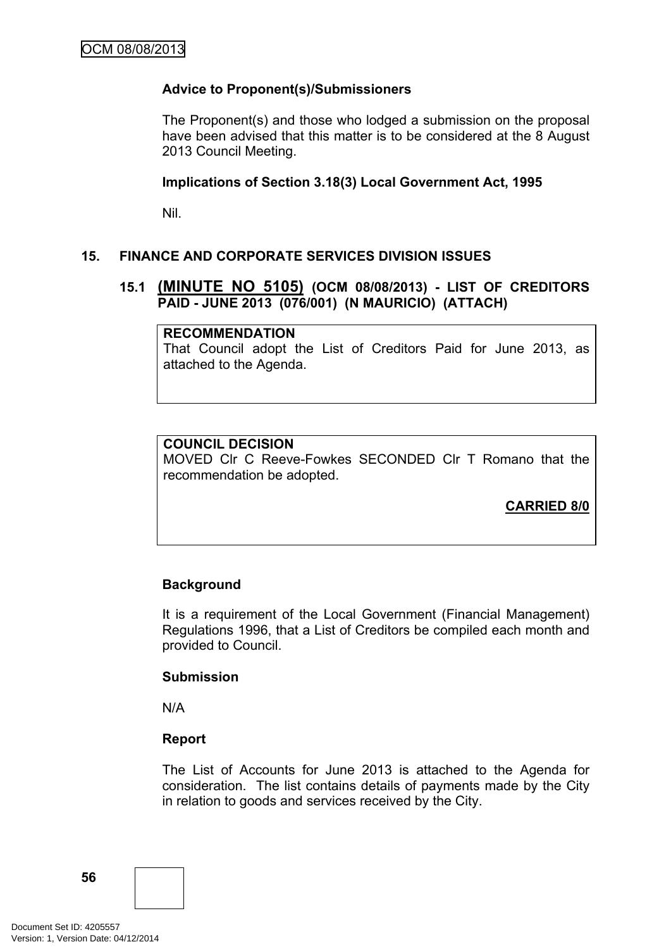## **Advice to Proponent(s)/Submissioners**

The Proponent(s) and those who lodged a submission on the proposal have been advised that this matter is to be considered at the 8 August 2013 Council Meeting.

#### **Implications of Section 3.18(3) Local Government Act, 1995**

Nil.

### **15. FINANCE AND CORPORATE SERVICES DIVISION ISSUES**

### **15.1 (MINUTE NO 5105) (OCM 08/08/2013) - LIST OF CREDITORS PAID - JUNE 2013 (076/001) (N MAURICIO) (ATTACH)**

#### **RECOMMENDATION**

That Council adopt the List of Creditors Paid for June 2013, as attached to the Agenda.

## **COUNCIL DECISION**

MOVED Clr C Reeve-Fowkes SECONDED Clr T Romano that the recommendation be adopted.

**CARRIED 8/0**

### **Background**

It is a requirement of the Local Government (Financial Management) Regulations 1996, that a List of Creditors be compiled each month and provided to Council.

#### **Submission**

N/A

### **Report**

The List of Accounts for June 2013 is attached to the Agenda for consideration. The list contains details of payments made by the City in relation to goods and services received by the City.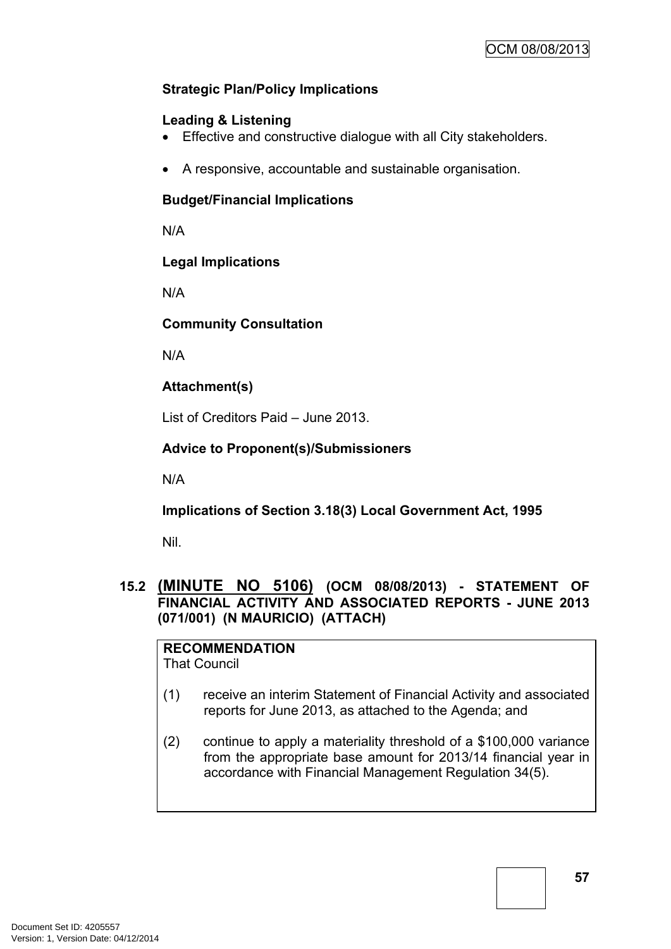# **Strategic Plan/Policy Implications**

## **Leading & Listening**

- Effective and constructive dialogue with all City stakeholders.
- A responsive, accountable and sustainable organisation.

## **Budget/Financial Implications**

N/A

# **Legal Implications**

N/A

# **Community Consultation**

N/A

# **Attachment(s)**

List of Creditors Paid – June 2013.

# **Advice to Proponent(s)/Submissioners**

N/A

**Implications of Section 3.18(3) Local Government Act, 1995**

Nil.

# **15.2 (MINUTE NO 5106) (OCM 08/08/2013) - STATEMENT OF FINANCIAL ACTIVITY AND ASSOCIATED REPORTS - JUNE 2013 (071/001) (N MAURICIO) (ATTACH)**

# **RECOMMENDATION**

That Council

- (1) receive an interim Statement of Financial Activity and associated reports for June 2013, as attached to the Agenda; and
- (2) continue to apply a materiality threshold of a \$100,000 variance from the appropriate base amount for 2013/14 financial year in accordance with Financial Management Regulation 34(5).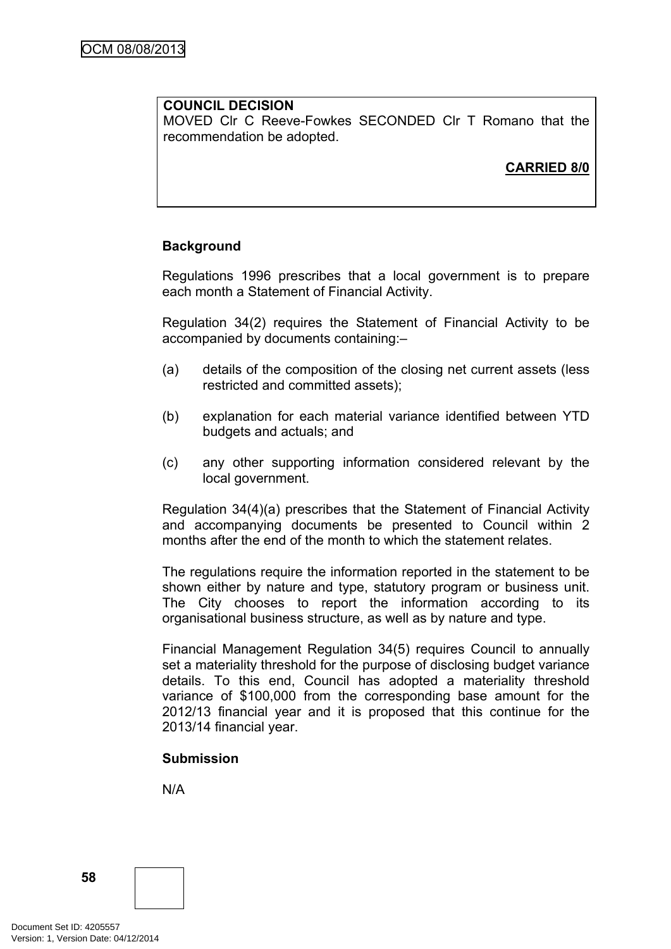## **COUNCIL DECISION**

MOVED Clr C Reeve-Fowkes SECONDED Clr T Romano that the recommendation be adopted.

# **CARRIED 8/0**

## **Background**

Regulations 1996 prescribes that a local government is to prepare each month a Statement of Financial Activity.

Regulation 34(2) requires the Statement of Financial Activity to be accompanied by documents containing:–

- (a) details of the composition of the closing net current assets (less restricted and committed assets);
- (b) explanation for each material variance identified between YTD budgets and actuals; and
- (c) any other supporting information considered relevant by the local government.

Regulation 34(4)(a) prescribes that the Statement of Financial Activity and accompanying documents be presented to Council within 2 months after the end of the month to which the statement relates.

The regulations require the information reported in the statement to be shown either by nature and type, statutory program or business unit. The City chooses to report the information according to its organisational business structure, as well as by nature and type.

Financial Management Regulation 34(5) requires Council to annually set a materiality threshold for the purpose of disclosing budget variance details. To this end, Council has adopted a materiality threshold variance of \$100,000 from the corresponding base amount for the 2012/13 financial year and it is proposed that this continue for the 2013/14 financial year.

### **Submission**

N/A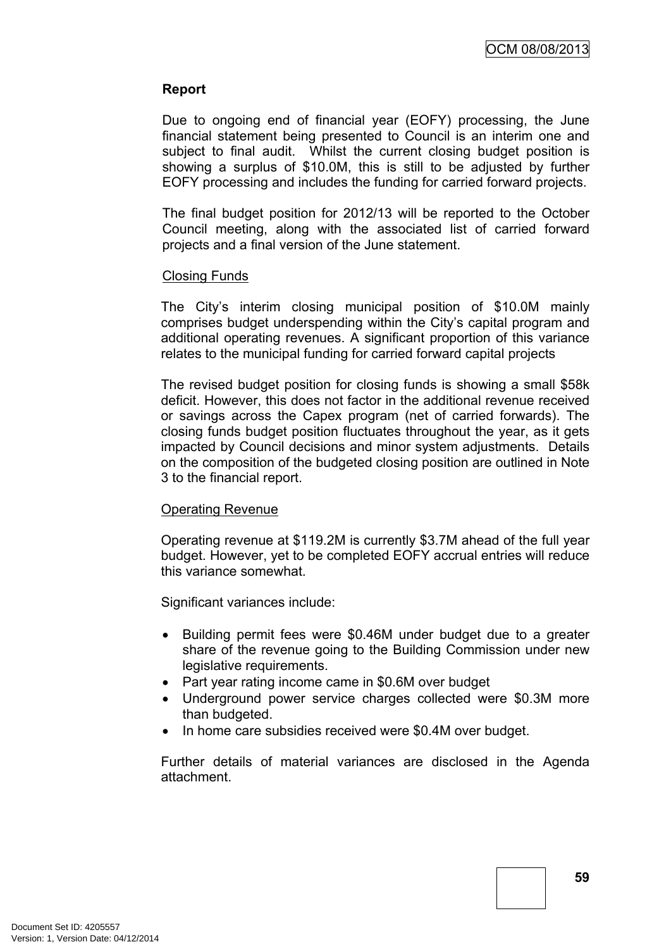## **Report**

Due to ongoing end of financial year (EOFY) processing, the June financial statement being presented to Council is an interim one and subject to final audit. Whilst the current closing budget position is showing a surplus of \$10.0M, this is still to be adjusted by further EOFY processing and includes the funding for carried forward projects.

The final budget position for 2012/13 will be reported to the October Council meeting, along with the associated list of carried forward projects and a final version of the June statement.

#### Closing Funds

The City's interim closing municipal position of \$10.0M mainly comprises budget underspending within the City's capital program and additional operating revenues. A significant proportion of this variance relates to the municipal funding for carried forward capital projects

The revised budget position for closing funds is showing a small \$58k deficit. However, this does not factor in the additional revenue received or savings across the Capex program (net of carried forwards). The closing funds budget position fluctuates throughout the year, as it gets impacted by Council decisions and minor system adjustments. Details on the composition of the budgeted closing position are outlined in Note 3 to the financial report.

### Operating Revenue

Operating revenue at \$119.2M is currently \$3.7M ahead of the full year budget. However, yet to be completed EOFY accrual entries will reduce this variance somewhat.

Significant variances include:

- Building permit fees were \$0.46M under budget due to a greater share of the revenue going to the Building Commission under new legislative requirements.
- Part year rating income came in \$0.6M over budget
- Underground power service charges collected were \$0.3M more than budgeted.
- In home care subsidies received were \$0.4M over budget.

Further details of material variances are disclosed in the Agenda attachment.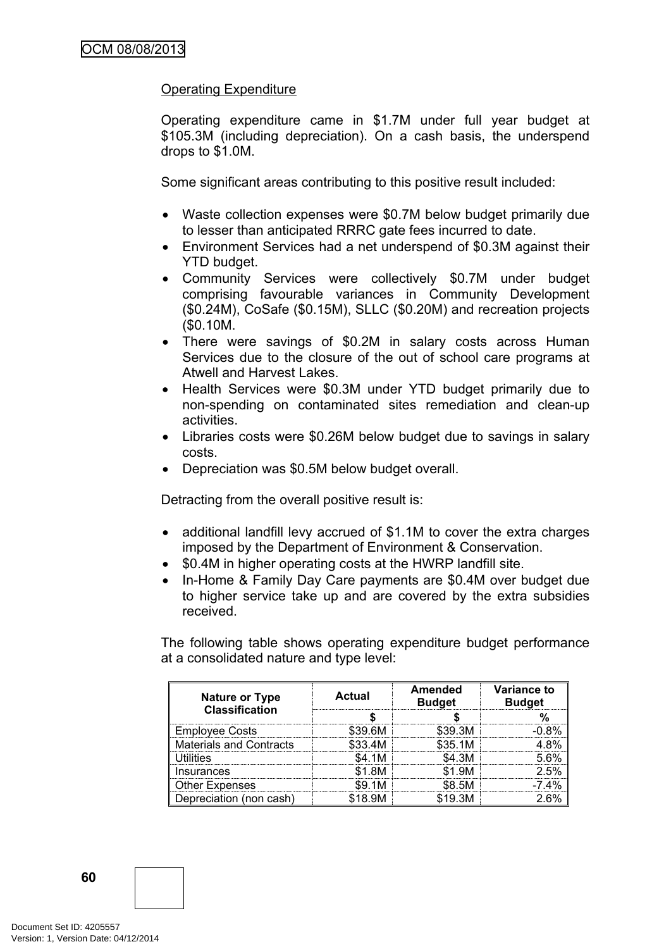## Operating Expenditure

Operating expenditure came in \$1.7M under full year budget at \$105.3M (including depreciation). On a cash basis, the underspend drops to \$1.0M.

Some significant areas contributing to this positive result included:

- Waste collection expenses were \$0.7M below budget primarily due to lesser than anticipated RRRC gate fees incurred to date.
- Environment Services had a net underspend of \$0.3M against their YTD budget.
- Community Services were collectively \$0.7M under budget comprising favourable variances in Community Development (\$0.24M), CoSafe (\$0.15M), SLLC (\$0.20M) and recreation projects (\$0.10M.
- There were savings of \$0.2M in salary costs across Human Services due to the closure of the out of school care programs at Atwell and Harvest Lakes.
- Health Services were \$0.3M under YTD budget primarily due to non-spending on contaminated sites remediation and clean-up activities.
- Libraries costs were \$0.26M below budget due to savings in salary costs.
- Depreciation was \$0.5M below budget overall.

Detracting from the overall positive result is:

- additional landfill levy accrued of \$1.1M to cover the extra charges imposed by the Department of Environment & Conservation.
- \$0.4M in higher operating costs at the HWRP landfill site.
- In-Home & Family Day Care payments are \$0.4M over budget due to higher service take up and are covered by the extra subsidies received.

The following table shows operating expenditure budget performance at a consolidated nature and type level:

| <b>Nature or Type</b><br><b>Classification</b> | Actual  | Amended<br><b>Budget</b> | <b>Variance to</b><br><b>Budget</b> |
|------------------------------------------------|---------|--------------------------|-------------------------------------|
|                                                |         |                          |                                     |
| Emplovee Costs                                 | :39.6M  | \$39.3M                  |                                     |
| <b>Materials and Contracts</b>                 | \$33.4M | \$35.1M                  |                                     |
| rilities                                       | S4 1M   | 4 3M                     |                                     |
| Insurances                                     | -8M     | 1.9M                     |                                     |
| Other Expenses                                 | 9. 1 M  | 88.5M                    |                                     |
| Depreciation (non cash)                        |         |                          |                                     |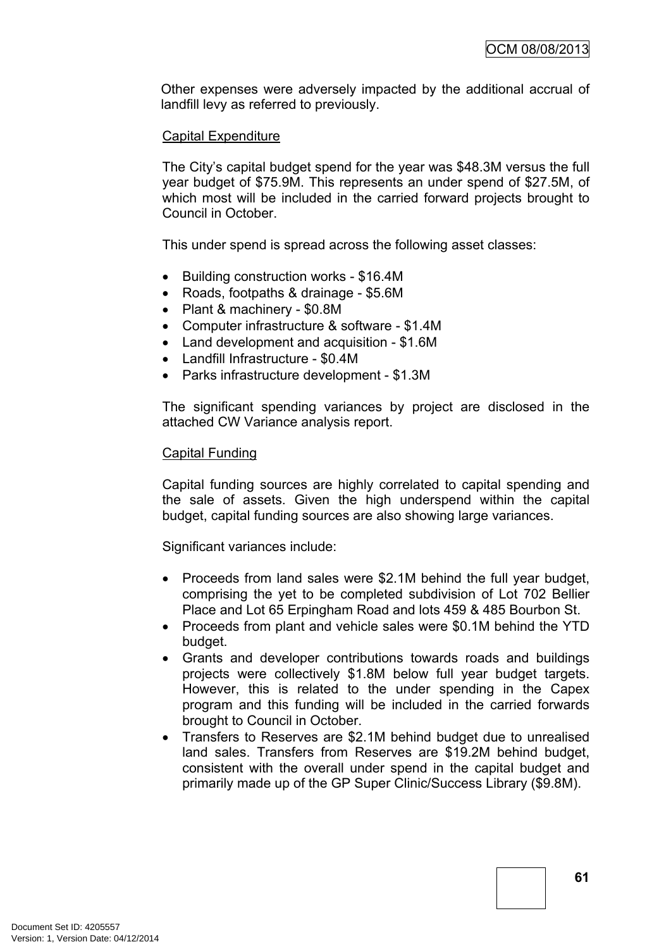Other expenses were adversely impacted by the additional accrual of landfill levy as referred to previously.

## Capital Expenditure

The City's capital budget spend for the year was \$48.3M versus the full year budget of \$75.9M. This represents an under spend of \$27.5M, of which most will be included in the carried forward projects brought to Council in October.

This under spend is spread across the following asset classes:

- Building construction works \$16.4M
- Roads, footpaths & drainage \$5.6M
- Plant & machinery \$0.8M
- Computer infrastructure & software \$1.4M
- Land development and acquisition \$1.6M
- Landfill Infrastructure \$0.4M
- Parks infrastructure development \$1.3M

The significant spending variances by project are disclosed in the attached CW Variance analysis report.

### Capital Funding

Capital funding sources are highly correlated to capital spending and the sale of assets. Given the high underspend within the capital budget, capital funding sources are also showing large variances.

Significant variances include:

- Proceeds from land sales were \$2.1M behind the full year budget, comprising the yet to be completed subdivision of Lot 702 Bellier Place and Lot 65 Erpingham Road and lots 459 & 485 Bourbon St.
- Proceeds from plant and vehicle sales were \$0.1M behind the YTD budget.
- Grants and developer contributions towards roads and buildings projects were collectively \$1.8M below full year budget targets. However, this is related to the under spending in the Capex program and this funding will be included in the carried forwards brought to Council in October.
- Transfers to Reserves are \$2.1M behind budget due to unrealised land sales. Transfers from Reserves are \$19.2M behind budget, consistent with the overall under spend in the capital budget and primarily made up of the GP Super Clinic/Success Library (\$9.8M).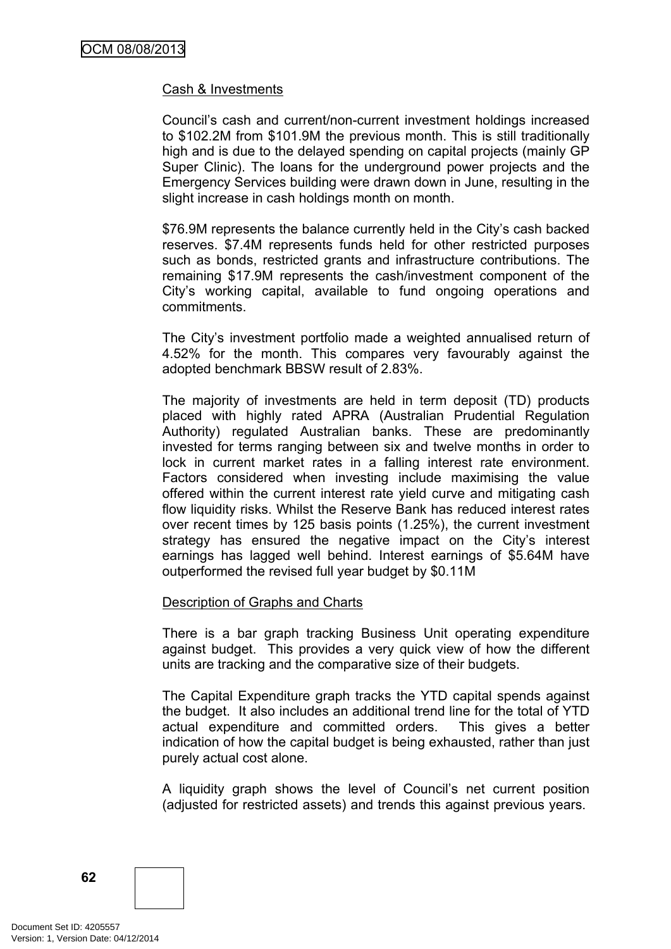#### Cash & Investments

Council's cash and current/non-current investment holdings increased to \$102.2M from \$101.9M the previous month. This is still traditionally high and is due to the delayed spending on capital projects (mainly GP Super Clinic). The loans for the underground power projects and the Emergency Services building were drawn down in June, resulting in the slight increase in cash holdings month on month.

\$76.9M represents the balance currently held in the City's cash backed reserves. \$7.4M represents funds held for other restricted purposes such as bonds, restricted grants and infrastructure contributions. The remaining \$17.9M represents the cash/investment component of the City's working capital, available to fund ongoing operations and commitments.

The City's investment portfolio made a weighted annualised return of 4.52% for the month. This compares very favourably against the adopted benchmark BBSW result of 2.83%.

The majority of investments are held in term deposit (TD) products placed with highly rated APRA (Australian Prudential Regulation Authority) regulated Australian banks. These are predominantly invested for terms ranging between six and twelve months in order to lock in current market rates in a falling interest rate environment. Factors considered when investing include maximising the value offered within the current interest rate yield curve and mitigating cash flow liquidity risks. Whilst the Reserve Bank has reduced interest rates over recent times by 125 basis points (1.25%), the current investment strategy has ensured the negative impact on the City's interest earnings has lagged well behind. Interest earnings of \$5.64M have outperformed the revised full year budget by \$0.11M

#### Description of Graphs and Charts

There is a bar graph tracking Business Unit operating expenditure against budget. This provides a very quick view of how the different units are tracking and the comparative size of their budgets.

The Capital Expenditure graph tracks the YTD capital spends against the budget. It also includes an additional trend line for the total of YTD actual expenditure and committed orders. This gives a better indication of how the capital budget is being exhausted, rather than just purely actual cost alone.

A liquidity graph shows the level of Council's net current position (adjusted for restricted assets) and trends this against previous years.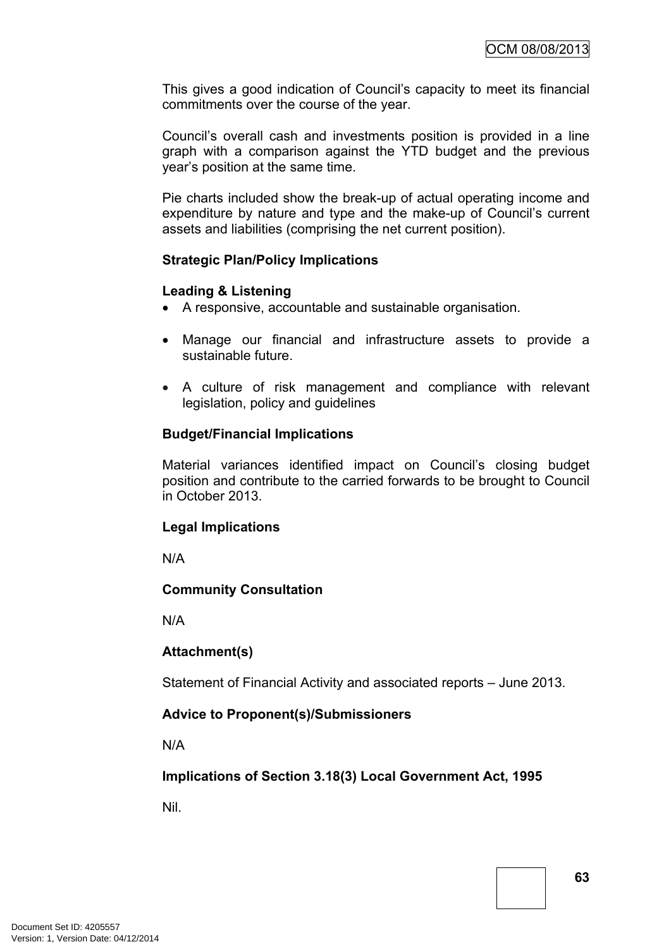This gives a good indication of Council's capacity to meet its financial commitments over the course of the year.

Council's overall cash and investments position is provided in a line graph with a comparison against the YTD budget and the previous year's position at the same time.

Pie charts included show the break-up of actual operating income and expenditure by nature and type and the make-up of Council's current assets and liabilities (comprising the net current position).

## **Strategic Plan/Policy Implications**

### **Leading & Listening**

- A responsive, accountable and sustainable organisation.
- Manage our financial and infrastructure assets to provide a sustainable future.
- A culture of risk management and compliance with relevant legislation, policy and guidelines

### **Budget/Financial Implications**

Material variances identified impact on Council's closing budget position and contribute to the carried forwards to be brought to Council in October 2013.

### **Legal Implications**

N/A

### **Community Consultation**

N/A

### **Attachment(s)**

Statement of Financial Activity and associated reports – June 2013.

### **Advice to Proponent(s)/Submissioners**

N/A

**Implications of Section 3.18(3) Local Government Act, 1995**

Nil.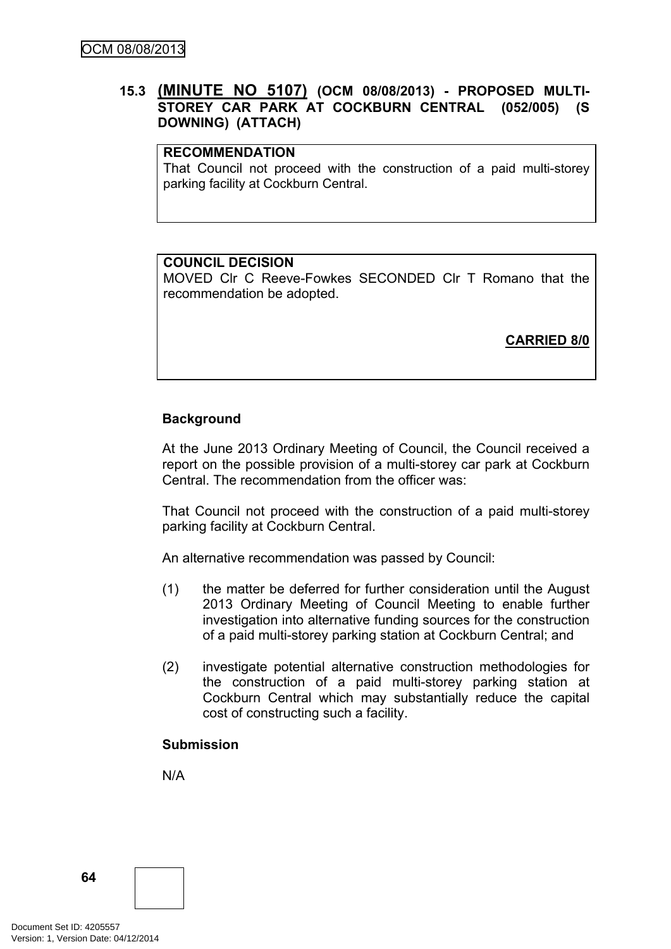## **15.3 (MINUTE NO 5107) (OCM 08/08/2013) - PROPOSED MULTI-STOREY CAR PARK AT COCKBURN CENTRAL (052/005) (S DOWNING) (ATTACH)**

### **RECOMMENDATION**

That Council not proceed with the construction of a paid multi-storey parking facility at Cockburn Central.

## **COUNCIL DECISION**

MOVED Clr C Reeve-Fowkes SECONDED Clr T Romano that the recommendation be adopted.

**CARRIED 8/0**

# **Background**

At the June 2013 Ordinary Meeting of Council, the Council received a report on the possible provision of a multi-storey car park at Cockburn Central. The recommendation from the officer was:

That Council not proceed with the construction of a paid multi-storey parking facility at Cockburn Central.

An alternative recommendation was passed by Council:

- (1) the matter be deferred for further consideration until the August 2013 Ordinary Meeting of Council Meeting to enable further investigation into alternative funding sources for the construction of a paid multi-storey parking station at Cockburn Central; and
- (2) investigate potential alternative construction methodologies for the construction of a paid multi-storey parking station at Cockburn Central which may substantially reduce the capital cost of constructing such a facility.

### **Submission**

N/A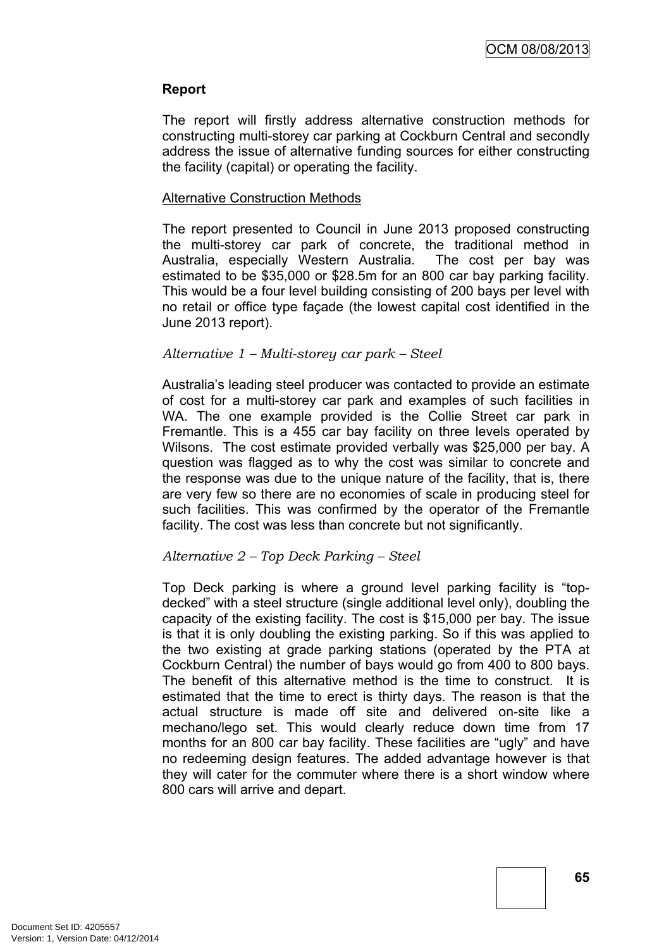## **Report**

The report will firstly address alternative construction methods for constructing multi-storey car parking at Cockburn Central and secondly address the issue of alternative funding sources for either constructing the facility (capital) or operating the facility.

#### Alternative Construction Methods

The report presented to Council in June 2013 proposed constructing the multi-storey car park of concrete, the traditional method in Australia, especially Western Australia. The cost per bay was estimated to be \$35,000 or \$28.5m for an 800 car bay parking facility. This would be a four level building consisting of 200 bays per level with no retail or office type façade (the lowest capital cost identified in the June 2013 report).

#### *Alternative 1 – Multi-storey car park – Steel*

Australia's leading steel producer was contacted to provide an estimate of cost for a multi-storey car park and examples of such facilities in WA. The one example provided is the Collie Street car park in Fremantle. This is a 455 car bay facility on three levels operated by Wilsons. The cost estimate provided verbally was \$25,000 per bay. A question was flagged as to why the cost was similar to concrete and the response was due to the unique nature of the facility, that is, there are very few so there are no economies of scale in producing steel for such facilities. This was confirmed by the operator of the Fremantle facility. The cost was less than concrete but not significantly.

#### *Alternative 2 – Top Deck Parking – Steel*

Top Deck parking is where a ground level parking facility is "topdecked" with a steel structure (single additional level only), doubling the capacity of the existing facility. The cost is \$15,000 per bay. The issue is that it is only doubling the existing parking. So if this was applied to the two existing at grade parking stations (operated by the PTA at Cockburn Central) the number of bays would go from 400 to 800 bays. The benefit of this alternative method is the time to construct. It is estimated that the time to erect is thirty days. The reason is that the actual structure is made off site and delivered on-site like a mechano/lego set. This would clearly reduce down time from 17 months for an 800 car bay facility. These facilities are "ugly" and have no redeeming design features. The added advantage however is that they will cater for the commuter where there is a short window where 800 cars will arrive and depart.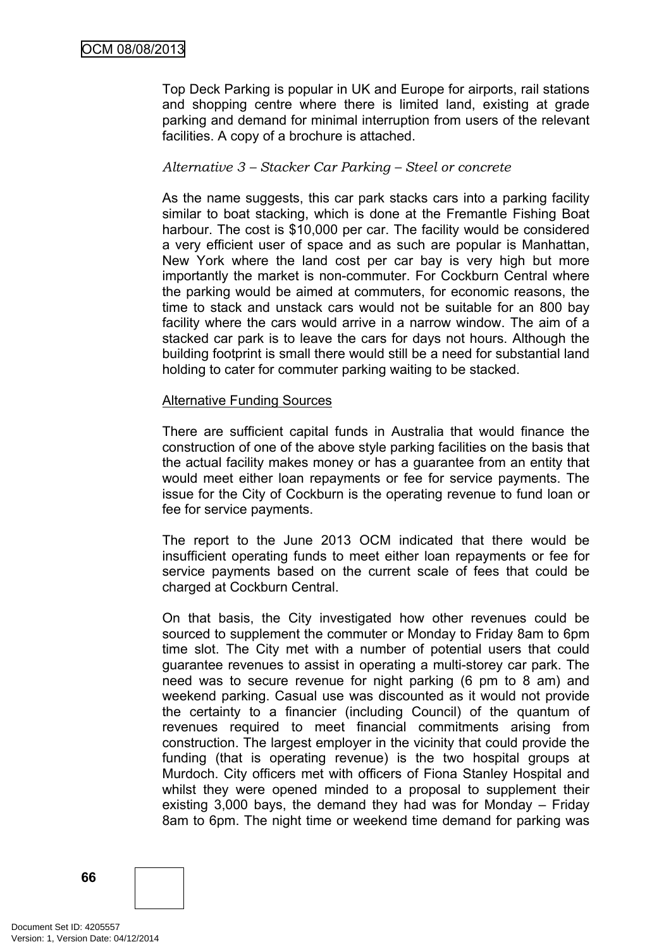Top Deck Parking is popular in UK and Europe for airports, rail stations and shopping centre where there is limited land, existing at grade parking and demand for minimal interruption from users of the relevant facilities. A copy of a brochure is attached.

#### *Alternative 3 – Stacker Car Parking – Steel or concrete*

As the name suggests, this car park stacks cars into a parking facility similar to boat stacking, which is done at the Fremantle Fishing Boat harbour. The cost is \$10,000 per car. The facility would be considered a very efficient user of space and as such are popular is Manhattan, New York where the land cost per car bay is very high but more importantly the market is non-commuter. For Cockburn Central where the parking would be aimed at commuters, for economic reasons, the time to stack and unstack cars would not be suitable for an 800 bay facility where the cars would arrive in a narrow window. The aim of a stacked car park is to leave the cars for days not hours. Although the building footprint is small there would still be a need for substantial land holding to cater for commuter parking waiting to be stacked.

#### Alternative Funding Sources

There are sufficient capital funds in Australia that would finance the construction of one of the above style parking facilities on the basis that the actual facility makes money or has a guarantee from an entity that would meet either loan repayments or fee for service payments. The issue for the City of Cockburn is the operating revenue to fund loan or fee for service payments.

The report to the June 2013 OCM indicated that there would be insufficient operating funds to meet either loan repayments or fee for service payments based on the current scale of fees that could be charged at Cockburn Central.

On that basis, the City investigated how other revenues could be sourced to supplement the commuter or Monday to Friday 8am to 6pm time slot. The City met with a number of potential users that could guarantee revenues to assist in operating a multi-storey car park. The need was to secure revenue for night parking (6 pm to 8 am) and weekend parking. Casual use was discounted as it would not provide the certainty to a financier (including Council) of the quantum of revenues required to meet financial commitments arising from construction. The largest employer in the vicinity that could provide the funding (that is operating revenue) is the two hospital groups at Murdoch. City officers met with officers of Fiona Stanley Hospital and whilst they were opened minded to a proposal to supplement their existing 3,000 bays, the demand they had was for Monday – Friday 8am to 6pm. The night time or weekend time demand for parking was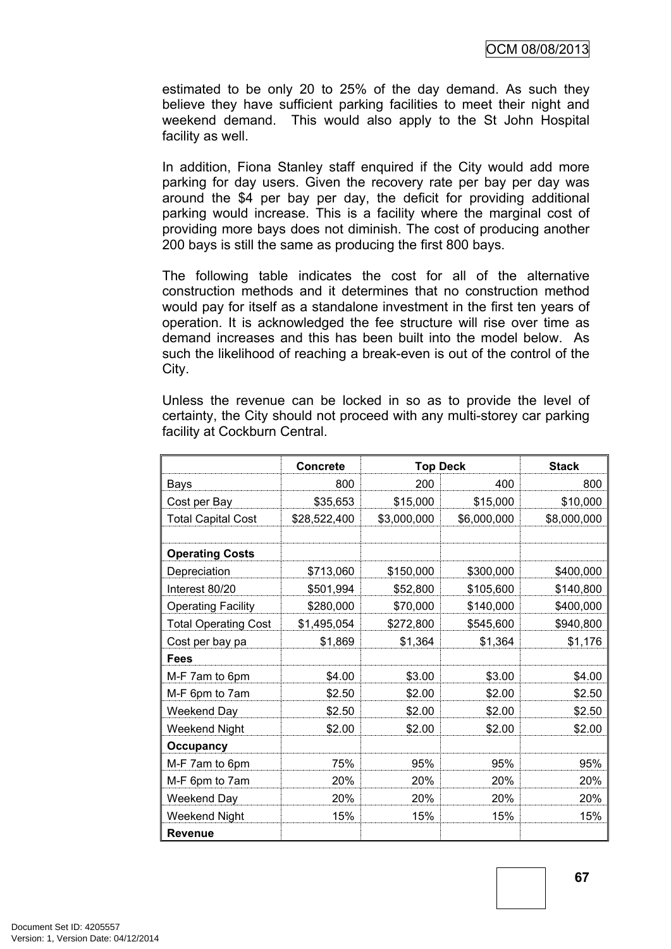estimated to be only 20 to 25% of the day demand. As such they believe they have sufficient parking facilities to meet their night and weekend demand. This would also apply to the St John Hospital facility as well.

In addition, Fiona Stanley staff enquired if the City would add more parking for day users. Given the recovery rate per bay per day was around the \$4 per bay per day, the deficit for providing additional parking would increase. This is a facility where the marginal cost of providing more bays does not diminish. The cost of producing another 200 bays is still the same as producing the first 800 bays.

The following table indicates the cost for all of the alternative construction methods and it determines that no construction method would pay for itself as a standalone investment in the first ten years of operation. It is acknowledged the fee structure will rise over time as demand increases and this has been built into the model below. As such the likelihood of reaching a break-even is out of the control of the City.

Unless the revenue can be locked in so as to provide the level of certainty, the City should not proceed with any multi-storey car parking facility at Cockburn Central.

|                             | <b>Concrete</b> | <b>Top Deck</b> |             | <b>Stack</b> |
|-----------------------------|-----------------|-----------------|-------------|--------------|
| Bays                        | 800             | 200             | 400         | 800          |
| Cost per Bay                | \$35,653        | \$15,000        | \$15,000    | \$10,000     |
| <b>Total Capital Cost</b>   | \$28,522,400    | \$3,000,000     | \$6,000,000 | \$8,000,000  |
|                             |                 |                 |             |              |
| <b>Operating Costs</b>      |                 |                 |             |              |
| Depreciation                | \$713,060       | \$150,000       | \$300,000   | \$400,000    |
| Interest 80/20              | \$501,994       | \$52,800        | \$105,600   | \$140,800    |
| <b>Operating Facility</b>   | \$280,000       | \$70,000        | \$140,000   | \$400,000    |
| <b>Total Operating Cost</b> | \$1,495,054     | \$272,800       | \$545,600   | \$940,800    |
| Cost per bay pa             | \$1,869         | \$1,364         | \$1,364     | \$1,176      |
| Fees                        |                 |                 |             |              |
| M-F 7am to 6pm              | \$4.00          | \$3.00          | \$3.00      | \$4.00       |
| M-F 6pm to 7am              | \$2.50          | \$2.00          | \$2.00      | \$2.50       |
| Weekend Day                 | \$2.50          | \$2.00          | \$2.00      | \$2.50       |
| Weekend Night               | \$2.00          | \$2.00          | \$2.00      | \$2.00       |
| Occupancy                   |                 |                 |             |              |
| M-F 7am to 6pm              | 75%             | 95%             | 95%         | 95%          |
| M-F 6pm to 7am              | 20%             | 20%             | 20%         | 20%          |
| Weekend Day                 | 20%             | 20%             | 20%         | 20%          |
| <b>Weekend Night</b>        | 15%             | 15%             | 15%         | 15%          |
| <b>Revenue</b>              |                 |                 |             |              |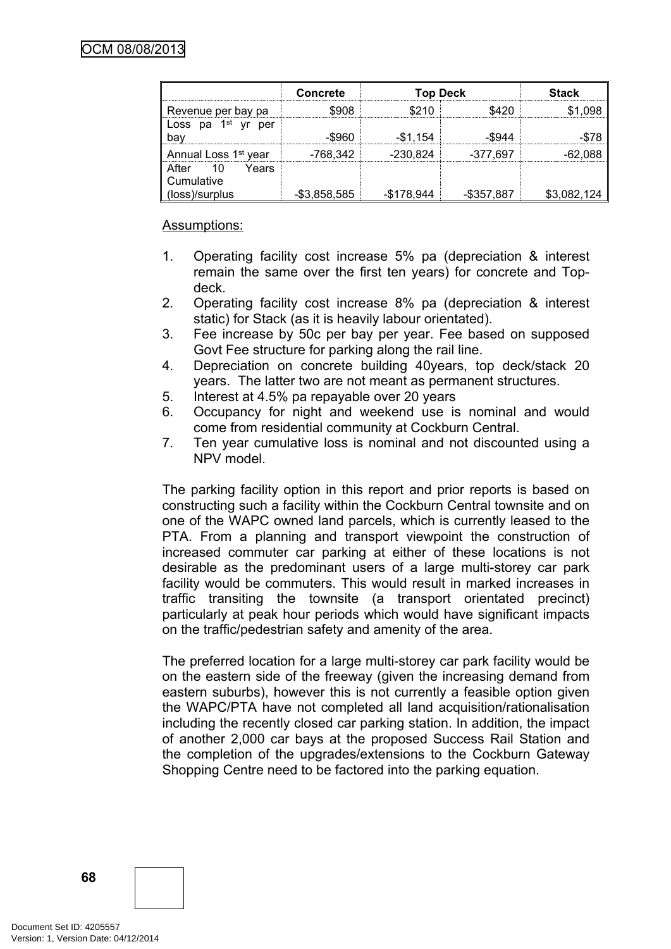|                                                | <b>Concrete</b> |            | Top Deck   | Stack       |
|------------------------------------------------|-----------------|------------|------------|-------------|
| Revenue per bay pa                             | \$908           | \$210      | \$420      | \$1 በ98     |
| 1 <sup>st</sup><br>Loss pa<br>vr<br>per<br>bav | -\$960          | -\$1,154   | -\$944     |             |
| Annual Loss 1 <sup>st</sup> year               | -768,342        | -230,824   | -377.697   | -62.088     |
| Years<br>After<br>10<br>Cumulative             |                 |            |            |             |
| loss)/surplus                                  | -\$3,858,585    | -\$178,944 | -\$357.887 | \$3,082,124 |

### Assumptions:

- 1. Operating facility cost increase 5% pa (depreciation & interest remain the same over the first ten years) for concrete and Topdeck.
- 2. Operating facility cost increase 8% pa (depreciation & interest static) for Stack (as it is heavily labour orientated).
- 3. Fee increase by 50c per bay per year. Fee based on supposed Govt Fee structure for parking along the rail line.
- 4. Depreciation on concrete building 40years, top deck/stack 20 years. The latter two are not meant as permanent structures.
- 5. Interest at 4.5% pa repayable over 20 years
- 6. Occupancy for night and weekend use is nominal and would come from residential community at Cockburn Central.
- 7. Ten year cumulative loss is nominal and not discounted using a NPV model.

The parking facility option in this report and prior reports is based on constructing such a facility within the Cockburn Central townsite and on one of the WAPC owned land parcels, which is currently leased to the PTA. From a planning and transport viewpoint the construction of increased commuter car parking at either of these locations is not desirable as the predominant users of a large multi-storey car park facility would be commuters. This would result in marked increases in traffic transiting the townsite (a transport orientated precinct) particularly at peak hour periods which would have significant impacts on the traffic/pedestrian safety and amenity of the area.

The preferred location for a large multi-storey car park facility would be on the eastern side of the freeway (given the increasing demand from eastern suburbs), however this is not currently a feasible option given the WAPC/PTA have not completed all land acquisition/rationalisation including the recently closed car parking station. In addition, the impact of another 2,000 car bays at the proposed Success Rail Station and the completion of the upgrades/extensions to the Cockburn Gateway Shopping Centre need to be factored into the parking equation.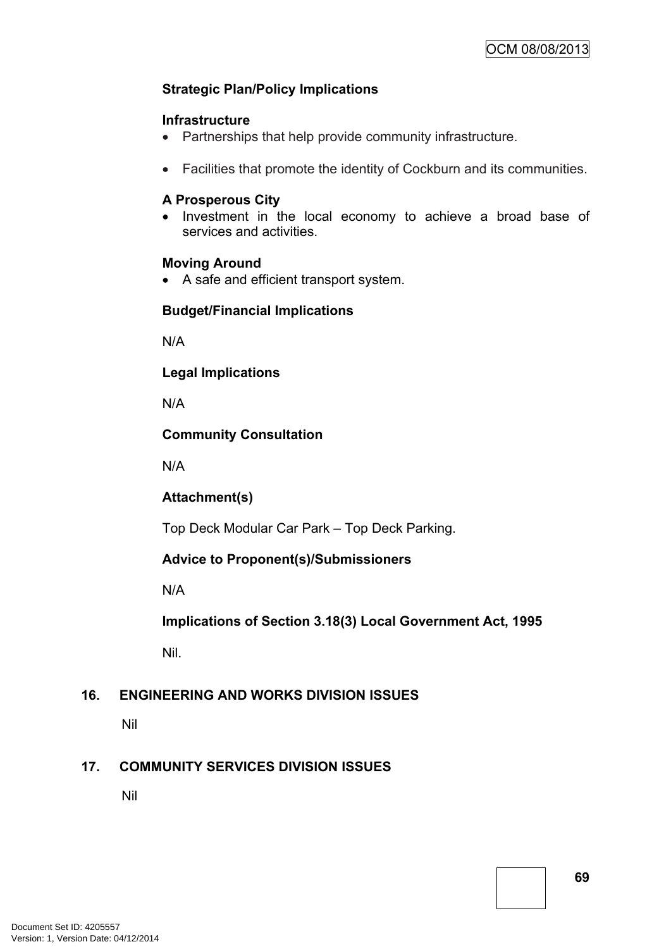## **Strategic Plan/Policy Implications**

### **Infrastructure**

- Partnerships that help provide community infrastructure.
- Facilities that promote the identity of Cockburn and its communities.

### **A Prosperous City**

• Investment in the local economy to achieve a broad base of services and activities.

### **Moving Around**

A safe and efficient transport system.

## **Budget/Financial Implications**

N/A

**Legal Implications**

N/A

# **Community Consultation**

N/A

## **Attachment(s)**

Top Deck Modular Car Park – Top Deck Parking.

## **Advice to Proponent(s)/Submissioners**

N/A

## **Implications of Section 3.18(3) Local Government Act, 1995**

Nil.

## **16. ENGINEERING AND WORKS DIVISION ISSUES**

Nil

# **17. COMMUNITY SERVICES DIVISION ISSUES**

Nil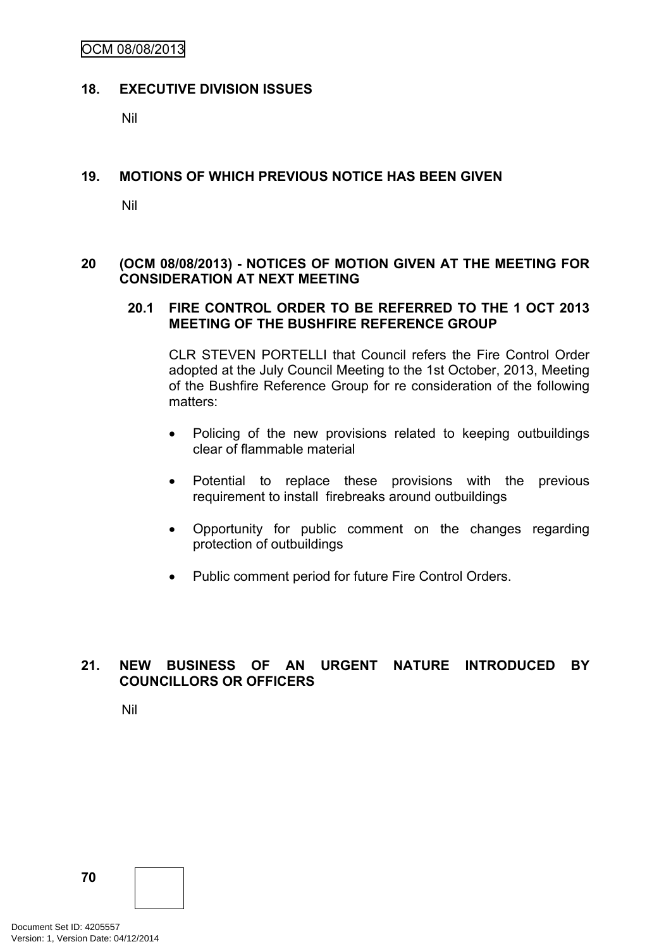OCM 08/08/2013

#### **18. EXECUTIVE DIVISION ISSUES**

Nil

#### **19. MOTIONS OF WHICH PREVIOUS NOTICE HAS BEEN GIVEN**

Nil

#### **20 (OCM 08/08/2013) - NOTICES OF MOTION GIVEN AT THE MEETING FOR CONSIDERATION AT NEXT MEETING**

#### **20.1 FIRE CONTROL ORDER TO BE REFERRED TO THE 1 OCT 2013 MEETING OF THE BUSHFIRE REFERENCE GROUP**

CLR STEVEN PORTELLI that Council refers the Fire Control Order adopted at the July Council Meeting to the 1st October, 2013, Meeting of the Bushfire Reference Group for re consideration of the following matters:

- Policing of the new provisions related to keeping outbuildings clear of flammable material
- Potential to replace these provisions with the previous requirement to install firebreaks around outbuildings
- Opportunity for public comment on the changes regarding protection of outbuildings
- Public comment period for future Fire Control Orders.

### **21. NEW BUSINESS OF AN URGENT NATURE INTRODUCED BY COUNCILLORS OR OFFICERS**

Nil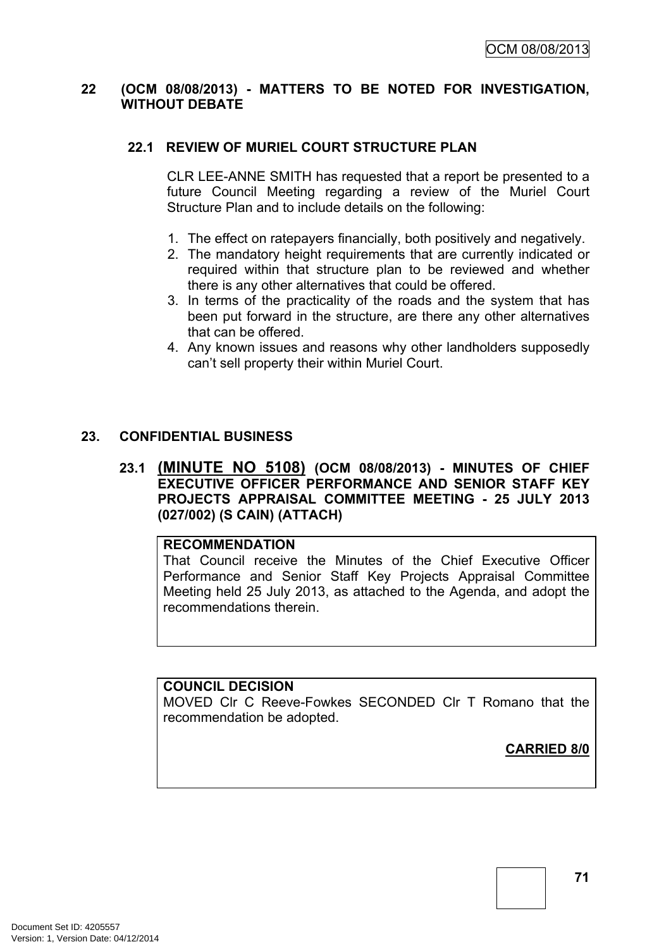#### **22 (OCM 08/08/2013) - MATTERS TO BE NOTED FOR INVESTIGATION, WITHOUT DEBATE**

### **22.1 REVIEW OF MURIEL COURT STRUCTURE PLAN**

CLR LEE-ANNE SMITH has requested that a report be presented to a future Council Meeting regarding a review of the Muriel Court Structure Plan and to include details on the following:

- 1. The effect on ratepayers financially, both positively and negatively.
- 2. The mandatory height requirements that are currently indicated or required within that structure plan to be reviewed and whether there is any other alternatives that could be offered.
- 3. In terms of the practicality of the roads and the system that has been put forward in the structure, are there any other alternatives that can be offered.
- 4. Any known issues and reasons why other landholders supposedly can't sell property their within Muriel Court.

### **23. CONFIDENTIAL BUSINESS**

### **23.1 (MINUTE NO 5108) (OCM 08/08/2013) - MINUTES OF CHIEF EXECUTIVE OFFICER PERFORMANCE AND SENIOR STAFF KEY PROJECTS APPRAISAL COMMITTEE MEETING - 25 JULY 2013 (027/002) (S CAIN) (ATTACH)**

#### **RECOMMENDATION**

That Council receive the Minutes of the Chief Executive Officer Performance and Senior Staff Key Projects Appraisal Committee Meeting held 25 July 2013, as attached to the Agenda, and adopt the recommendations therein.

#### **COUNCIL DECISION**

MOVED Clr C Reeve-Fowkes SECONDED Clr T Romano that the recommendation be adopted.

**CARRIED 8/0**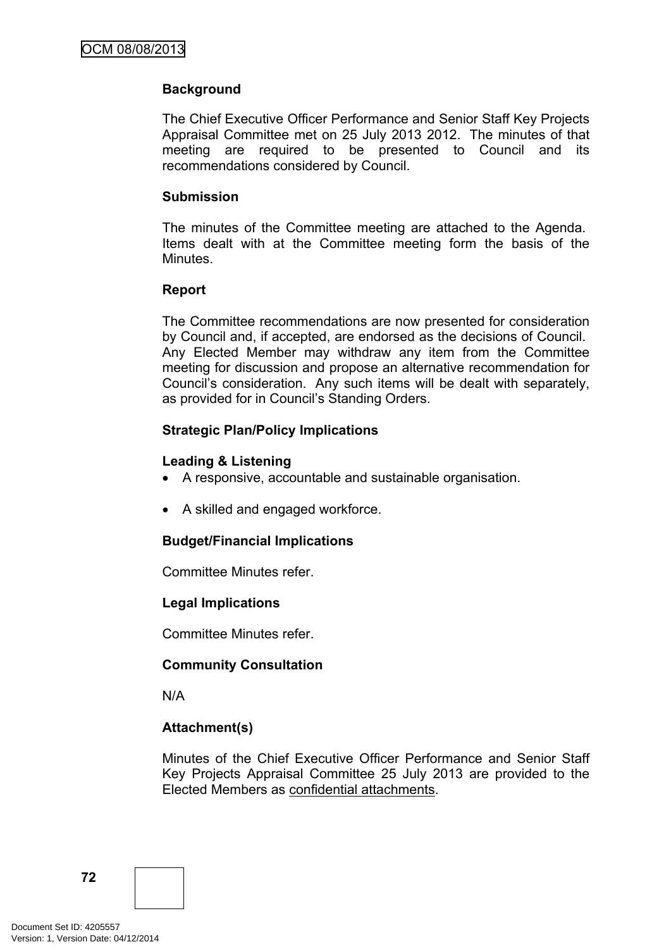## **Background**

The Chief Executive Officer Performance and Senior Staff Key Projects Appraisal Committee met on 25 July 2013 2012. The minutes of that meeting are required to be presented to Council and its recommendations considered by Council.

### **Submission**

The minutes of the Committee meeting are attached to the Agenda. Items dealt with at the Committee meeting form the basis of the Minutes.

### **Report**

The Committee recommendations are now presented for consideration by Council and, if accepted, are endorsed as the decisions of Council. Any Elected Member may withdraw any item from the Committee meeting for discussion and propose an alternative recommendation for Council's consideration. Any such items will be dealt with separately, as provided for in Council's Standing Orders.

## **Strategic Plan/Policy Implications**

### **Leading & Listening**

- A responsive, accountable and sustainable organisation.
- A skilled and engaged workforce.

## **Budget/Financial Implications**

Committee Minutes refer.

### **Legal Implications**

Committee Minutes refer.

### **Community Consultation**

N/A

## **Attachment(s)**

Minutes of the Chief Executive Officer Performance and Senior Staff Key Projects Appraisal Committee 25 July 2013 are provided to the Elected Members as confidential attachments.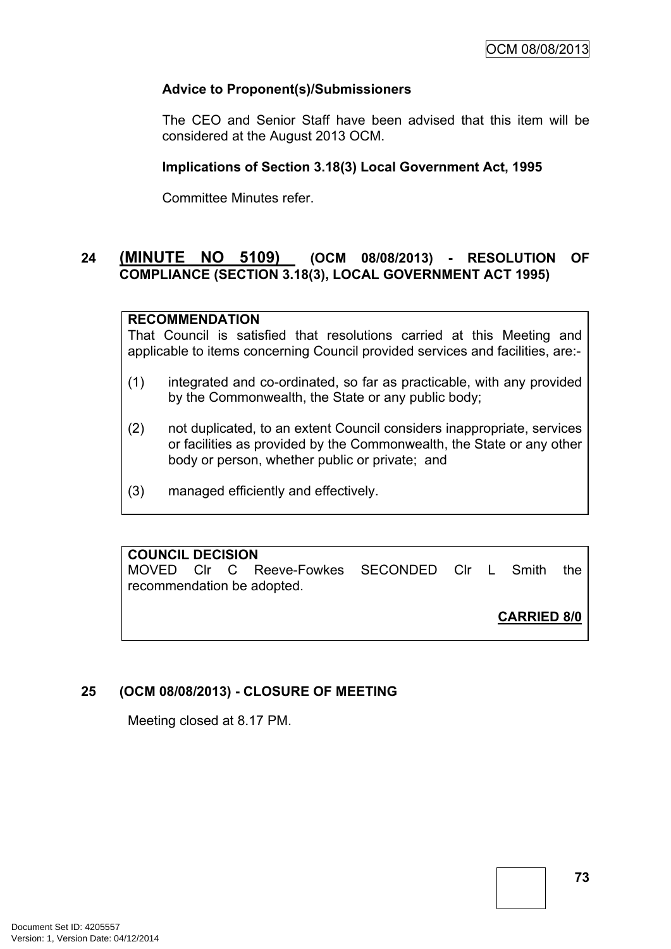## **Advice to Proponent(s)/Submissioners**

The CEO and Senior Staff have been advised that this item will be considered at the August 2013 OCM.

### **Implications of Section 3.18(3) Local Government Act, 1995**

Committee Minutes refer.

## **24 (MINUTE NO 5109) (OCM 08/08/2013) - RESOLUTION OF COMPLIANCE (SECTION 3.18(3), LOCAL GOVERNMENT ACT 1995)**

#### **RECOMMENDATION**

That Council is satisfied that resolutions carried at this Meeting and applicable to items concerning Council provided services and facilities, are:-

- (1) integrated and co-ordinated, so far as practicable, with any provided by the Commonwealth, the State or any public body;
- (2) not duplicated, to an extent Council considers inappropriate, services or facilities as provided by the Commonwealth, the State or any other body or person, whether public or private; and
- (3) managed efficiently and effectively.

## **COUNCIL DECISION**

MOVED Clr C Reeve-Fowkes SECONDED Clr L Smith the recommendation be adopted.

**CARRIED 8/0**

## **25 (OCM 08/08/2013) - CLOSURE OF MEETING**

Meeting closed at 8.17 PM.